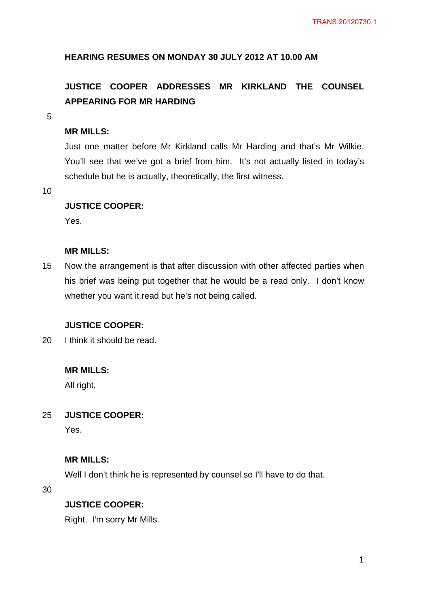# **HEARING RESUMES ON MONDAY 30 JULY 2012 AT 10.00 AM**

# **JUSTICE COOPER ADDRESSES MR KIRKLAND THE COUNSEL APPEARING FOR MR HARDING**

5

# **MR MILLS:**

Just one matter before Mr Kirkland calls Mr Harding and that's Mr Wilkie. You'll see that we've got a brief from him. It's not actually listed in today's schedule but he is actually, theoretically, the first witness.

10

# **JUSTICE COOPER:**

Yes.

# **MR MILLS:**

15 Now the arrangement is that after discussion with other affected parties when his brief was being put together that he would be a read only. I don't know whether you want it read but he's not being called.

# **JUSTICE COOPER:**

20 I think it should be read.

### **MR MILLS:**

All right.

#### 25 **JUSTICE COOPER:**

Yes.

# **MR MILLS:**

Well I don't think he is represented by counsel so I'll have to do that.

30

### **JUSTICE COOPER:**

Right. I'm sorry Mr Mills.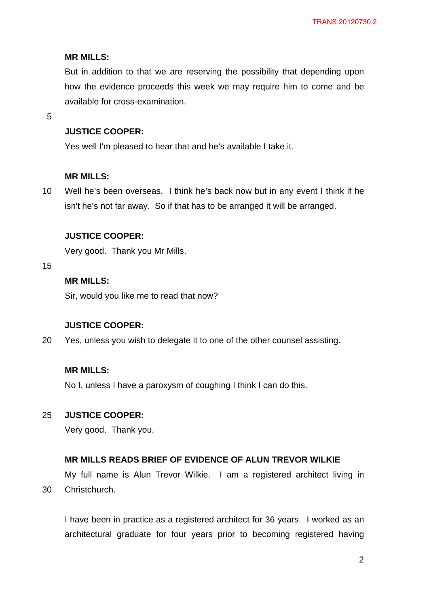#### **MR MILLS:**

But in addition to that we are reserving the possibility that depending upon how the evidence proceeds this week we may require him to come and be available for cross-examination.

5

# **JUSTICE COOPER:**

Yes well I'm pleased to hear that and he's available I take it.

#### **MR MILLS:**

10 Well he's been overseas. I think he's back now but in any event I think if he isn't he's not far away. So if that has to be arranged it will be arranged.

### **JUSTICE COOPER:**

Very good. Thank you Mr Mills.

15

# **MR MILLS:**

Sir, would you like me to read that now?

#### **JUSTICE COOPER:**

20 Yes, unless you wish to delegate it to one of the other counsel assisting.

# **MR MILLS:**

No I, unless I have a paroxysm of coughing I think I can do this.

#### 25 **JUSTICE COOPER:**

Very good. Thank you.

#### **MR MILLS READS BRIEF OF EVIDENCE OF ALUN TREVOR WILKIE**

30 My full name is Alun Trevor Wilkie. I am a registered architect living in Christchurch.

I have been in practice as a registered architect for 36 years. I worked as an architectural graduate for four years prior to becoming registered having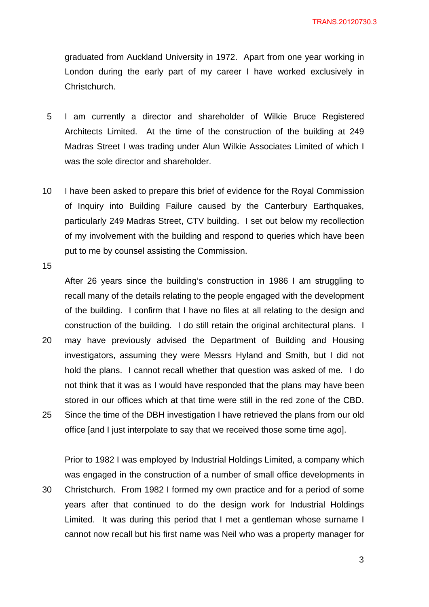graduated from Auckland University in 1972. Apart from one year working in London during the early part of my career I have worked exclusively in Christchurch.

- 5 I am currently a director and shareholder of Wilkie Bruce Registered Architects Limited. At the time of the construction of the building at 249 Madras Street I was trading under Alun Wilkie Associates Limited of which I was the sole director and shareholder.
- 10 I have been asked to prepare this brief of evidence for the Royal Commission of Inquiry into Building Failure caused by the Canterbury Earthquakes, particularly 249 Madras Street, CTV building. I set out below my recollection of my involvement with the building and respond to queries which have been put to me by counsel assisting the Commission.

15

After 26 years since the building's construction in 1986 I am struggling to recall many of the details relating to the people engaged with the development of the building. I confirm that I have no files at all relating to the design and construction of the building. I do still retain the original architectural plans. I

20 25 may have previously advised the Department of Building and Housing investigators, assuming they were Messrs Hyland and Smith, but I did not hold the plans. I cannot recall whether that question was asked of me. I do not think that it was as I would have responded that the plans may have been stored in our offices which at that time were still in the red zone of the CBD. Since the time of the DBH investigation I have retrieved the plans from our old office [and I just interpolate to say that we received those some time ago].

30 Prior to 1982 I was employed by Industrial Holdings Limited, a company which was engaged in the construction of a number of small office developments in Christchurch. From 1982 I formed my own practice and for a period of some years after that continued to do the design work for Industrial Holdings Limited. It was during this period that I met a gentleman whose surname I cannot now recall but his first name was Neil who was a property manager for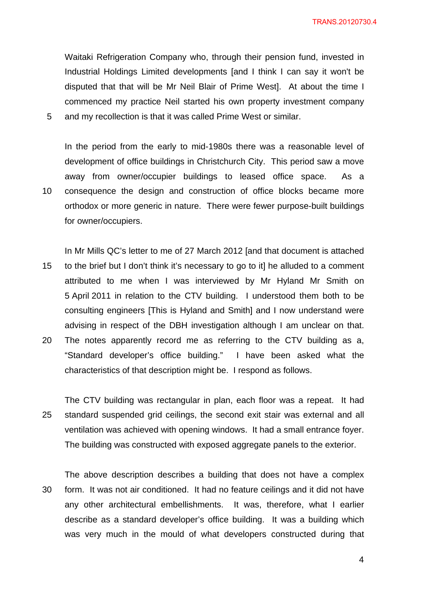Waitaki Refrigeration Company who, through their pension fund, invested in Industrial Holdings Limited developments [and I think I can say it won't be disputed that that will be Mr Neil Blair of Prime West]. At about the time I commenced my practice Neil started his own property investment company and my recollection is that it was called Prime West or similar.

5

10

In the period from the early to mid-1980s there was a reasonable level of development of office buildings in Christchurch City. This period saw a move away from owner/occupier buildings to leased office space. As a consequence the design and construction of office blocks became more orthodox or more generic in nature. There were fewer purpose-built buildings for owner/occupiers.

15 20 In Mr Mills QC's letter to me of 27 March 2012 [and that document is attached to the brief but I don't think it's necessary to go to it] he alluded to a comment attributed to me when I was interviewed by Mr Hyland Mr Smith on 5 April 2011 in relation to the CTV building. I understood them both to be consulting engineers [This is Hyland and Smith] and I now understand were advising in respect of the DBH investigation although I am unclear on that. The notes apparently record me as referring to the CTV building as a,

"Standard developer's office building." I have been asked what the characteristics of that description might be. I respond as follows.

25 The CTV building was rectangular in plan, each floor was a repeat. It had standard suspended grid ceilings, the second exit stair was external and all ventilation was achieved with opening windows. It had a small entrance foyer. The building was constructed with exposed aggregate panels to the exterior.

30 The above description describes a building that does not have a complex form. It was not air conditioned. It had no feature ceilings and it did not have any other architectural embellishments. It was, therefore, what I earlier describe as a standard developer's office building. It was a building which was very much in the mould of what developers constructed during that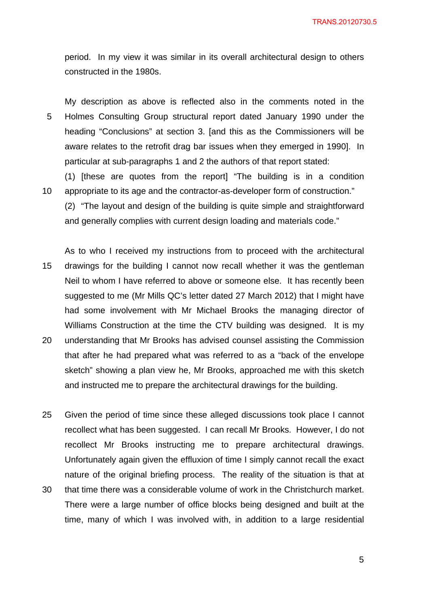period. In my view it was similar in its overall architectural design to others constructed in the 1980s.

5 My description as above is reflected also in the comments noted in the Holmes Consulting Group structural report dated January 1990 under the heading "Conclusions" at section 3. [and this as the Commissioners will be aware relates to the retrofit drag bar issues when they emerged in 1990]. In particular at sub-paragraphs 1 and 2 the authors of that report stated:

10 (1) [these are quotes from the report] "The building is in a condition appropriate to its age and the contractor-as-developer form of construction."

(2) "The layout and design of the building is quite simple and straightforward and generally complies with current design loading and materials code."

15 20 As to who I received my instructions from to proceed with the architectural drawings for the building I cannot now recall whether it was the gentleman Neil to whom I have referred to above or someone else. It has recently been suggested to me (Mr Mills QC's letter dated 27 March 2012) that I might have had some involvement with Mr Michael Brooks the managing director of Williams Construction at the time the CTV building was designed. It is my understanding that Mr Brooks has advised counsel assisting the Commission that after he had prepared what was referred to as a "back of the envelope sketch" showing a plan view he, Mr Brooks, approached me with this sketch

and instructed me to prepare the architectural drawings for the building.

25 Given the period of time since these alleged discussions took place I cannot recollect what has been suggested. I can recall Mr Brooks. However, I do not recollect Mr Brooks instructing me to prepare architectural drawings. Unfortunately again given the effluxion of time I simply cannot recall the exact nature of the original briefing process. The reality of the situation is that at

30 that time there was a considerable volume of work in the Christchurch market. There were a large number of office blocks being designed and built at the time, many of which I was involved with, in addition to a large residential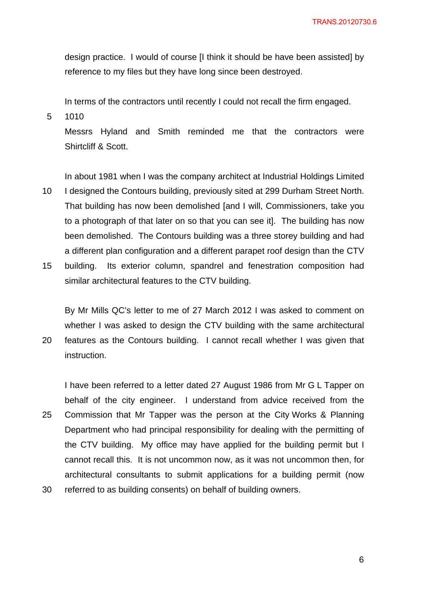design practice. I would of course [I think it should be have been assisted] by reference to my files but they have long since been destroyed.

In terms of the contractors until recently I could not recall the firm engaged.

5 1010

20

Messrs Hyland and Smith reminded me that the contractors were Shirtcliff & Scott.

In about 1981 when I was the company architect at Industrial Holdings Limited

- 10 I designed the Contours building, previously sited at 299 Durham Street North. That building has now been demolished [and I will, Commissioners, take you to a photograph of that later on so that you can see it]. The building has now been demolished. The Contours building was a three storey building and had a different plan configuration and a different parapet roof design than the CTV
- 15 building. Its exterior column, spandrel and fenestration composition had similar architectural features to the CTV building.

By Mr Mills QC's letter to me of 27 March 2012 I was asked to comment on whether I was asked to design the CTV building with the same architectural features as the Contours building. I cannot recall whether I was given that instruction.

25 I have been referred to a letter dated 27 August 1986 from Mr G L Tapper on behalf of the city engineer. I understand from advice received from the Commission that Mr Tapper was the person at the City Works & Planning Department who had principal responsibility for dealing with the permitting of the CTV building. My office may have applied for the building permit but I cannot recall this. It is not uncommon now, as it was not uncommon then, for architectural consultants to submit applications for a building permit (now

30 referred to as building consents) on behalf of building owners.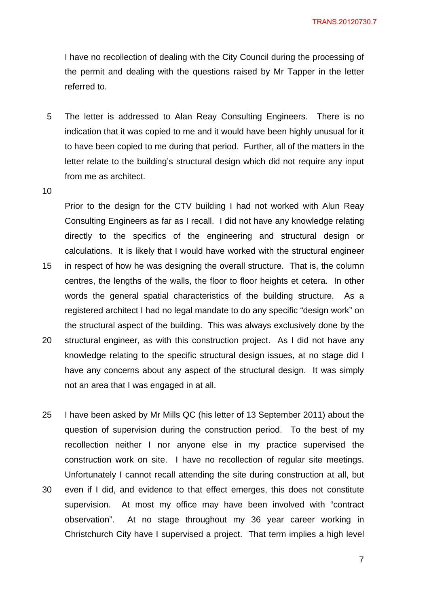I have no recollection of dealing with the City Council during the processing of the permit and dealing with the questions raised by Mr Tapper in the letter referred to.

- 5 The letter is addressed to Alan Reay Consulting Engineers. There is no indication that it was copied to me and it would have been highly unusual for it to have been copied to me during that period. Further, all of the matters in the letter relate to the building's structural design which did not require any input from me as architect.
- 10

15

20

Prior to the design for the CTV building I had not worked with Alun Reay Consulting Engineers as far as I recall. I did not have any knowledge relating directly to the specifics of the engineering and structural design or calculations. It is likely that I would have worked with the structural engineer in respect of how he was designing the overall structure. That is, the column centres, the lengths of the walls, the floor to floor heights et cetera. In other words the general spatial characteristics of the building structure. As a registered architect I had no legal mandate to do any specific "design work" on the structural aspect of the building. This was always exclusively done by the structural engineer, as with this construction project. As I did not have any knowledge relating to the specific structural design issues, at no stage did I

- have any concerns about any aspect of the structural design. It was simply not an area that I was engaged in at all.
- 25 30 I have been asked by Mr Mills QC (his letter of 13 September 2011) about the question of supervision during the construction period. To the best of my recollection neither I nor anyone else in my practice supervised the construction work on site. I have no recollection of regular site meetings. Unfortunately I cannot recall attending the site during construction at all, but even if I did, and evidence to that effect emerges, this does not constitute
- supervision. At most my office may have been involved with "contract observation". At no stage throughout my 36 year career working in Christchurch City have I supervised a project. That term implies a high level

7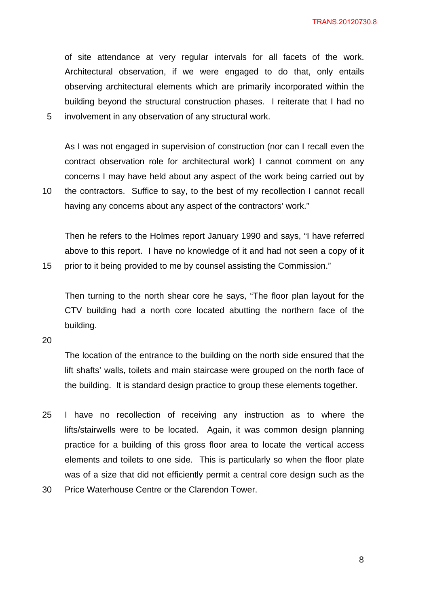of site attendance at very regular intervals for all facets of the work. Architectural observation, if we were engaged to do that, only entails observing architectural elements which are primarily incorporated within the building beyond the structural construction phases. I reiterate that I had no involvement in any observation of any structural work.

As I was not engaged in supervision of construction (nor can I recall even the contract observation role for architectural work) I cannot comment on any concerns I may have held about any aspect of the work being carried out by

10 the contractors. Suffice to say, to the best of my recollection I cannot recall having any concerns about any aspect of the contractors' work."

Then he refers to the Holmes report January 1990 and says, "I have referred above to this report. I have no knowledge of it and had not seen a copy of it prior to it being provided to me by counsel assisting the Commission."

Then turning to the north shear core he says, "The floor plan layout for the CTV building had a north core located abutting the northern face of the building.

20

15

5

The location of the entrance to the building on the north side ensured that the lift shafts' walls, toilets and main staircase were grouped on the north face of the building. It is standard design practice to group these elements together.

- 25 I have no recollection of receiving any instruction as to where the lifts/stairwells were to be located. Again, it was common design planning practice for a building of this gross floor area to locate the vertical access elements and toilets to one side. This is particularly so when the floor plate was of a size that did not efficiently permit a central core design such as the
- 30 Price Waterhouse Centre or the Clarendon Tower.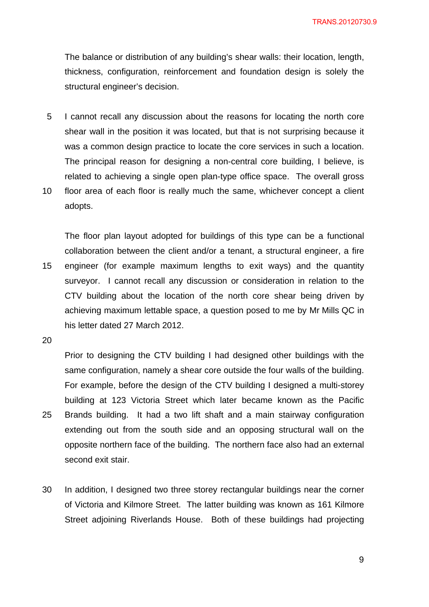The balance or distribution of any building's shear walls: their location, length, thickness, configuration, reinforcement and foundation design is solely the structural engineer's decision.

- 5 I cannot recall any discussion about the reasons for locating the north core shear wall in the position it was located, but that is not surprising because it was a common design practice to locate the core services in such a location. The principal reason for designing a non-central core building, I believe, is related to achieving a single open plan-type office space. The overall gross
- 10 floor area of each floor is really much the same, whichever concept a client adopts.

15 The floor plan layout adopted for buildings of this type can be a functional collaboration between the client and/or a tenant, a structural engineer, a fire engineer (for example maximum lengths to exit ways) and the quantity surveyor. I cannot recall any discussion or consideration in relation to the CTV building about the location of the north core shear being driven by achieving maximum lettable space, a question posed to me by Mr Mills QC in his letter dated 27 March 2012.

20

25

Prior to designing the CTV building I had designed other buildings with the same configuration, namely a shear core outside the four walls of the building. For example, before the design of the CTV building I designed a multi-storey building at 123 Victoria Street which later became known as the Pacific Brands building. It had a two lift shaft and a main stairway configuration extending out from the south side and an opposing structural wall on the opposite northern face of the building. The northern face also had an external second exit stair.

30 In addition, I designed two three storey rectangular buildings near the corner of Victoria and Kilmore Street. The latter building was known as 161 Kilmore Street adjoining Riverlands House. Both of these buildings had projecting

9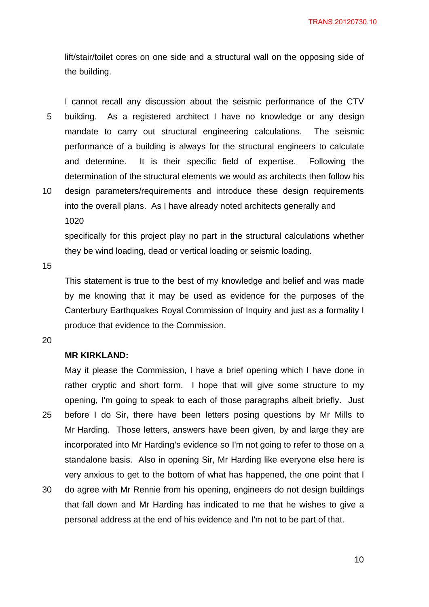lift/stair/toilet cores on one side and a structural wall on the opposing side of the building.

5 I cannot recall any discussion about the seismic performance of the CTV building. As a registered architect I have no knowledge or any design mandate to carry out structural engineering calculations. The seismic performance of a building is always for the structural engineers to calculate and determine. It is their specific field of expertise. Following the determination of the structural elements we would as architects then follow his

10 design parameters/requirements and introduce these design requirements into the overall plans. As I have already noted architects generally and 1020

specifically for this project play no part in the structural calculations whether they be wind loading, dead or vertical loading or seismic loading.

15

This statement is true to the best of my knowledge and belief and was made by me knowing that it may be used as evidence for the purposes of the Canterbury Earthquakes Royal Commission of Inquiry and just as a formality I produce that evidence to the Commission.

20

# **MR KIRKLAND:**

25 May it please the Commission, I have a brief opening which I have done in rather cryptic and short form. I hope that will give some structure to my opening, I'm going to speak to each of those paragraphs albeit briefly. Just before I do Sir, there have been letters posing questions by Mr Mills to Mr Harding. Those letters, answers have been given, by and large they are incorporated into Mr Harding's evidence so I'm not going to refer to those on a standalone basis. Also in opening Sir, Mr Harding like everyone else here is very anxious to get to the bottom of what has happened, the one point that I

30 do agree with Mr Rennie from his opening, engineers do not design buildings that fall down and Mr Harding has indicated to me that he wishes to give a personal address at the end of his evidence and I'm not to be part of that.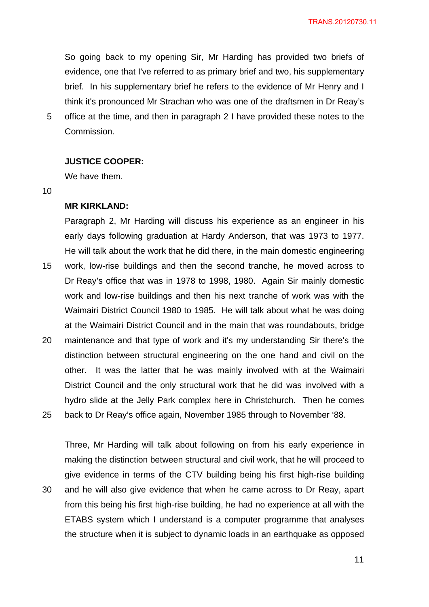So going back to my opening Sir, Mr Harding has provided two briefs of evidence, one that I've referred to as primary brief and two, his supplementary brief. In his supplementary brief he refers to the evidence of Mr Henry and I think it's pronounced Mr Strachan who was one of the draftsmen in Dr Reay's office at the time, and then in paragraph 2 I have provided these notes to the

Commission.

# **JUSTICE COOPER:**

We have them.

10

30

5

### **MR KIRKLAND:**

15 20 25 Paragraph 2, Mr Harding will discuss his experience as an engineer in his early days following graduation at Hardy Anderson, that was 1973 to 1977. He will talk about the work that he did there, in the main domestic engineering work, low-rise buildings and then the second tranche, he moved across to Dr Reay's office that was in 1978 to 1998, 1980. Again Sir mainly domestic work and low-rise buildings and then his next tranche of work was with the Waimairi District Council 1980 to 1985. He will talk about what he was doing at the Waimairi District Council and in the main that was roundabouts, bridge maintenance and that type of work and it's my understanding Sir there's the distinction between structural engineering on the one hand and civil on the other. It was the latter that he was mainly involved with at the Waimairi District Council and the only structural work that he did was involved with a hydro slide at the Jelly Park complex here in Christchurch. Then he comes back to Dr Reay's office again, November 1985 through to November '88.

Three, Mr Harding will talk about following on from his early experience in making the distinction between structural and civil work, that he will proceed to give evidence in terms of the CTV building being his first high-rise building and he will also give evidence that when he came across to Dr Reay, apart from this being his first high-rise building, he had no experience at all with the ETABS system which I understand is a computer programme that analyses the structure when it is subject to dynamic loads in an earthquake as opposed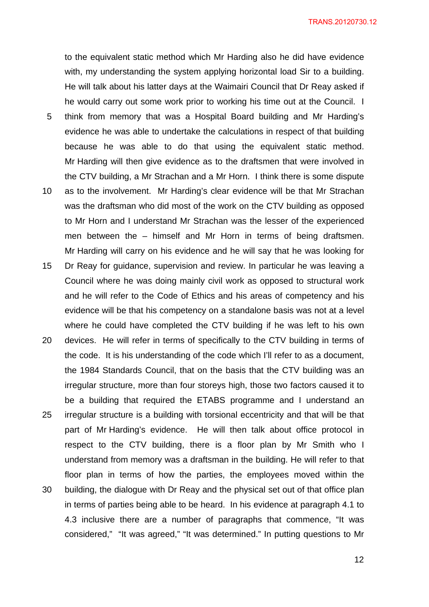to the equivalent static method which Mr Harding also he did have evidence with, my understanding the system applying horizontal load Sir to a building. He will talk about his latter days at the Waimairi Council that Dr Reay asked if he would carry out some work prior to working his time out at the Council. I

- 5 think from memory that was a Hospital Board building and Mr Harding's evidence he was able to undertake the calculations in respect of that building because he was able to do that using the equivalent static method. Mr Harding will then give evidence as to the draftsmen that were involved in the CTV building, a Mr Strachan and a Mr Horn. I think there is some dispute
- 10 as to the involvement. Mr Harding's clear evidence will be that Mr Strachan was the draftsman who did most of the work on the CTV building as opposed to Mr Horn and I understand Mr Strachan was the lesser of the experienced men between the – himself and Mr Horn in terms of being draftsmen. Mr Harding will carry on his evidence and he will say that he was looking for
- 15 Dr Reay for guidance, supervision and review. In particular he was leaving a Council where he was doing mainly civil work as opposed to structural work and he will refer to the Code of Ethics and his areas of competency and his evidence will be that his competency on a standalone basis was not at a level where he could have completed the CTV building if he was left to his own
- 20 25 30 devices. He will refer in terms of specifically to the CTV building in terms of the code. It is his understanding of the code which I'll refer to as a document, the 1984 Standards Council, that on the basis that the CTV building was an irregular structure, more than four storeys high, those two factors caused it to be a building that required the ETABS programme and I understand an irregular structure is a building with torsional eccentricity and that will be that part of Mr Harding's evidence. He will then talk about office protocol in respect to the CTV building, there is a floor plan by Mr Smith who I understand from memory was a draftsman in the building. He will refer to that floor plan in terms of how the parties, the employees moved within the building, the dialogue with Dr Reay and the physical set out of that office plan in terms of parties being able to be heard. In his evidence at paragraph 4.1 to 4.3 inclusive there are a number of paragraphs that commence, "It was considered," "It was agreed," "It was determined." In putting questions to Mr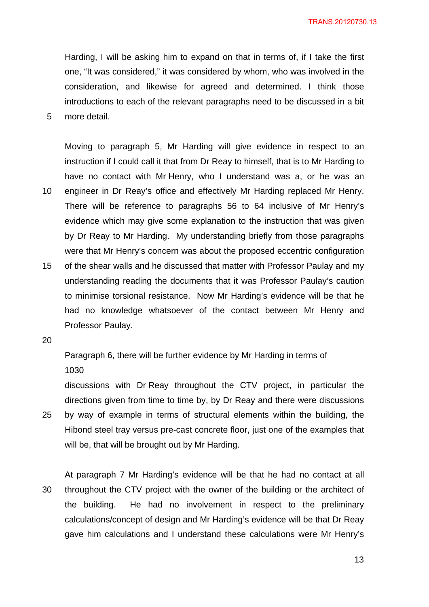Harding, I will be asking him to expand on that in terms of, if I take the first one, "It was considered," it was considered by whom, who was involved in the consideration, and likewise for agreed and determined. I think those introductions to each of the relevant paragraphs need to be discussed in a bit more detail.

Moving to paragraph 5, Mr Harding will give evidence in respect to an instruction if I could call it that from Dr Reay to himself, that is to Mr Harding to have no contact with Mr Henry, who I understand was a, or he was an engineer in Dr Reay's office and effectively Mr Harding replaced Mr Henry. There will be reference to paragraphs 56 to 64 inclusive of Mr Henry's

- evidence which may give some explanation to the instruction that was given by Dr Reay to Mr Harding. My understanding briefly from those paragraphs were that Mr Henry's concern was about the proposed eccentric configuration
- 15 of the shear walls and he discussed that matter with Professor Paulay and my understanding reading the documents that it was Professor Paulay's caution to minimise torsional resistance. Now Mr Harding's evidence will be that he had no knowledge whatsoever of the contact between Mr Henry and Professor Paulay.
- 20

5

10

Paragraph 6, there will be further evidence by Mr Harding in terms of 1030

25 discussions with Dr Reay throughout the CTV project, in particular the directions given from time to time by, by Dr Reay and there were discussions by way of example in terms of structural elements within the building, the Hibond steel tray versus pre-cast concrete floor, just one of the examples that will be, that will be brought out by Mr Harding.

30 At paragraph 7 Mr Harding's evidence will be that he had no contact at all throughout the CTV project with the owner of the building or the architect of the building. He had no involvement in respect to the preliminary calculations/concept of design and Mr Harding's evidence will be that Dr Reay gave him calculations and I understand these calculations were Mr Henry's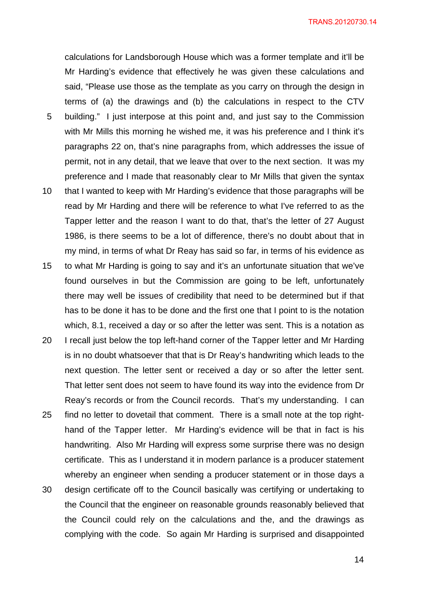calculations for Landsborough House which was a former template and it'll be Mr Harding's evidence that effectively he was given these calculations and said, "Please use those as the template as you carry on through the design in terms of (a) the drawings and (b) the calculations in respect to the CTV

- 5 building." I just interpose at this point and, and just say to the Commission with Mr Mills this morning he wished me, it was his preference and I think it's paragraphs 22 on, that's nine paragraphs from, which addresses the issue of permit, not in any detail, that we leave that over to the next section. It was my preference and I made that reasonably clear to Mr Mills that given the syntax
- 10 that I wanted to keep with Mr Harding's evidence that those paragraphs will be read by Mr Harding and there will be reference to what I've referred to as the Tapper letter and the reason I want to do that, that's the letter of 27 August 1986, is there seems to be a lot of difference, there's no doubt about that in my mind, in terms of what Dr Reay has said so far, in terms of his evidence as
- 15 to what Mr Harding is going to say and it's an unfortunate situation that we've found ourselves in but the Commission are going to be left, unfortunately there may well be issues of credibility that need to be determined but if that has to be done it has to be done and the first one that I point to is the notation which, 8.1, received a day or so after the letter was sent. This is a notation as
- 20 25 I recall just below the top left-hand corner of the Tapper letter and Mr Harding is in no doubt whatsoever that that is Dr Reay's handwriting which leads to the next question. The letter sent or received a day or so after the letter sent. That letter sent does not seem to have found its way into the evidence from Dr Reay's records or from the Council records. That's my understanding. I can find no letter to dovetail that comment. There is a small note at the top righthand of the Tapper letter. Mr Harding's evidence will be that in fact is his
- 30 handwriting. Also Mr Harding will express some surprise there was no design certificate. This as I understand it in modern parlance is a producer statement whereby an engineer when sending a producer statement or in those days a design certificate off to the Council basically was certifying or undertaking to the Council that the engineer on reasonable grounds reasonably believed that the Council could rely on the calculations and the, and the drawings as complying with the code. So again Mr Harding is surprised and disappointed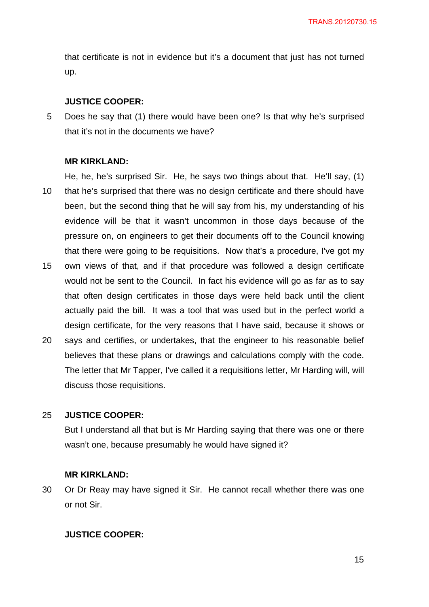that certificate is not in evidence but it's a document that just has not turned up.

### **JUSTICE COOPER:**

5 Does he say that (1) there would have been one? Is that why he's surprised that it's not in the documents we have?

#### **MR KIRKLAND:**

10 He, he, he's surprised Sir. He, he says two things about that. He'll say, (1) that he's surprised that there was no design certificate and there should have been, but the second thing that he will say from his, my understanding of his evidence will be that it wasn't uncommon in those days because of the pressure on, on engineers to get their documents off to the Council knowing that there were going to be requisitions. Now that's a procedure, I've got my

- 15 own views of that, and if that procedure was followed a design certificate would not be sent to the Council. In fact his evidence will go as far as to say that often design certificates in those days were held back until the client actually paid the bill. It was a tool that was used but in the perfect world a design certificate, for the very reasons that I have said, because it shows or
- 20 says and certifies, or undertakes, that the engineer to his reasonable belief believes that these plans or drawings and calculations comply with the code. The letter that Mr Tapper, I've called it a requisitions letter, Mr Harding will, will discuss those requisitions.

#### 25 **JUSTICE COOPER:**

But I understand all that but is Mr Harding saying that there was one or there wasn't one, because presumably he would have signed it?

### **MR KIRKLAND:**

30 Or Dr Reay may have signed it Sir. He cannot recall whether there was one or not Sir.

#### **JUSTICE COOPER:**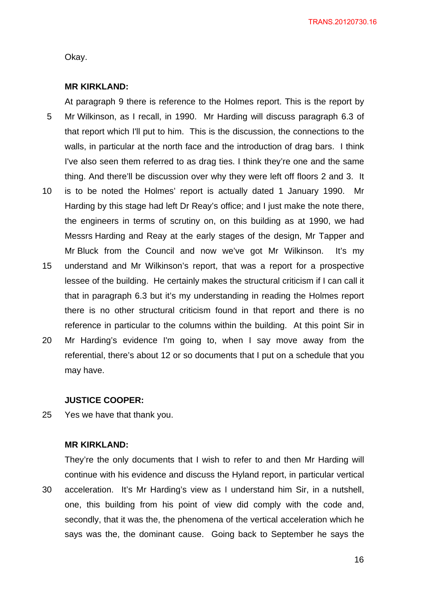Okay.

### **MR KIRKLAND:**

5 10 At paragraph 9 there is reference to the Holmes report. This is the report by Mr Wilkinson, as I recall, in 1990. Mr Harding will discuss paragraph 6.3 of that report which I'll put to him. This is the discussion, the connections to the walls, in particular at the north face and the introduction of drag bars. I think I've also seen them referred to as drag ties. I think they're one and the same thing. And there'll be discussion over why they were left off floors 2 and 3. It is to be noted the Holmes' report is actually dated 1 January 1990. Mr Harding by this stage had left Dr Reay's office; and I just make the note there, the engineers in terms of scrutiny on, on this building as at 1990, we had Messrs Harding and Reay at the early stages of the design, Mr Tapper and Mr Bluck from the Council and now we've got Mr Wilkinson. It's my

- 15 understand and Mr Wilkinson's report, that was a report for a prospective lessee of the building. He certainly makes the structural criticism if I can call it that in paragraph 6.3 but it's my understanding in reading the Holmes report there is no other structural criticism found in that report and there is no reference in particular to the columns within the building. At this point Sir in
- 20 Mr Harding's evidence I'm going to, when I say move away from the referential, there's about 12 or so documents that I put on a schedule that you may have.

#### **JUSTICE COOPER:**

25 Yes we have that thank you.

# **MR KIRKLAND:**

30 They're the only documents that I wish to refer to and then Mr Harding will continue with his evidence and discuss the Hyland report, in particular vertical acceleration. It's Mr Harding's view as I understand him Sir, in a nutshell, one, this building from his point of view did comply with the code and, secondly, that it was the, the phenomena of the vertical acceleration which he says was the, the dominant cause. Going back to September he says the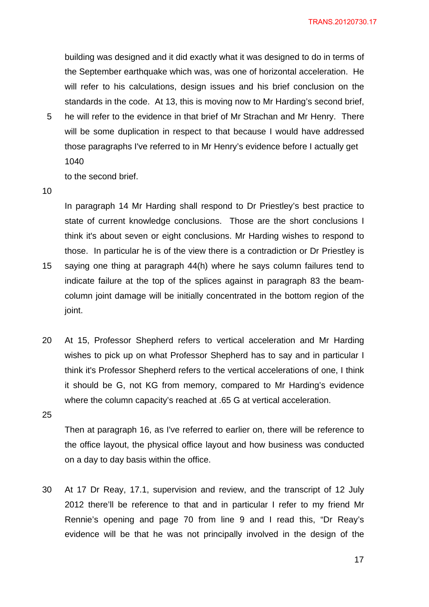building was designed and it did exactly what it was designed to do in terms of the September earthquake which was, was one of horizontal acceleration. He will refer to his calculations, design issues and his brief conclusion on the standards in the code. At 13, this is moving now to Mr Harding's second brief,

5 he will refer to the evidence in that brief of Mr Strachan and Mr Henry. There will be some duplication in respect to that because I would have addressed those paragraphs I've referred to in Mr Henry's evidence before I actually get 1040

to the second brief.

10

15

In paragraph 14 Mr Harding shall respond to Dr Priestley's best practice to state of current knowledge conclusions. Those are the short conclusions I think it's about seven or eight conclusions. Mr Harding wishes to respond to those. In particular he is of the view there is a contradiction or Dr Priestley is saying one thing at paragraph 44(h) where he says column failures tend to indicate failure at the top of the splices against in paragraph 83 the beamcolumn joint damage will be initially concentrated in the bottom region of the

joint.

20 At 15, Professor Shepherd refers to vertical acceleration and Mr Harding wishes to pick up on what Professor Shepherd has to say and in particular I think it's Professor Shepherd refers to the vertical accelerations of one, I think it should be G, not KG from memory, compared to Mr Harding's evidence where the column capacity's reached at .65 G at vertical acceleration.

25

Then at paragraph 16, as I've referred to earlier on, there will be reference to the office layout, the physical office layout and how business was conducted on a day to day basis within the office.

30 At 17 Dr Reay, 17.1, supervision and review, and the transcript of 12 July 2012 there'll be reference to that and in particular I refer to my friend Mr Rennie's opening and page 70 from line 9 and I read this, "Dr Reay's evidence will be that he was not principally involved in the design of the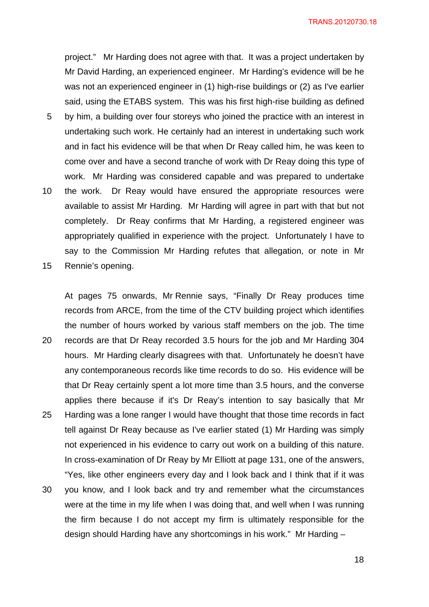project." Mr Harding does not agree with that. It was a project undertaken by Mr David Harding, an experienced engineer. Mr Harding's evidence will be he was not an experienced engineer in (1) high-rise buildings or (2) as I've earlier said, using the ETABS system. This was his first high-rise building as defined by him, a building over four storeys who joined the practice with an interest in undertaking such work. He certainly had an interest in undertaking such work and in fact his evidence will be that when Dr Reay called him, he was keen to come over and have a second tranche of work with Dr Reay doing this type of work. Mr Harding was considered capable and was prepared to undertake the work. Dr Reay would have ensured the appropriate resources were available to assist Mr Harding. Mr Harding will agree in part with that but not completely. Dr Reay confirms that Mr Harding, a registered engineer was appropriately qualified in experience with the project. Unfortunately I have to say to the Commission Mr Harding refutes that allegation, or note in Mr

15 Rennie's opening.

5

10

20 25 At pages 75 onwards, Mr Rennie says, "Finally Dr Reay produces time records from ARCE, from the time of the CTV building project which identifies the number of hours worked by various staff members on the job. The time records are that Dr Reay recorded 3.5 hours for the job and Mr Harding 304 hours. Mr Harding clearly disagrees with that. Unfortunately he doesn't have any contemporaneous records like time records to do so. His evidence will be that Dr Reay certainly spent a lot more time than 3.5 hours, and the converse applies there because if it's Dr Reay's intention to say basically that Mr Harding was a lone ranger I would have thought that those time records in fact tell against Dr Reay because as I've earlier stated (1) Mr Harding was simply not experienced in his evidence to carry out work on a building of this nature. In cross-examination of Dr Reay by Mr Elliott at page 131, one of the answers, "Yes, like other engineers every day and I look back and I think that if it was

30 you know, and I look back and try and remember what the circumstances were at the time in my life when I was doing that, and well when I was running the firm because I do not accept my firm is ultimately responsible for the design should Harding have any shortcomings in his work." Mr Harding –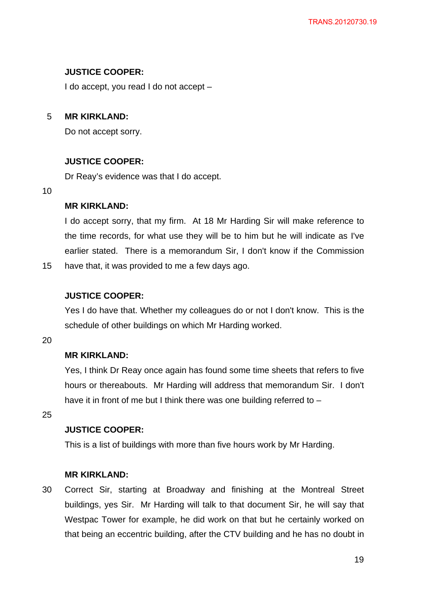# **JUSTICE COOPER:**

I do accept, you read I do not accept –

#### 5 **MR KIRKLAND:**

Do not accept sorry.

# **JUSTICE COOPER:**

Dr Reay's evidence was that I do accept.

#### 10

# **MR KIRKLAND:**

I do accept sorry, that my firm. At 18 Mr Harding Sir will make reference to the time records, for what use they will be to him but he will indicate as I've earlier stated. There is a memorandum Sir, I don't know if the Commission have that, it was provided to me a few days ago.

# **JUSTICE COOPER:**

Yes I do have that. Whether my colleagues do or not I don't know. This is the schedule of other buildings on which Mr Harding worked.

20

15

# **MR KIRKLAND:**

Yes, I think Dr Reay once again has found some time sheets that refers to five hours or thereabouts. Mr Harding will address that memorandum Sir. I don't have it in front of me but I think there was one building referred to –

25

# **JUSTICE COOPER:**

This is a list of buildings with more than five hours work by Mr Harding.

# **MR KIRKLAND:**

30 Correct Sir, starting at Broadway and finishing at the Montreal Street buildings, yes Sir. Mr Harding will talk to that document Sir, he will say that Westpac Tower for example, he did work on that but he certainly worked on that being an eccentric building, after the CTV building and he has no doubt in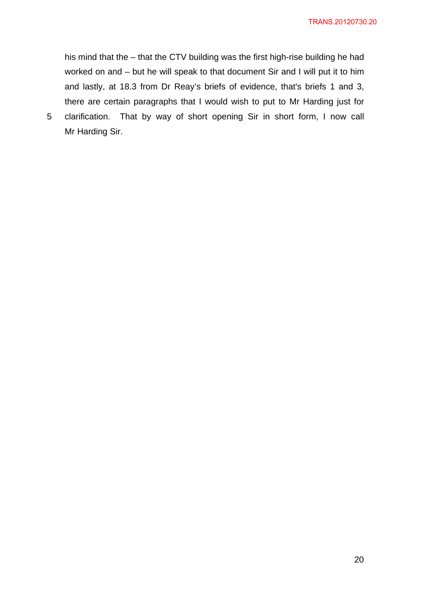his mind that the – that the CTV building was the first high-rise building he had worked on and – but he will speak to that document Sir and I will put it to him and lastly, at 18.3 from Dr Reay's briefs of evidence, that's briefs 1 and 3, there are certain paragraphs that I would wish to put to Mr Harding just for

5 clarification. That by way of short opening Sir in short form, I now call Mr Harding Sir.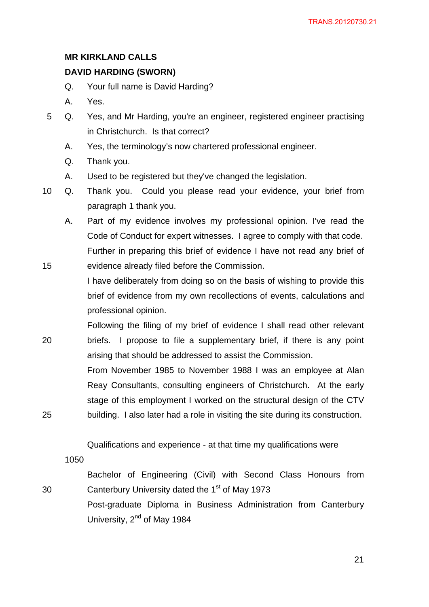# **MR KIRKLAND CALLS**

# **DAVID HARDING (SWORN)**

- Q. Your full name is David Harding?
- A. Yes.
- 5 Q. Yes, and Mr Harding, you're an engineer, registered engineer practising in Christchurch. Is that correct?
	- A. Yes, the terminology's now chartered professional engineer.
	- Q. Thank you.
	- A. Used to be registered but they've changed the legislation.
- 10 Q. Thank you. Could you please read your evidence, your brief from paragraph 1 thank you.
	- A. Part of my evidence involves my professional opinion. I've read the Code of Conduct for expert witnesses. I agree to comply with that code. Further in preparing this brief of evidence I have not read any brief of evidence already filed before the Commission.
	- I have deliberately from doing so on the basis of wishing to provide this brief of evidence from my own recollections of events, calculations and professional opinion.
- 20 Following the filing of my brief of evidence I shall read other relevant briefs. I propose to file a supplementary brief, if there is any point arising that should be addressed to assist the Commission.

From November 1985 to November 1988 I was an employee at Alan Reay Consultants, consulting engineers of Christchurch. At the early stage of this employment I worked on the structural design of the CTV building. I also later had a role in visiting the site during its construction.

Qualifications and experience - at that time my qualifications were

1050

15

25

30

Bachelor of Engineering (Civil) with Second Class Honours from Canterbury University dated the 1<sup>st</sup> of May 1973

Post-graduate Diploma in Business Administration from Canterbury University, 2<sup>nd</sup> of May 1984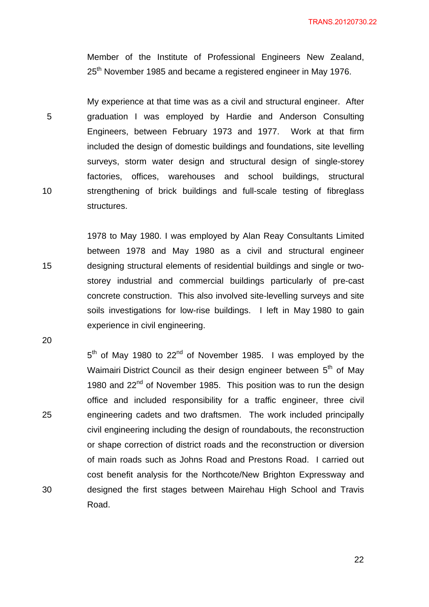Member of the Institute of Professional Engineers New Zealand, 25<sup>th</sup> November 1985 and became a registered engineer in May 1976.

5 10 My experience at that time was as a civil and structural engineer. After graduation I was employed by Hardie and Anderson Consulting Engineers, between February 1973 and 1977. Work at that firm included the design of domestic buildings and foundations, site levelling surveys, storm water design and structural design of single-storey factories, offices, warehouses and school buildings, structural strengthening of brick buildings and full-scale testing of fibreglass structures.

1978 to May 1980. I was employed by Alan Reay Consultants Limited between 1978 and May 1980 as a civil and structural engineer designing structural elements of residential buildings and single or twostorey industrial and commercial buildings particularly of pre-cast concrete construction. This also involved site-levelling surveys and site soils investigations for low-rise buildings. I left in May 1980 to gain experience in civil engineering.

20

25

30

15

 $5<sup>th</sup>$  of May 1980 to 22<sup>nd</sup> of November 1985. I was employed by the Waimairi District Council as their design engineer between 5<sup>th</sup> of May 1980 and 22<sup>nd</sup> of November 1985. This position was to run the design office and included responsibility for a traffic engineer, three civil engineering cadets and two draftsmen. The work included principally civil engineering including the design of roundabouts, the reconstruction or shape correction of district roads and the reconstruction or diversion of main roads such as Johns Road and Prestons Road. I carried out cost benefit analysis for the Northcote/New Brighton Expressway and designed the first stages between Mairehau High School and Travis Road.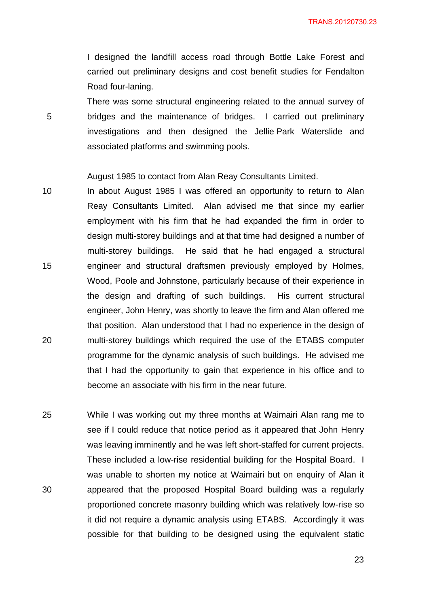I designed the landfill access road through Bottle Lake Forest and carried out preliminary designs and cost benefit studies for Fendalton Road four-laning.

There was some structural engineering related to the annual survey of bridges and the maintenance of bridges. I carried out preliminary investigations and then designed the Jellie Park Waterslide and associated platforms and swimming pools.

August 1985 to contact from Alan Reay Consultants Limited.

5

- 10 15 20 In about August 1985 I was offered an opportunity to return to Alan Reay Consultants Limited. Alan advised me that since my earlier employment with his firm that he had expanded the firm in order to design multi-storey buildings and at that time had designed a number of multi-storey buildings. He said that he had engaged a structural engineer and structural draftsmen previously employed by Holmes, Wood, Poole and Johnstone, particularly because of their experience in the design and drafting of such buildings. His current structural engineer, John Henry, was shortly to leave the firm and Alan offered me that position. Alan understood that I had no experience in the design of multi-storey buildings which required the use of the ETABS computer programme for the dynamic analysis of such buildings. He advised me that I had the opportunity to gain that experience in his office and to become an associate with his firm in the near future.
- 25 30 While I was working out my three months at Waimairi Alan rang me to see if I could reduce that notice period as it appeared that John Henry was leaving imminently and he was left short-staffed for current projects. These included a low-rise residential building for the Hospital Board. I was unable to shorten my notice at Waimairi but on enquiry of Alan it appeared that the proposed Hospital Board building was a regularly proportioned concrete masonry building which was relatively low-rise so it did not require a dynamic analysis using ETABS. Accordingly it was possible for that building to be designed using the equivalent static

<u>23</u>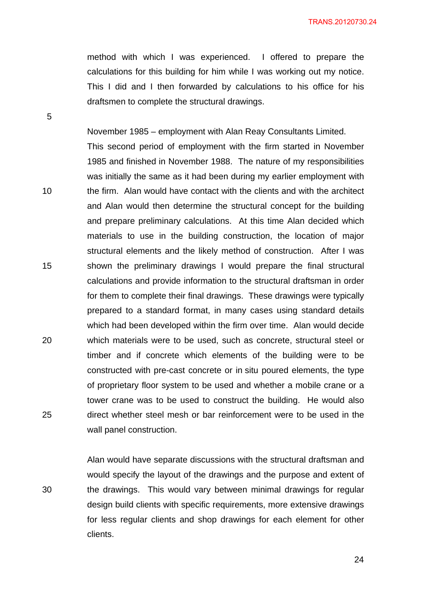method with which I was experienced. I offered to prepare the calculations for this building for him while I was working out my notice. This I did and I then forwarded by calculations to his office for his draftsmen to complete the structural drawings.

November 1985 – employment with Alan Reay Consultants Limited.

This second period of employment with the firm started in November 1985 and finished in November 1988. The nature of my responsibilities was initially the same as it had been during my earlier employment with the firm. Alan would have contact with the clients and with the architect and Alan would then determine the structural concept for the building and prepare preliminary calculations. At this time Alan decided which materials to use in the building construction, the location of major structural elements and the likely method of construction. After I was shown the preliminary drawings I would prepare the final structural calculations and provide information to the structural draftsman in order for them to complete their final drawings. These drawings were typically prepared to a standard format, in many cases using standard details which had been developed within the firm over time. Alan would decide which materials were to be used, such as concrete, structural steel or timber and if concrete which elements of the building were to be constructed with pre-cast concrete or in situ poured elements, the type of proprietary floor system to be used and whether a mobile crane or a tower crane was to be used to construct the building. He would also direct whether steel mesh or bar reinforcement were to be used in the wall panel construction.

Alan would have separate discussions with the structural draftsman and would specify the layout of the drawings and the purpose and extent of the drawings. This would vary between minimal drawings for regular design build clients with specific requirements, more extensive drawings for less regular clients and shop drawings for each element for other clients.

5

15

10

20

25

30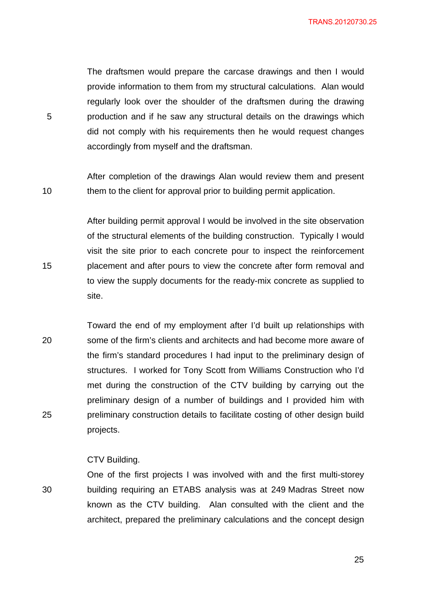The draftsmen would prepare the carcase drawings and then I would provide information to them from my structural calculations. Alan would regularly look over the shoulder of the draftsmen during the drawing production and if he saw any structural details on the drawings which did not comply with his requirements then he would request changes accordingly from myself and the draftsman.

After completion of the drawings Alan would review them and present them to the client for approval prior to building permit application.

After building permit approval I would be involved in the site observation of the structural elements of the building construction. Typically I would visit the site prior to each concrete pour to inspect the reinforcement placement and after pours to view the concrete after form removal and to view the supply documents for the ready-mix concrete as supplied to site.

20 25 Toward the end of my employment after I'd built up relationships with some of the firm's clients and architects and had become more aware of the firm's standard procedures I had input to the preliminary design of structures. I worked for Tony Scott from Williams Construction who I'd met during the construction of the CTV building by carrying out the preliminary design of a number of buildings and I provided him with preliminary construction details to facilitate costing of other design build projects.

### CTV Building.

5

10

15

30 One of the first projects I was involved with and the first multi-storey building requiring an ETABS analysis was at 249 Madras Street now known as the CTV building. Alan consulted with the client and the architect, prepared the preliminary calculations and the concept design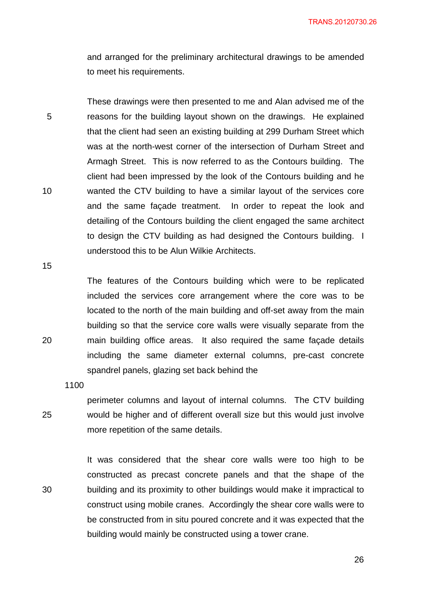and arranged for the preliminary architectural drawings to be amended to meet his requirements.

5 10 These drawings were then presented to me and Alan advised me of the reasons for the building layout shown on the drawings. He explained that the client had seen an existing building at 299 Durham Street which was at the north-west corner of the intersection of Durham Street and Armagh Street. This is now referred to as the Contours building. The client had been impressed by the look of the Contours building and he wanted the CTV building to have a similar layout of the services core and the same façade treatment. In order to repeat the look and detailing of the Contours building the client engaged the same architect to design the CTV building as had designed the Contours building. I understood this to be Alun Wilkie Architects.

15

20

The features of the Contours building which were to be replicated included the services core arrangement where the core was to be located to the north of the main building and off-set away from the main building so that the service core walls were visually separate from the main building office areas. It also required the same façade details including the same diameter external columns, pre-cast concrete spandrel panels, glazing set back behind the

1100

25

30

perimeter columns and layout of internal columns. The CTV building would be higher and of different overall size but this would just involve more repetition of the same details.

It was considered that the shear core walls were too high to be constructed as precast concrete panels and that the shape of the building and its proximity to other buildings would make it impractical to construct using mobile cranes. Accordingly the shear core walls were to be constructed from in situ poured concrete and it was expected that the building would mainly be constructed using a tower crane.

 $\sim$  26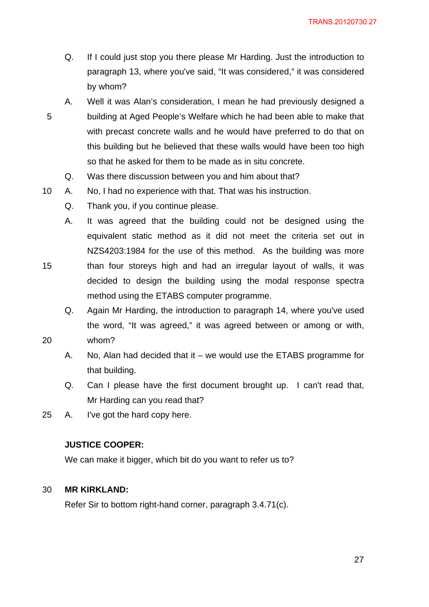- Q. If I could just stop you there please Mr Harding. Just the introduction to paragraph 13, where you've said, "It was considered," it was considered by whom?
- 5 A. Well it was Alan's consideration, I mean he had previously designed a building at Aged People's Welfare which he had been able to make that with precast concrete walls and he would have preferred to do that on this building but he believed that these walls would have been too high so that he asked for them to be made as in situ concrete.
	- Q. Was there discussion between you and him about that?
- 10 A. No, I had no experience with that. That was his instruction.
	- Q. Thank you, if you continue please.
	- A. It was agreed that the building could not be designed using the equivalent static method as it did not meet the criteria set out in NZS4203:1984 for the use of this method. As the building was more than four storeys high and had an irregular layout of walls, it was decided to design the building using the modal response spectra method using the ETABS computer programme.
	- Q. Again Mr Harding, the introduction to paragraph 14, where you've used the word, "It was agreed," it was agreed between or among or with, whom?
- 20

15

- A. No, Alan had decided that it we would use the ETABS programme for that building.
- Q. Can I please have the first document brought up. I can't read that, Mr Harding can you read that?
- 25 A. I've got the hard copy here.

## **JUSTICE COOPER:**

We can make it bigger, which bit do you want to refer us to?

#### 30 **MR KIRKLAND:**

Refer Sir to bottom right-hand corner, paragraph 3.4.71(c).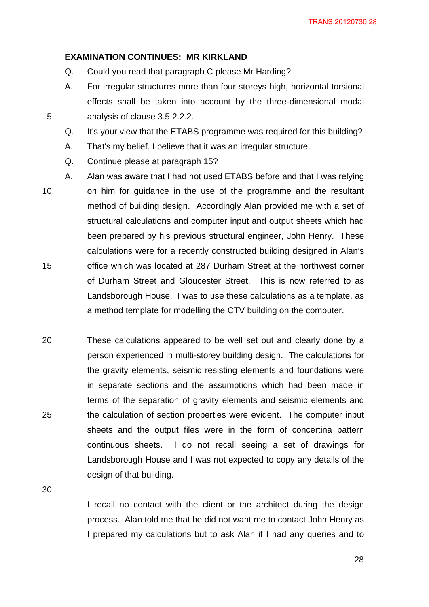#### **EXAMINATION CONTINUES: MR KIRKLAND**

- Q. Could you read that paragraph C please Mr Harding?
- A. For irregular structures more than four storeys high, horizontal torsional effects shall be taken into account by the three-dimensional modal analysis of clause 3.5.2.2.2.
- Q. It's your view that the ETABS programme was required for this building?
- A. That's my belief. I believe that it was an irregular structure.
- Q. Continue please at paragraph 15?
- 10 15 A. Alan was aware that I had not used ETABS before and that I was relying on him for guidance in the use of the programme and the resultant method of building design. Accordingly Alan provided me with a set of structural calculations and computer input and output sheets which had been prepared by his previous structural engineer, John Henry. These calculations were for a recently constructed building designed in Alan's office which was located at 287 Durham Street at the northwest corner of Durham Street and Gloucester Street. This is now referred to as Landsborough House. I was to use these calculations as a template, as a method template for modelling the CTV building on the computer.
- 20 25 These calculations appeared to be well set out and clearly done by a person experienced in multi-storey building design. The calculations for the gravity elements, seismic resisting elements and foundations were in separate sections and the assumptions which had been made in terms of the separation of gravity elements and seismic elements and the calculation of section properties were evident. The computer input sheets and the output files were in the form of concertina pattern continuous sheets. I do not recall seeing a set of drawings for Landsborough House and I was not expected to copy any details of the design of that building.

30

5

I recall no contact with the client or the architect during the design process. Alan told me that he did not want me to contact John Henry as I prepared my calculations but to ask Alan if I had any queries and to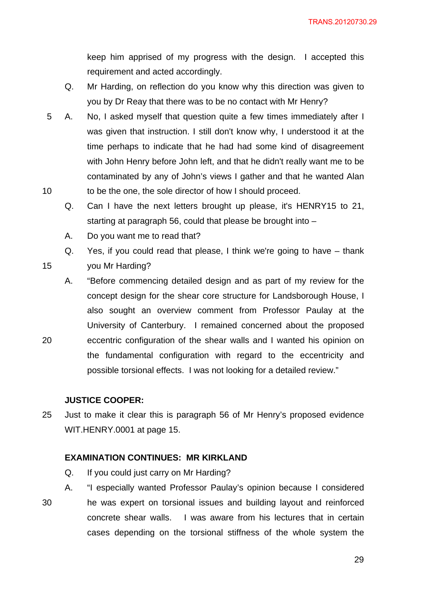keep him apprised of my progress with the design. I accepted this requirement and acted accordingly.

- Q. Mr Harding, on reflection do you know why this direction was given to you by Dr Reay that there was to be no contact with Mr Henry?
- 10 5 A. No, I asked myself that question quite a few times immediately after I was given that instruction. I still don't know why, I understood it at the time perhaps to indicate that he had had some kind of disagreement with John Henry before John left, and that he didn't really want me to be contaminated by any of John's views I gather and that he wanted Alan to be the one, the sole director of how I should proceed.
	- Q. Can I have the next letters brought up please, it's HENRY15 to 21, starting at paragraph 56, could that please be brought into –
	- A. Do you want me to read that?

Q. Yes, if you could read that please, I think we're going to have – thank

15

you Mr Harding?

20

A. "Before commencing detailed design and as part of my review for the concept design for the shear core structure for Landsborough House, I also sought an overview comment from Professor Paulay at the University of Canterbury. I remained concerned about the proposed eccentric configuration of the shear walls and I wanted his opinion on the fundamental configuration with regard to the eccentricity and possible torsional effects. I was not looking for a detailed review."

### **JUSTICE COOPER:**

25 Just to make it clear this is paragraph 56 of Mr Henry's proposed evidence WIT.HENRY.0001 at page 15.

# **EXAMINATION CONTINUES: MR KIRKLAND**

- Q. If you could just carry on Mr Harding?
- 30 A. "I especially wanted Professor Paulay's opinion because I considered he was expert on torsional issues and building layout and reinforced concrete shear walls. I was aware from his lectures that in certain cases depending on the torsional stiffness of the whole system the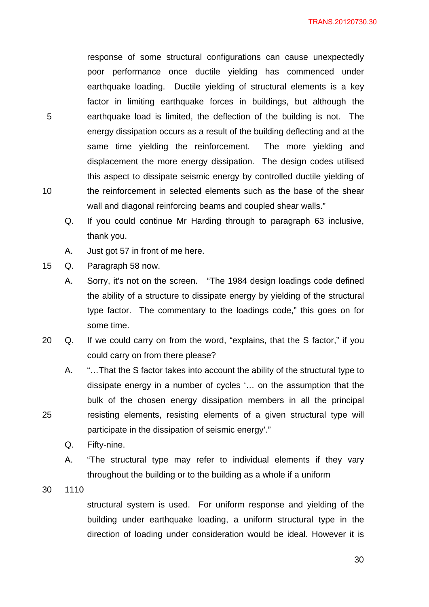response of some structural configurations can cause unexpectedly poor performance once ductile yielding has commenced under earthquake loading. Ductile yielding of structural elements is a key factor in limiting earthquake forces in buildings, but although the earthquake load is limited, the deflection of the building is not. The energy dissipation occurs as a result of the building deflecting and at the same time yielding the reinforcement. The more yielding and displacement the more energy dissipation. The design codes utilised this aspect to dissipate seismic energy by controlled ductile yielding of the reinforcement in selected elements such as the base of the shear wall and diagonal reinforcing beams and coupled shear walls."

- Q. If you could continue Mr Harding through to paragraph 63 inclusive, thank you.
- A. Just got 57 in front of me here.

15 Q. Paragraph 58 now.

- A. Sorry, it's not on the screen. "The 1984 design loadings code defined the ability of a structure to dissipate energy by yielding of the structural type factor. The commentary to the loadings code," this goes on for some time.
- 20 Q. If we could carry on from the word, "explains, that the S factor," if you could carry on from there please?
	- A. "…That the S factor takes into account the ability of the structural type to dissipate energy in a number of cycles '… on the assumption that the bulk of the chosen energy dissipation members in all the principal resisting elements, resisting elements of a given structural type will participate in the dissipation of seismic energy'."
	- Q. Fifty-nine.
	- A. "The structural type may refer to individual elements if they vary throughout the building or to the building as a whole if a uniform

30 1110

25

structural system is used. For uniform response and yielding of the building under earthquake loading, a uniform structural type in the direction of loading under consideration would be ideal. However it is

5

10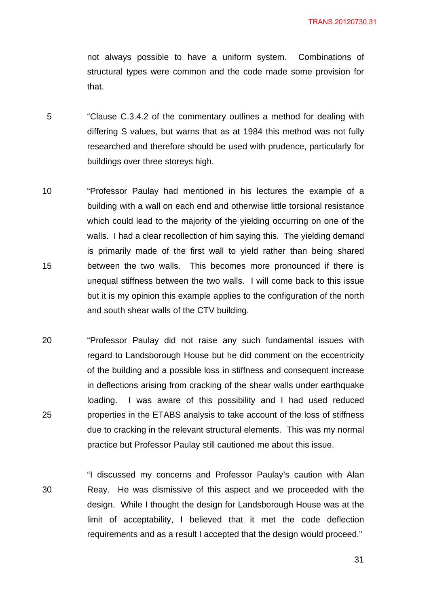not always possible to have a uniform system. Combinations of structural types were common and the code made some provision for that.

- 5 "Clause C.3.4.2 of the commentary outlines a method for dealing with differing S values, but warns that as at 1984 this method was not fully researched and therefore should be used with prudence, particularly for buildings over three storeys high.
- 10 15 "Professor Paulay had mentioned in his lectures the example of a building with a wall on each end and otherwise little torsional resistance which could lead to the majority of the yielding occurring on one of the walls. I had a clear recollection of him saying this. The yielding demand is primarily made of the first wall to yield rather than being shared between the two walls. This becomes more pronounced if there is unequal stiffness between the two walls. I will come back to this issue but it is my opinion this example applies to the configuration of the north and south shear walls of the CTV building.
- 20 25 "Professor Paulay did not raise any such fundamental issues with regard to Landsborough House but he did comment on the eccentricity of the building and a possible loss in stiffness and consequent increase in deflections arising from cracking of the shear walls under earthquake loading. I was aware of this possibility and I had used reduced properties in the ETABS analysis to take account of the loss of stiffness due to cracking in the relevant structural elements. This was my normal practice but Professor Paulay still cautioned me about this issue.

"I discussed my concerns and Professor Paulay's caution with Alan Reay. He was dismissive of this aspect and we proceeded with the design. While I thought the design for Landsborough House was at the limit of acceptability, I believed that it met the code deflection requirements and as a result I accepted that the design would proceed."

30

31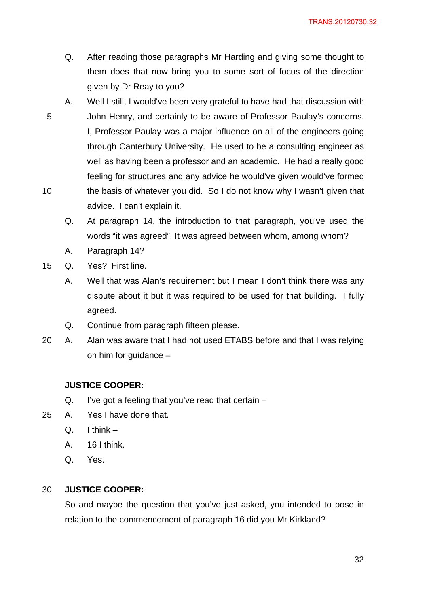- Q. After reading those paragraphs Mr Harding and giving some thought to them does that now bring you to some sort of focus of the direction given by Dr Reay to you?
- 5 10 A. Well I still, I would've been very grateful to have had that discussion with John Henry, and certainly to be aware of Professor Paulay's concerns. I, Professor Paulay was a major influence on all of the engineers going through Canterbury University. He used to be a consulting engineer as well as having been a professor and an academic. He had a really good feeling for structures and any advice he would've given would've formed the basis of whatever you did. So I do not know why I wasn't given that advice. I can't explain it.
	- Q. At paragraph 14, the introduction to that paragraph, you've used the words "it was agreed". It was agreed between whom, among whom?
	- A. Paragraph 14?
- 15 Q. Yes? First line.
	- A. Well that was Alan's requirement but I mean I don't think there was any dispute about it but it was required to be used for that building. I fully agreed.
	- Q. Continue from paragraph fifteen please.
- 20 A. Alan was aware that I had not used ETABS before and that I was relying on him for guidance –

# **JUSTICE COOPER:**

- Q. I've got a feeling that you've read that certain –
- 25 A. Yes I have done that.
	- $Q.$  I think  $-$
	- A. 16 I think.
	- Q. Yes.

#### 30 **JUSTICE COOPER:**

So and maybe the question that you've just asked, you intended to pose in relation to the commencement of paragraph 16 did you Mr Kirkland?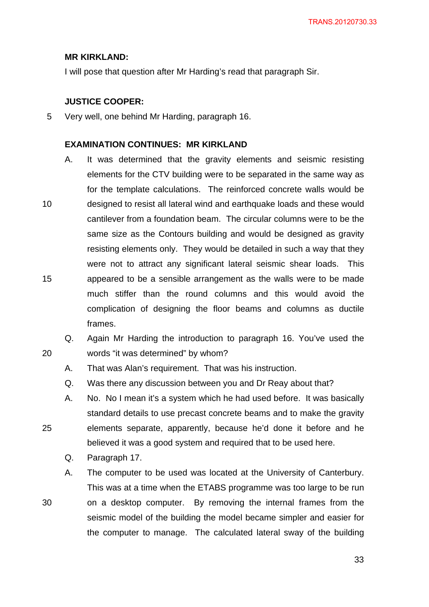### **MR KIRKLAND:**

I will pose that question after Mr Harding's read that paragraph Sir.

# **JUSTICE COOPER:**

5 Very well, one behind Mr Harding, paragraph 16.

#### **EXAMINATION CONTINUES: MR KIRKLAND**

- 10 15 A. It was determined that the gravity elements and seismic resisting elements for the CTV building were to be separated in the same way as for the template calculations. The reinforced concrete walls would be designed to resist all lateral wind and earthquake loads and these would cantilever from a foundation beam. The circular columns were to be the same size as the Contours building and would be designed as gravity resisting elements only. They would be detailed in such a way that they were not to attract any significant lateral seismic shear loads. This appeared to be a sensible arrangement as the walls were to be made much stiffer than the round columns and this would avoid the complication of designing the floor beams and columns as ductile frames.
- 20 Q. Again Mr Harding the introduction to paragraph 16. You've used the words "it was determined" by whom?
	- A. That was Alan's requirement. That was his instruction.
	- Q. Was there any discussion between you and Dr Reay about that?
	- A. No. No I mean it's a system which he had used before. It was basically standard details to use precast concrete beams and to make the gravity elements separate, apparently, because he'd done it before and he believed it was a good system and required that to be used here.
		- Q. Paragraph 17.

25

- A. The computer to be used was located at the University of Canterbury. This was at a time when the ETABS programme was too large to be run
- 30 on a desktop computer. By removing the internal frames from the seismic model of the building the model became simpler and easier for the computer to manage. The calculated lateral sway of the building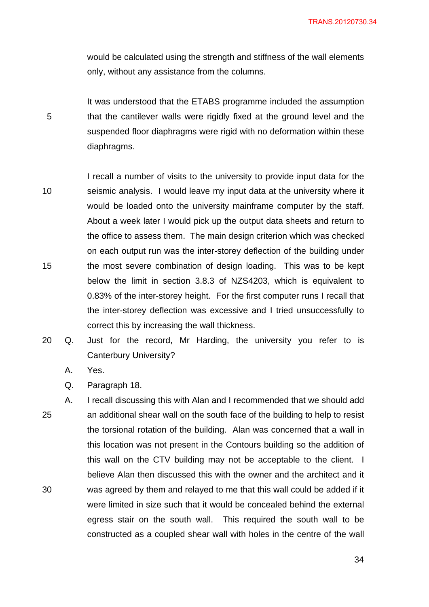would be calculated using the strength and stiffness of the wall elements only, without any assistance from the columns.

5 It was understood that the ETABS programme included the assumption that the cantilever walls were rigidly fixed at the ground level and the suspended floor diaphragms were rigid with no deformation within these diaphragms.

- 10 15 I recall a number of visits to the university to provide input data for the seismic analysis. I would leave my input data at the university where it would be loaded onto the university mainframe computer by the staff. About a week later I would pick up the output data sheets and return to the office to assess them. The main design criterion which was checked on each output run was the inter-storey deflection of the building under the most severe combination of design loading. This was to be kept below the limit in section 3.8.3 of NZS4203, which is equivalent to 0.83% of the inter-storey height. For the first computer runs I recall that the inter-storey deflection was excessive and I tried unsuccessfully to correct this by increasing the wall thickness.
- 20 Q. Just for the record, Mr Harding, the university you refer to is Canterbury University?
	- A. Yes.

Q. Paragraph 18.

25 30 A. I recall discussing this with Alan and I recommended that we should add an additional shear wall on the south face of the building to help to resist the torsional rotation of the building. Alan was concerned that a wall in this location was not present in the Contours building so the addition of this wall on the CTV building may not be acceptable to the client. I believe Alan then discussed this with the owner and the architect and it was agreed by them and relayed to me that this wall could be added if it were limited in size such that it would be concealed behind the external egress stair on the south wall. This required the south wall to be constructed as a coupled shear wall with holes in the centre of the wall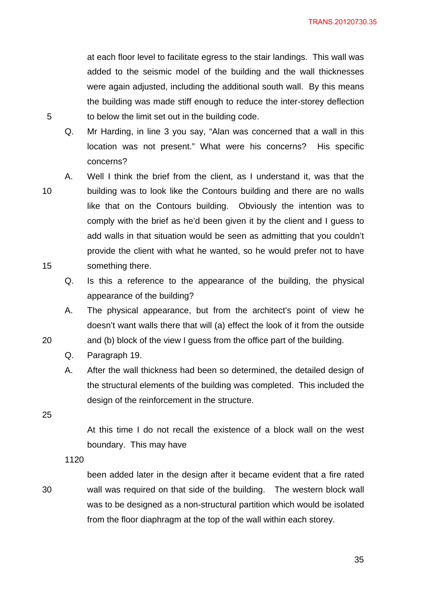at each floor level to facilitate egress to the stair landings. This wall was added to the seismic model of the building and the wall thicknesses were again adjusted, including the additional south wall. By this means the building was made stiff enough to reduce the inter-storey deflection to below the limit set out in the building code.

Q. Mr Harding, in line 3 you say, "Alan was concerned that a wall in this location was not present." What were his concerns? His specific concerns?

A. Well I think the brief from the client, as I understand it, was that the

building was to look like the Contours building and there are no walls

like that on the Contours building. Obviously the intention was to

10

5

15

20

comply with the brief as he'd been given it by the client and I guess to add walls in that situation would be seen as admitting that you couldn't provide the client with what he wanted, so he would prefer not to have something there.

Q. Is this a reference to the appearance of the building, the physical appearance of the building?

A. The physical appearance, but from the architect's point of view he doesn't want walls there that will (a) effect the look of it from the outside and (b) block of the view I guess from the office part of the building.

Q. Paragraph 19.

A. After the wall thickness had been so determined, the detailed design of the structural elements of the building was completed. This included the design of the reinforcement in the structure.

25

At this time I do not recall the existence of a block wall on the west boundary. This may have

1120

30

been added later in the design after it became evident that a fire rated wall was required on that side of the building. The western block wall was to be designed as a non-structural partition which would be isolated from the floor diaphragm at the top of the wall within each storey.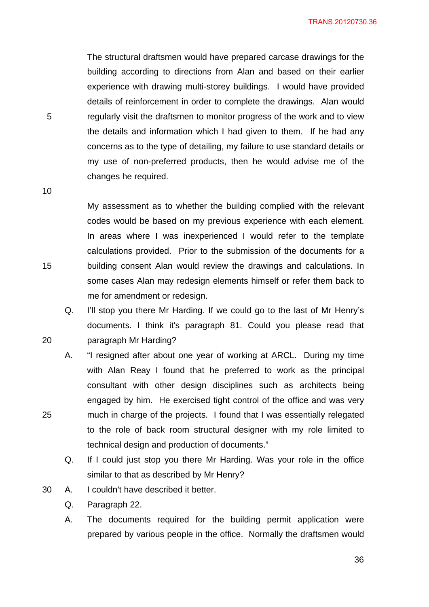The structural draftsmen would have prepared carcase drawings for the building according to directions from Alan and based on their earlier experience with drawing multi-storey buildings. I would have provided details of reinforcement in order to complete the drawings. Alan would regularly visit the draftsmen to monitor progress of the work and to view the details and information which I had given to them. If he had any concerns as to the type of detailing, my failure to use standard details or my use of non-preferred products, then he would advise me of the changes he required.

10

15

20

25

5

My assessment as to whether the building complied with the relevant codes would be based on my previous experience with each element. In areas where I was inexperienced I would refer to the template calculations provided. Prior to the submission of the documents for a building consent Alan would review the drawings and calculations. In some cases Alan may redesign elements himself or refer them back to me for amendment or redesign.

Q. I'll stop you there Mr Harding. If we could go to the last of Mr Henry's documents. I think it's paragraph 81. Could you please read that paragraph Mr Harding?

A. "I resigned after about one year of working at ARCL. During my time with Alan Reay I found that he preferred to work as the principal consultant with other design disciplines such as architects being engaged by him. He exercised tight control of the office and was very much in charge of the projects. I found that I was essentially relegated to the role of back room structural designer with my role limited to technical design and production of documents."

Q. If I could just stop you there Mr Harding. Was your role in the office similar to that as described by Mr Henry?

30 A. I couldn't have described it better.

Q. Paragraph 22.

A. The documents required for the building permit application were prepared by various people in the office. Normally the draftsmen would

 $36$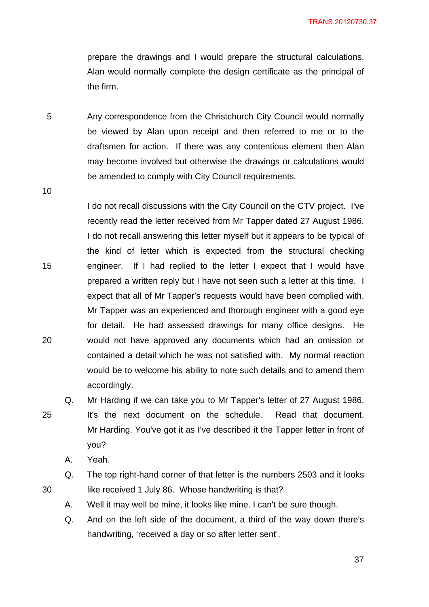prepare the drawings and I would prepare the structural calculations. Alan would normally complete the design certificate as the principal of the firm.

5 Any correspondence from the Christchurch City Council would normally be viewed by Alan upon receipt and then referred to me or to the draftsmen for action. If there was any contentious element then Alan may become involved but otherwise the drawings or calculations would be amended to comply with City Council requirements.

10

15

20

25

I do not recall discussions with the City Council on the CTV project. I've recently read the letter received from Mr Tapper dated 27 August 1986. I do not recall answering this letter myself but it appears to be typical of the kind of letter which is expected from the structural checking engineer. If I had replied to the letter I expect that I would have prepared a written reply but I have not seen such a letter at this time. I expect that all of Mr Tapper's requests would have been complied with. Mr Tapper was an experienced and thorough engineer with a good eye for detail. He had assessed drawings for many office designs. He would not have approved any documents which had an omission or contained a detail which he was not satisfied with. My normal reaction would be to welcome his ability to note such details and to amend them accordingly.

Q. Mr Harding if we can take you to Mr Tapper's letter of 27 August 1986. It's the next document on the schedule. Read that document. Mr Harding. You've got it as I've described it the Tapper letter in front of you?

A. Yeah.

Q. The top right-hand corner of that letter is the numbers 2503 and it looks like received 1 July 86. Whose handwriting is that?

- A. Well it may well be mine, it looks like mine. I can't be sure though.
- Q. And on the left side of the document, a third of the way down there's handwriting, 'received a day or so after letter sent'.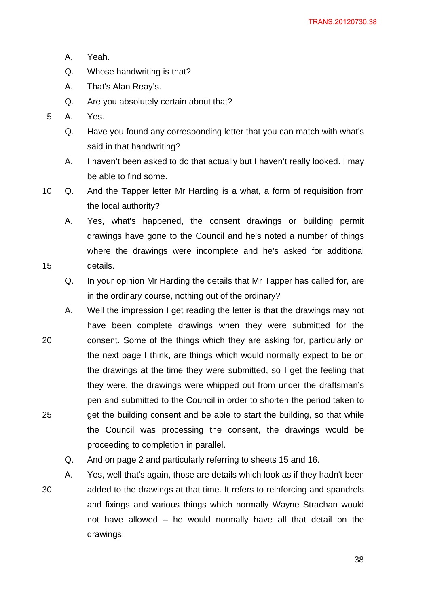- A. Yeah.
- Q. Whose handwriting is that?
- A. That's Alan Reay's.
- Q. Are you absolutely certain about that?
- 5 A. Yes.

15

- Q. Have you found any corresponding letter that you can match with what's said in that handwriting?
- A. I haven't been asked to do that actually but I haven't really looked. I may be able to find some.
- 10 Q. And the Tapper letter Mr Harding is a what, a form of requisition from the local authority?

A. Yes, what's happened, the consent drawings or building permit drawings have gone to the Council and he's noted a number of things where the drawings were incomplete and he's asked for additional details.

- Q. In your opinion Mr Harding the details that Mr Tapper has called for, are in the ordinary course, nothing out of the ordinary?
- 20 25 A. Well the impression I get reading the letter is that the drawings may not have been complete drawings when they were submitted for the consent. Some of the things which they are asking for, particularly on the next page I think, are things which would normally expect to be on the drawings at the time they were submitted, so I get the feeling that they were, the drawings were whipped out from under the draftsman's pen and submitted to the Council in order to shorten the period taken to get the building consent and be able to start the building, so that while the Council was processing the consent, the drawings would be proceeding to completion in parallel.
	- Q. And on page 2 and particularly referring to sheets 15 and 16.
- 30 A. Yes, well that's again, those are details which look as if they hadn't been added to the drawings at that time. It refers to reinforcing and spandrels and fixings and various things which normally Wayne Strachan would not have allowed – he would normally have all that detail on the drawings.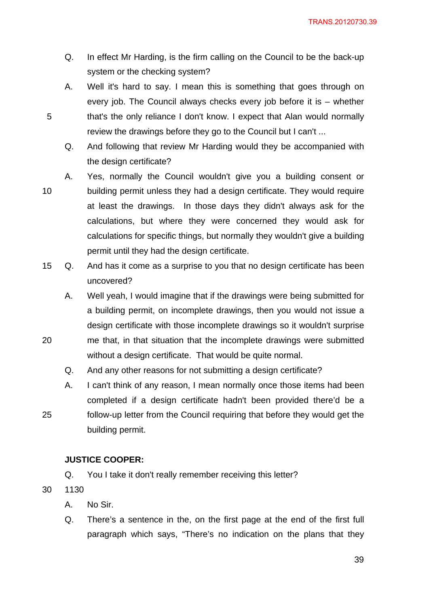- Q. In effect Mr Harding, is the firm calling on the Council to be the back-up system or the checking system?
- A. Well it's hard to say. I mean this is something that goes through on every job. The Council always checks every job before it is – whether that's the only reliance I don't know. I expect that Alan would normally review the drawings before they go to the Council but I can't ...
- Q. And following that review Mr Harding would they be accompanied with the design certificate?
- 10 A. Yes, normally the Council wouldn't give you a building consent or building permit unless they had a design certificate. They would require at least the drawings. In those days they didn't always ask for the calculations, but where they were concerned they would ask for calculations for specific things, but normally they wouldn't give a building permit until they had the design certificate.
- 15 Q. And has it come as a surprise to you that no design certificate has been uncovered?
	- A. Well yeah, I would imagine that if the drawings were being submitted for a building permit, on incomplete drawings, then you would not issue a design certificate with those incomplete drawings so it wouldn't surprise
- 20 me that, in that situation that the incomplete drawings were submitted without a design certificate. That would be quite normal.
	- Q. And any other reasons for not submitting a design certificate?
	- A. I can't think of any reason, I mean normally once those items had been completed if a design certificate hadn't been provided there'd be a follow-up letter from the Council requiring that before they would get the building permit.

# **JUSTICE COOPER:**

- Q. You I take it don't really remember receiving this letter?
- 30 1130

25

- A. No Sir.
- Q. There's a sentence in the, on the first page at the end of the first full paragraph which says, "There's no indication on the plans that they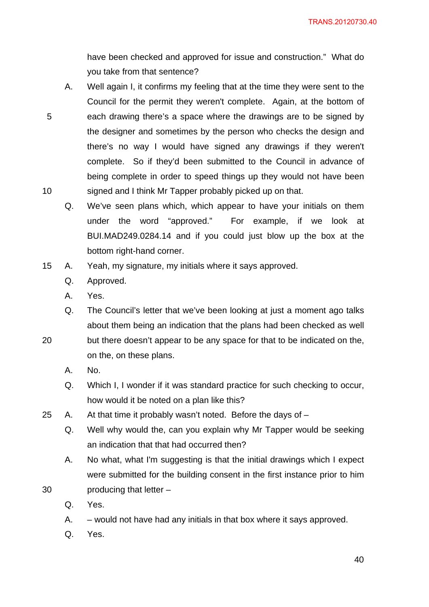have been checked and approved for issue and construction." What do you take from that sentence?

- A. Well again I, it confirms my feeling that at the time they were sent to the Council for the permit they weren't complete. Again, at the bottom of each drawing there's a space where the drawings are to be signed by the designer and sometimes by the person who checks the design and there's no way I would have signed any drawings if they weren't complete. So if they'd been submitted to the Council in advance of being complete in order to speed things up they would not have been signed and I think Mr Tapper probably picked up on that.
	- Q. We've seen plans which, which appear to have your initials on them under the word "approved." For example, if we look at BUI.MAD249.0284.14 and if you could just blow up the box at the bottom right-hand corner.
- 15 A. Yeah, my signature, my initials where it says approved.
	- Q. Approved.
	- A. Yes.

5

10

- Q. The Council's letter that we've been looking at just a moment ago talks about them being an indication that the plans had been checked as well
- 20 but there doesn't appear to be any space for that to be indicated on the, on the, on these plans.
	- A. No.
	- Q. Which I, I wonder if it was standard practice for such checking to occur, how would it be noted on a plan like this?
- 25 A. At that time it probably wasn't noted. Before the days of
	- Q. Well why would the, can you explain why Mr Tapper would be seeking an indication that that had occurred then?
	- A. No what, what I'm suggesting is that the initial drawings which I expect were submitted for the building consent in the first instance prior to him producing that letter –
	- Q. Yes.

- A. would not have had any initials in that box where it says approved.
- Q. Yes.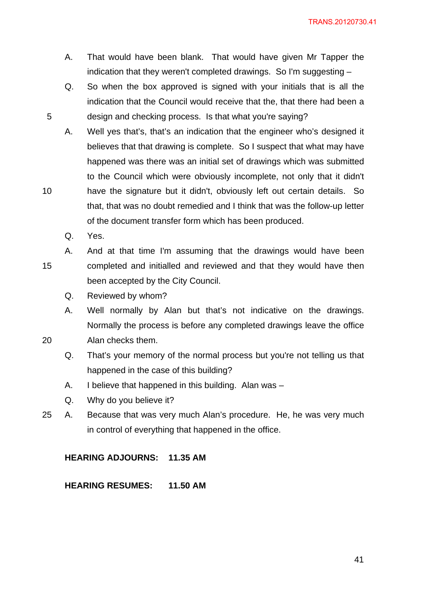- A. That would have been blank. That would have given Mr Tapper the indication that they weren't completed drawings. So I'm suggesting –
- Q. So when the box approved is signed with your initials that is all the indication that the Council would receive that the, that there had been a design and checking process. Is that what you're saying?
- A. Well yes that's, that's an indication that the engineer who's designed it believes that that drawing is complete. So I suspect that what may have happened was there was an initial set of drawings which was submitted to the Council which were obviously incomplete, not only that it didn't have the signature but it didn't, obviously left out certain details. So that, that was no doubt remedied and I think that was the follow-up letter of the document transfer form which has been produced.
	- Q. Yes.
- 15 A. And at that time I'm assuming that the drawings would have been completed and initialled and reviewed and that they would have then been accepted by the City Council.
	- Q. Reviewed by whom?
	- A. Well normally by Alan but that's not indicative on the drawings. Normally the process is before any completed drawings leave the office Alan checks them.
	- Q. That's your memory of the normal process but you're not telling us that happened in the case of this building?
	- A. I believe that happened in this building. Alan was –
	- Q. Why do you believe it?
- 25 A. Because that was very much Alan's procedure. He, he was very much in control of everything that happened in the office.

**HEARING ADJOURNS: 11.35 AM** 

**HEARING RESUMES: 11.50 AM** 

10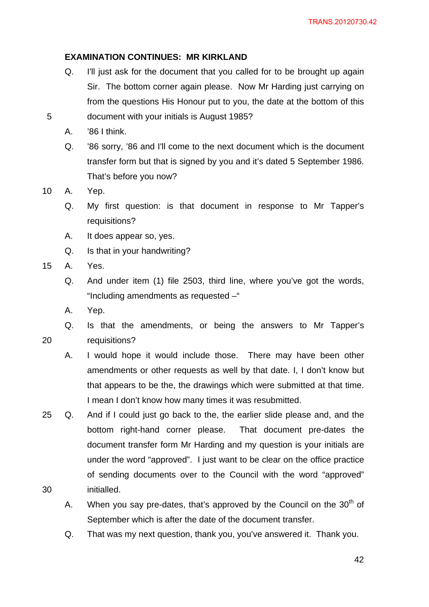## **EXAMINATION CONTINUES: MR KIRKLAND**

- Q. I'll just ask for the document that you called for to be brought up again Sir. The bottom corner again please. Now Mr Harding just carrying on from the questions His Honour put to you, the date at the bottom of this document with your initials is August 1985?
- A. '86 I think.
- Q. '86 sorry, '86 and I'll come to the next document which is the document transfer form but that is signed by you and it's dated 5 September 1986. That's before you now?

10 A. Yep.

5

- Q. My first question: is that document in response to Mr Tapper's requisitions?
- A. It does appear so, yes.
- Q. Is that in your handwriting?
- 15 A. Yes.

- Q. And under item (1) file 2503, third line, where you've got the words, "Including amendments as requested –"
- A. Yep.
- Q. Is that the amendments, or being the answers to Mr Tapper's requisitions?
	- A. I would hope it would include those. There may have been other amendments or other requests as well by that date. I, I don't know but that appears to be the, the drawings which were submitted at that time. I mean I don't know how many times it was resubmitted.
- 30 25 Q. And if I could just go back to the, the earlier slide please and, and the bottom right-hand corner please. That document pre-dates the document transfer form Mr Harding and my question is your initials are under the word "approved". I just want to be clear on the office practice of sending documents over to the Council with the word "approved" initialled.
	- A. When you say pre-dates, that's approved by the Council on the  $30<sup>th</sup>$  of September which is after the date of the document transfer.
	- Q. That was my next question, thank you, you've answered it. Thank you.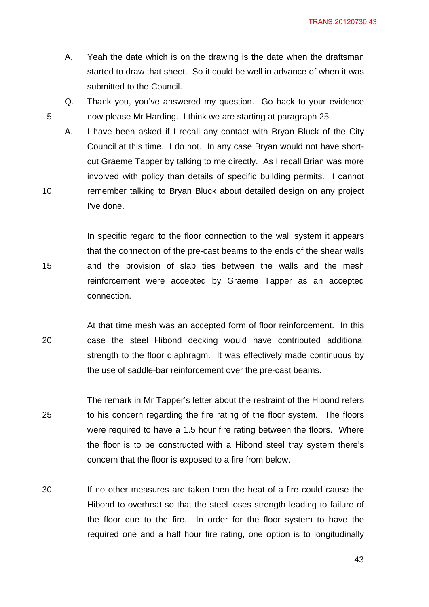TRANS.20120730.43

- A. Yeah the date which is on the drawing is the date when the draftsman started to draw that sheet. So it could be well in advance of when it was submitted to the Council.
- Q. Thank you, you've answered my question. Go back to your evidence now please Mr Harding. I think we are starting at paragraph 25.

5

10

15

A. I have been asked if I recall any contact with Bryan Bluck of the City Council at this time. I do not. In any case Bryan would not have shortcut Graeme Tapper by talking to me directly. As I recall Brian was more involved with policy than details of specific building permits. I cannot remember talking to Bryan Bluck about detailed design on any project I've done.

In specific regard to the floor connection to the wall system it appears that the connection of the pre-cast beams to the ends of the shear walls and the provision of slab ties between the walls and the mesh reinforcement were accepted by Graeme Tapper as an accepted connection.

- 20 At that time mesh was an accepted form of floor reinforcement. In this case the steel Hibond decking would have contributed additional strength to the floor diaphragm. It was effectively made continuous by the use of saddle-bar reinforcement over the pre-cast beams.
- 25 The remark in Mr Tapper's letter about the restraint of the Hibond refers to his concern regarding the fire rating of the floor system. The floors were required to have a 1.5 hour fire rating between the floors. Where the floor is to be constructed with a Hibond steel tray system there's concern that the floor is exposed to a fire from below.
- 30 If no other measures are taken then the heat of a fire could cause the Hibond to overheat so that the steel loses strength leading to failure of the floor due to the fire. In order for the floor system to have the required one and a half hour fire rating, one option is to longitudinally

<u>43</u>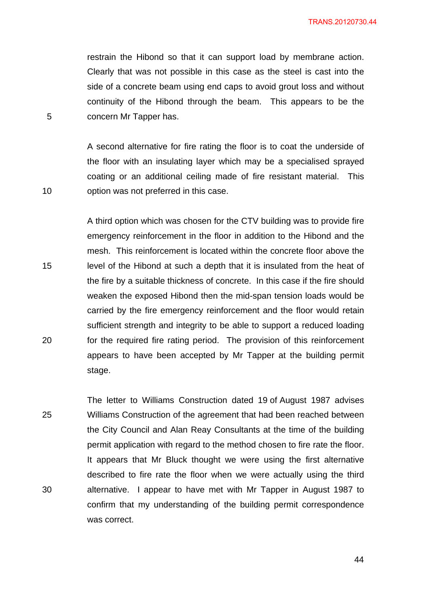restrain the Hibond so that it can support load by membrane action. Clearly that was not possible in this case as the steel is cast into the side of a concrete beam using end caps to avoid grout loss and without continuity of the Hibond through the beam. This appears to be the concern Mr Tapper has.

A second alternative for fire rating the floor is to coat the underside of the floor with an insulating layer which may be a specialised sprayed coating or an additional ceiling made of fire resistant material. This option was not preferred in this case.

A third option which was chosen for the CTV building was to provide fire emergency reinforcement in the floor in addition to the Hibond and the mesh. This reinforcement is located within the concrete floor above the level of the Hibond at such a depth that it is insulated from the heat of the fire by a suitable thickness of concrete. In this case if the fire should weaken the exposed Hibond then the mid-span tension loads would be carried by the fire emergency reinforcement and the floor would retain sufficient strength and integrity to be able to support a reduced loading for the required fire rating period. The provision of this reinforcement appears to have been accepted by Mr Tapper at the building permit stage.

25 30 The letter to Williams Construction dated 19 of August 1987 advises Williams Construction of the agreement that had been reached between the City Council and Alan Reay Consultants at the time of the building permit application with regard to the method chosen to fire rate the floor. It appears that Mr Bluck thought we were using the first alternative described to fire rate the floor when we were actually using the third alternative. I appear to have met with Mr Tapper in August 1987 to confirm that my understanding of the building permit correspondence was correct.

5

15

10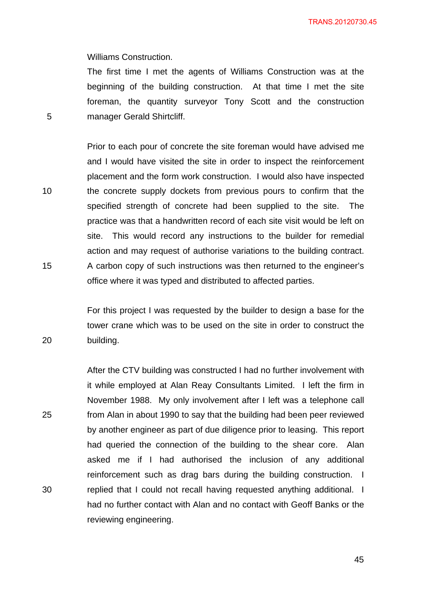Williams Construction.

5

10

15

20

The first time I met the agents of Williams Construction was at the beginning of the building construction. At that time I met the site foreman, the quantity surveyor Tony Scott and the construction manager Gerald Shirtcliff.

Prior to each pour of concrete the site foreman would have advised me and I would have visited the site in order to inspect the reinforcement placement and the form work construction. I would also have inspected the concrete supply dockets from previous pours to confirm that the specified strength of concrete had been supplied to the site. practice was that a handwritten record of each site visit would be left on site. This would record any instructions to the builder for remedial action and may request of authorise variations to the building contract. A carbon copy of such instructions was then returned to the engineer's office where it was typed and distributed to affected parties.

For this project I was requested by the builder to design a base for the tower crane which was to be used on the site in order to construct the building.

25 30 After the CTV building was constructed I had no further involvement with it while employed at Alan Reay Consultants Limited. I left the firm in November 1988. My only involvement after I left was a telephone call from Alan in about 1990 to say that the building had been peer reviewed by another engineer as part of due diligence prior to leasing. This report had queried the connection of the building to the shear core. Alan asked me if I had authorised the inclusion of any additional reinforcement such as drag bars during the building construction. I replied that I could not recall having requested anything additional. I had no further contact with Alan and no contact with Geoff Banks or the reviewing engineering.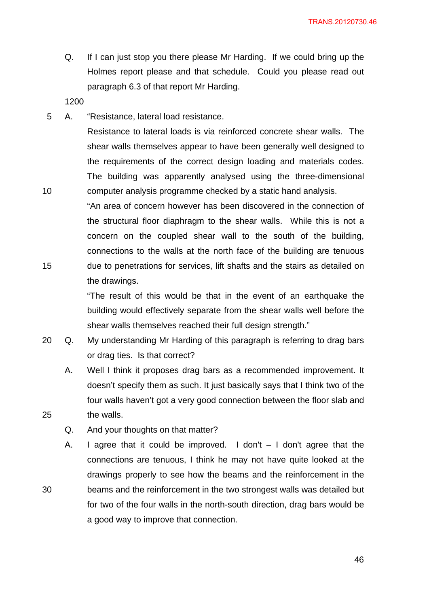TRANS.20120730.46

Q. If I can just stop you there please Mr Harding. If we could bring up the Holmes report please and that schedule. Could you please read out paragraph 6.3 of that report Mr Harding.

1200

10

15

25

30

5 A. "Resistance, lateral load resistance.

Resistance to lateral loads is via reinforced concrete shear walls. The shear walls themselves appear to have been generally well designed to the requirements of the correct design loading and materials codes. The building was apparently analysed using the three-dimensional computer analysis programme checked by a static hand analysis.

"An area of concern however has been discovered in the connection of the structural floor diaphragm to the shear walls. While this is not a concern on the coupled shear wall to the south of the building, connections to the walls at the north face of the building are tenuous due to penetrations for services, lift shafts and the stairs as detailed on the drawings.

"The result of this would be that in the event of an earthquake the building would effectively separate from the shear walls well before the shear walls themselves reached their full design strength."

- 20 Q. My understanding Mr Harding of this paragraph is referring to drag bars or drag ties. Is that correct?
	- A. Well I think it proposes drag bars as a recommended improvement. It doesn't specify them as such. It just basically says that I think two of the four walls haven't got a very good connection between the floor slab and the walls.
	- Q. And your thoughts on that matter?

A. I agree that it could be improved. I don't  $-1$  don't agree that the connections are tenuous, I think he may not have quite looked at the drawings properly to see how the beams and the reinforcement in the beams and the reinforcement in the two strongest walls was detailed but for two of the four walls in the north-south direction, drag bars would be a good way to improve that connection.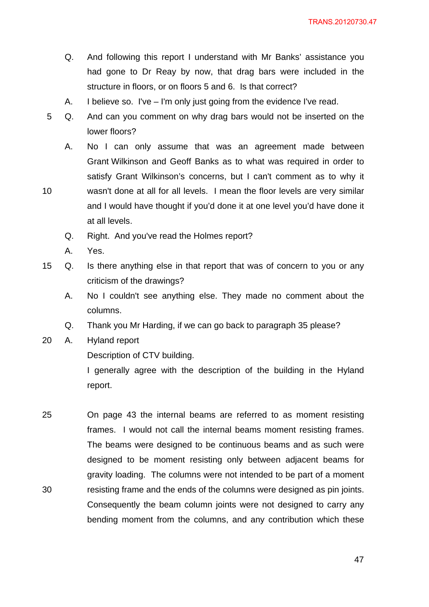- Q. And following this report I understand with Mr Banks' assistance you had gone to Dr Reay by now, that drag bars were included in the structure in floors, or on floors 5 and 6. Is that correct?
- A. I believe so. I've I'm only just going from the evidence I've read.
- 5 Q. And can you comment on why drag bars would not be inserted on the lower floors?
	- A. No I can only assume that was an agreement made between Grant Wilkinson and Geoff Banks as to what was required in order to satisfy Grant Wilkinson's concerns, but I can't comment as to why it
- 10 wasn't done at all for all levels. I mean the floor levels are very similar and I would have thought if you'd done it at one level you'd have done it at all levels.
	- Q. Right. And you've read the Holmes report?
	- A. Yes.
- 15 Q. Is there anything else in that report that was of concern to you or any criticism of the drawings?
	- A. No I couldn't see anything else. They made no comment about the columns.
	- Q. Thank you Mr Harding, if we can go back to paragraph 35 please?
- 20 A. Hyland report

Description of CTV building.

I generally agree with the description of the building in the Hyland report.

25 30 On page 43 the internal beams are referred to as moment resisting frames. I would not call the internal beams moment resisting frames. The beams were designed to be continuous beams and as such were designed to be moment resisting only between adjacent beams for gravity loading. The columns were not intended to be part of a moment resisting frame and the ends of the columns were designed as pin joints. Consequently the beam column joints were not designed to carry any bending moment from the columns, and any contribution which these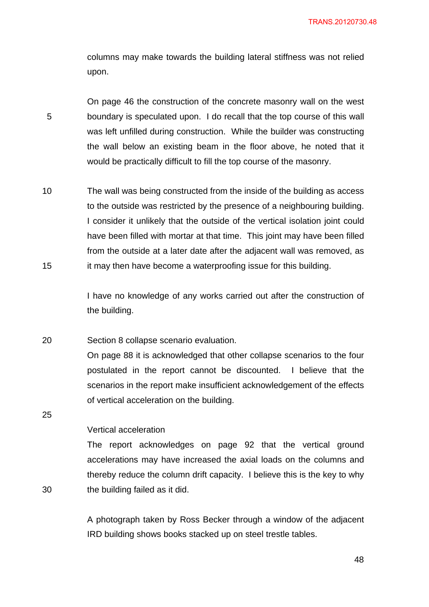columns may make towards the building lateral stiffness was not relied upon.

5 On page 46 the construction of the concrete masonry wall on the west boundary is speculated upon. I do recall that the top course of this wall was left unfilled during construction. While the builder was constructing the wall below an existing beam in the floor above, he noted that it would be practically difficult to fill the top course of the masonry.

10 15 The wall was being constructed from the inside of the building as access to the outside was restricted by the presence of a neighbouring building. I consider it unlikely that the outside of the vertical isolation joint could have been filled with mortar at that time. This joint may have been filled from the outside at a later date after the adjacent wall was removed, as it may then have become a waterproofing issue for this building.

> I have no knowledge of any works carried out after the construction of the building.

20 Section 8 collapse scenario evaluation.

> On page 88 it is acknowledged that other collapse scenarios to the four postulated in the report cannot be discounted. I believe that the scenarios in the report make insufficient acknowledgement of the effects of vertical acceleration on the building.

25

30

#### Vertical acceleration

The report acknowledges on page 92 that the vertical ground accelerations may have increased the axial loads on the columns and thereby reduce the column drift capacity. I believe this is the key to why the building failed as it did.

A photograph taken by Ross Becker through a window of the adjacent IRD building shows books stacked up on steel trestle tables.

<u>48 and 30 and 30 and 30 and 30 and 30 and 30 and 30 and 30 and 30 and 30 and 30 and 30 and 30 and 30 and 30 and 30 and 30 and 30 and 30 and 30 and 30 and 30 and 30 and 30 and 30 and 30 and 30 and 30 and 30 and 30 and 30 a</u>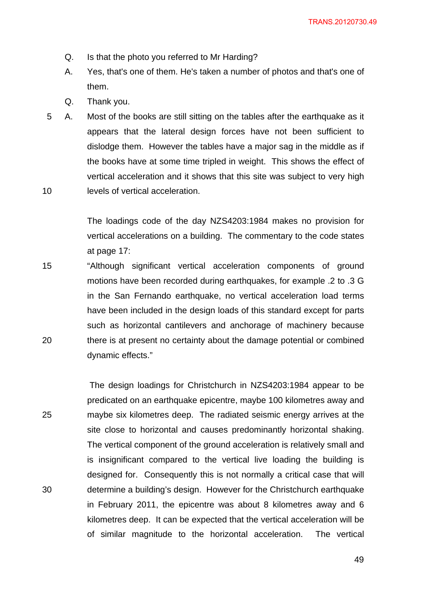- Q. Is that the photo you referred to Mr Harding?
- A. Yes, that's one of them. He's taken a number of photos and that's one of them.
- Q. Thank you.

25

30

10 5 A. Most of the books are still sitting on the tables after the earthquake as it appears that the lateral design forces have not been sufficient to dislodge them. However the tables have a major sag in the middle as if the books have at some time tripled in weight. This shows the effect of vertical acceleration and it shows that this site was subject to very high levels of vertical acceleration.

> The loadings code of the day NZS4203:1984 makes no provision for vertical accelerations on a building. The commentary to the code states at page 17:

15 20 "Although significant vertical acceleration components of ground motions have been recorded during earthquakes, for example .2 to .3 G in the San Fernando earthquake, no vertical acceleration load terms have been included in the design loads of this standard except for parts such as horizontal cantilevers and anchorage of machinery because there is at present no certainty about the damage potential or combined dynamic effects."

 The design loadings for Christchurch in NZS4203:1984 appear to be predicated on an earthquake epicentre, maybe 100 kilometres away and maybe six kilometres deep. The radiated seismic energy arrives at the site close to horizontal and causes predominantly horizontal shaking. The vertical component of the ground acceleration is relatively small and is insignificant compared to the vertical live loading the building is designed for. Consequently this is not normally a critical case that will determine a building's design. However for the Christchurch earthquake in February 2011, the epicentre was about 8 kilometres away and 6 kilometres deep. It can be expected that the vertical acceleration will be of similar magnitude to the horizontal acceleration. The vertical

<u>49 and 2011 and 2012 and 2012 and 2012 and 2012 and 2012 and 2012 and 2012 and 2012 and 2012 and 2012 and 201</u>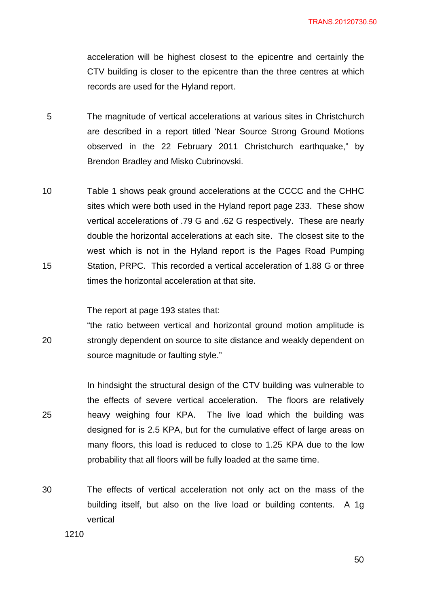acceleration will be highest closest to the epicentre and certainly the CTV building is closer to the epicentre than the three centres at which records are used for the Hyland report.

- 5 The magnitude of vertical accelerations at various sites in Christchurch are described in a report titled 'Near Source Strong Ground Motions observed in the 22 February 2011 Christchurch earthquake," by Brendon Bradley and Misko Cubrinovski.
- 10 15 Table 1 shows peak ground accelerations at the CCCC and the CHHC sites which were both used in the Hyland report page 233. These show vertical accelerations of .79 G and .62 G respectively. These are nearly double the horizontal accelerations at each site. The closest site to the west which is not in the Hyland report is the Pages Road Pumping Station, PRPC. This recorded a vertical acceleration of 1.88 G or three times the horizontal acceleration at that site.

The report at page 193 states that:

20 "the ratio between vertical and horizontal ground motion amplitude is strongly dependent on source to site distance and weakly dependent on source magnitude or faulting style."

25 In hindsight the structural design of the CTV building was vulnerable to the effects of severe vertical acceleration. The floors are relatively heavy weighing four KPA. The live load which the building was designed for is 2.5 KPA, but for the cumulative effect of large areas on many floors, this load is reduced to close to 1.25 KPA due to the low probability that all floors will be fully loaded at the same time.

30 The effects of vertical acceleration not only act on the mass of the building itself, but also on the live load or building contents. A 1g vertical

1210

 $50<sub>50</sub>$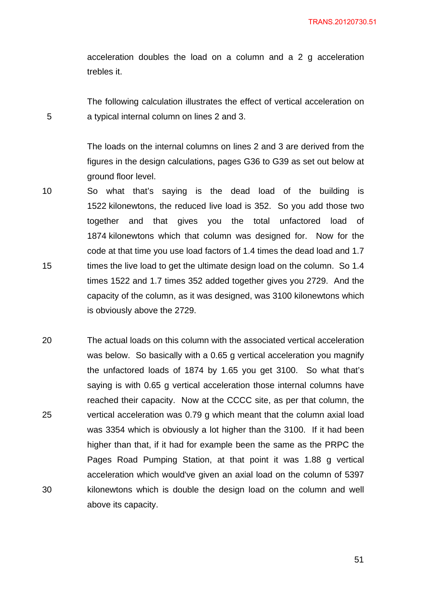acceleration doubles the load on a column and a 2 g acceleration trebles it.

The following calculation illustrates the effect of vertical acceleration on a typical internal column on lines 2 and 3.

5

The loads on the internal columns on lines 2 and 3 are derived from the figures in the design calculations, pages G36 to G39 as set out below at ground floor level.

- 10 15 So what that's saying is the dead load of the building is 1522 kilonewtons, the reduced live load is 352. So you add those two together and that gives you the total unfactored load of 1874 kilonewtons which that column was designed for. Now for the code at that time you use load factors of 1.4 times the dead load and 1.7 times the live load to get the ultimate design load on the column. So 1.4 times 1522 and 1.7 times 352 added together gives you 2729. And the capacity of the column, as it was designed, was 3100 kilonewtons which is obviously above the 2729.
- 20 25 30 The actual loads on this column with the associated vertical acceleration was below. So basically with a 0.65 g vertical acceleration you magnify the unfactored loads of 1874 by 1.65 you get 3100. So what that's saying is with 0.65 g vertical acceleration those internal columns have reached their capacity. Now at the CCCC site, as per that column, the vertical acceleration was 0.79 g which meant that the column axial load was 3354 which is obviously a lot higher than the 3100. If it had been higher than that, if it had for example been the same as the PRPC the Pages Road Pumping Station, at that point it was 1.88 g vertical acceleration which would've given an axial load on the column of 5397 kilonewtons which is double the design load on the column and well above its capacity.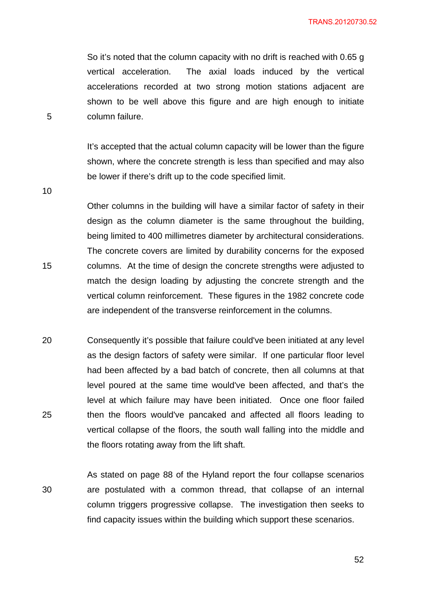So it's noted that the column capacity with no drift is reached with 0.65 g vertical acceleration. The axial loads induced by the vertical accelerations recorded at two strong motion stations adjacent are shown to be well above this figure and are high enough to initiate column failure.

It's accepted that the actual column capacity will be lower than the figure shown, where the concrete strength is less than specified and may also be lower if there's drift up to the code specified limit.

10

15

5

Other columns in the building will have a similar factor of safety in their design as the column diameter is the same throughout the building, being limited to 400 millimetres diameter by architectural considerations. The concrete covers are limited by durability concerns for the exposed columns. At the time of design the concrete strengths were adjusted to match the design loading by adjusting the concrete strength and the vertical column reinforcement. These figures in the 1982 concrete code are independent of the transverse reinforcement in the columns.

20 25 Consequently it's possible that failure could've been initiated at any level as the design factors of safety were similar. If one particular floor level had been affected by a bad batch of concrete, then all columns at that level poured at the same time would've been affected, and that's the level at which failure may have been initiated. Once one floor failed then the floors would've pancaked and affected all floors leading to vertical collapse of the floors, the south wall falling into the middle and the floors rotating away from the lift shaft.

30 As stated on page 88 of the Hyland report the four collapse scenarios are postulated with a common thread, that collapse of an internal column triggers progressive collapse. The investigation then seeks to find capacity issues within the building which support these scenarios.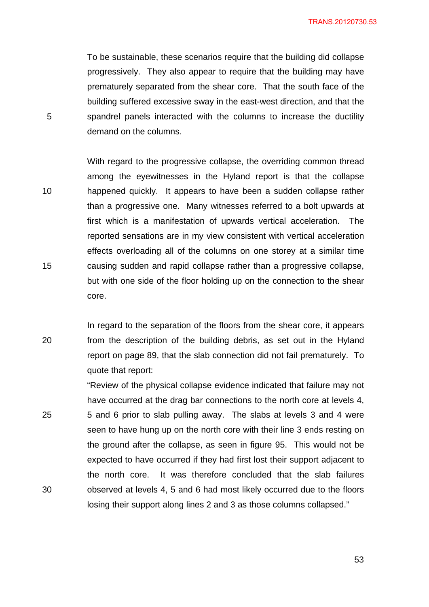TRANS.20120730.53

To be sustainable, these scenarios require that the building did collapse progressively. They also appear to require that the building may have prematurely separated from the shear core. That the south face of the building suffered excessive sway in the east-west direction, and that the spandrel panels interacted with the columns to increase the ductility demand on the columns.

10 15 With regard to the progressive collapse, the overriding common thread among the eyewitnesses in the Hyland report is that the collapse happened quickly. It appears to have been a sudden collapse rather than a progressive one. Many witnesses referred to a bolt upwards at first which is a manifestation of upwards vertical acceleration. The reported sensations are in my view consistent with vertical acceleration effects overloading all of the columns on one storey at a similar time causing sudden and rapid collapse rather than a progressive collapse, but with one side of the floor holding up on the connection to the shear core.

5

20 In regard to the separation of the floors from the shear core, it appears from the description of the building debris, as set out in the Hyland report on page 89, that the slab connection did not fail prematurely. To quote that report:

25 30 "Review of the physical collapse evidence indicated that failure may not have occurred at the drag bar connections to the north core at levels 4, 5 and 6 prior to slab pulling away. The slabs at levels 3 and 4 were seen to have hung up on the north core with their line 3 ends resting on the ground after the collapse, as seen in figure 95. This would not be expected to have occurred if they had first lost their support adjacent to the north core. It was therefore concluded that the slab failures observed at levels 4, 5 and 6 had most likely occurred due to the floors losing their support along lines 2 and 3 as those columns collapsed."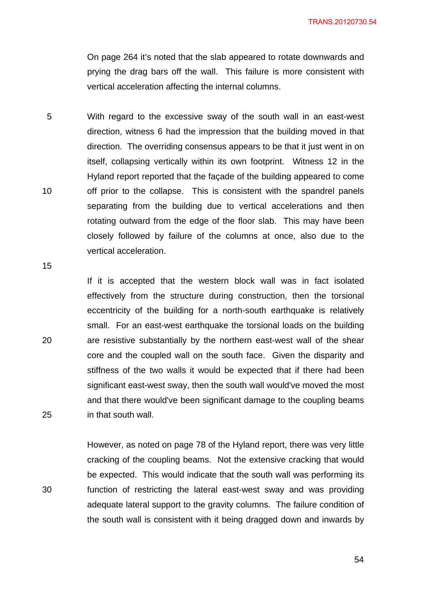On page 264 it's noted that the slab appeared to rotate downwards and prying the drag bars off the wall. This failure is more consistent with vertical acceleration affecting the internal columns.

5 10 With regard to the excessive sway of the south wall in an east-west direction, witness 6 had the impression that the building moved in that direction. The overriding consensus appears to be that it just went in on itself, collapsing vertically within its own footprint. Witness 12 in the Hyland report reported that the façade of the building appeared to come off prior to the collapse. This is consistent with the spandrel panels separating from the building due to vertical accelerations and then rotating outward from the edge of the floor slab. This may have been closely followed by failure of the columns at once, also due to the vertical acceleration.

15

20

25

30

If it is accepted that the western block wall was in fact isolated effectively from the structure during construction, then the torsional eccentricity of the building for a north-south earthquake is relatively small. For an east-west earthquake the torsional loads on the building are resistive substantially by the northern east-west wall of the shear core and the coupled wall on the south face. Given the disparity and stiffness of the two walls it would be expected that if there had been significant east-west sway, then the south wall would've moved the most and that there would've been significant damage to the coupling beams in that south wall.

However, as noted on page 78 of the Hyland report, there was very little cracking of the coupling beams. Not the extensive cracking that would be expected. This would indicate that the south wall was performing its function of restricting the lateral east-west sway and was providing adequate lateral support to the gravity columns. The failure condition of the south wall is consistent with it being dragged down and inwards by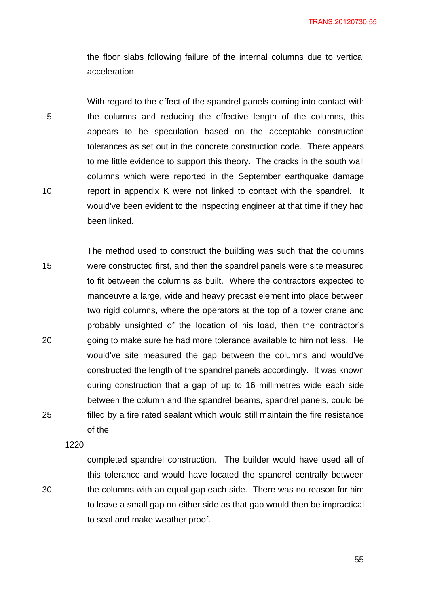the floor slabs following failure of the internal columns due to vertical acceleration.

5 10 With regard to the effect of the spandrel panels coming into contact with the columns and reducing the effective length of the columns, this appears to be speculation based on the acceptable construction tolerances as set out in the concrete construction code. There appears to me little evidence to support this theory. The cracks in the south wall columns which were reported in the September earthquake damage report in appendix K were not linked to contact with the spandrel. It would've been evident to the inspecting engineer at that time if they had been linked.

15 20 25 The method used to construct the building was such that the columns were constructed first, and then the spandrel panels were site measured to fit between the columns as built. Where the contractors expected to manoeuvre a large, wide and heavy precast element into place between two rigid columns, where the operators at the top of a tower crane and probably unsighted of the location of his load, then the contractor's going to make sure he had more tolerance available to him not less. He would've site measured the gap between the columns and would've constructed the length of the spandrel panels accordingly. It was known during construction that a gap of up to 16 millimetres wide each side between the column and the spandrel beams, spandrel panels, could be filled by a fire rated sealant which would still maintain the fire resistance of the

1220

30

completed spandrel construction. The builder would have used all of this tolerance and would have located the spandrel centrally between the columns with an equal gap each side. There was no reason for him to leave a small gap on either side as that gap would then be impractical to seal and make weather proof.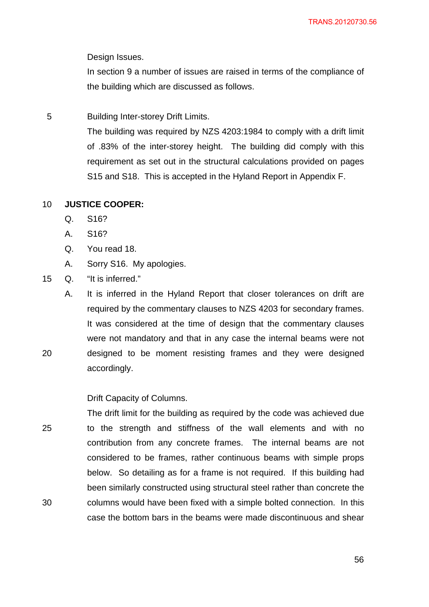Design Issues.

In section 9 a number of issues are raised in terms of the compliance of the building which are discussed as follows.

5 Building Inter-storey Drift Limits.

> The building was required by NZS 4203:1984 to comply with a drift limit of .83% of the inter-storey height. The building did comply with this requirement as set out in the structural calculations provided on pages S15 and S18. This is accepted in the Hyland Report in Appendix F.

#### 10 **JUSTICE COOPER:**

- Q. S16?
- A. S16?
- Q. You read 18.
- A. Sorry S16. My apologies.
- 15 Q. "It is inferred."

20

A. It is inferred in the Hyland Report that closer tolerances on drift are required by the commentary clauses to NZS 4203 for secondary frames. It was considered at the time of design that the commentary clauses were not mandatory and that in any case the internal beams were not designed to be moment resisting frames and they were designed accordingly.

## Drift Capacity of Columns.

25 30 The drift limit for the building as required by the code was achieved due to the strength and stiffness of the wall elements and with no contribution from any concrete frames. The internal beams are not considered to be frames, rather continuous beams with simple props below. So detailing as for a frame is not required. If this building had been similarly constructed using structural steel rather than concrete the columns would have been fixed with a simple bolted connection. In this case the bottom bars in the beams were made discontinuous and shear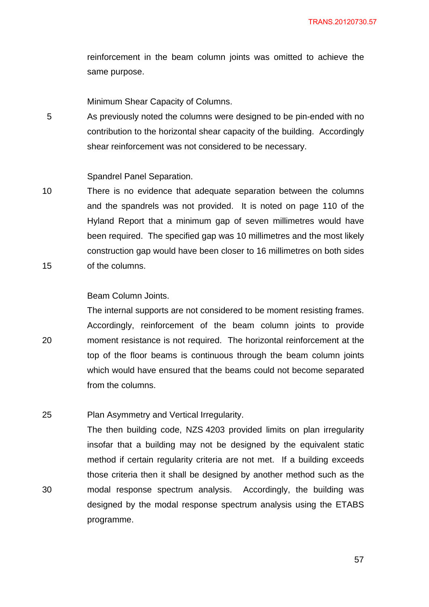reinforcement in the beam column joints was omitted to achieve the same purpose.

Minimum Shear Capacity of Columns.

5 As previously noted the columns were designed to be pin-ended with no contribution to the horizontal shear capacity of the building. Accordingly shear reinforcement was not considered to be necessary.

#### Spandrel Panel Separation.

10 15 There is no evidence that adequate separation between the columns and the spandrels was not provided. It is noted on page 110 of the Hyland Report that a minimum gap of seven millimetres would have been required. The specified gap was 10 millimetres and the most likely construction gap would have been closer to 16 millimetres on both sides of the columns.

## Beam Column Joints.

20

30

The internal supports are not considered to be moment resisting frames. Accordingly, reinforcement of the beam column joints to provide moment resistance is not required. The horizontal reinforcement at the top of the floor beams is continuous through the beam column joints which would have ensured that the beams could not become separated from the columns.

#### 25 Plan Asymmetry and Vertical Irregularity.

The then building code, NZS 4203 provided limits on plan irregularity insofar that a building may not be designed by the equivalent static method if certain regularity criteria are not met. If a building exceeds those criteria then it shall be designed by another method such as the modal response spectrum analysis. Accordingly, the building was designed by the modal response spectrum analysis using the ETABS programme.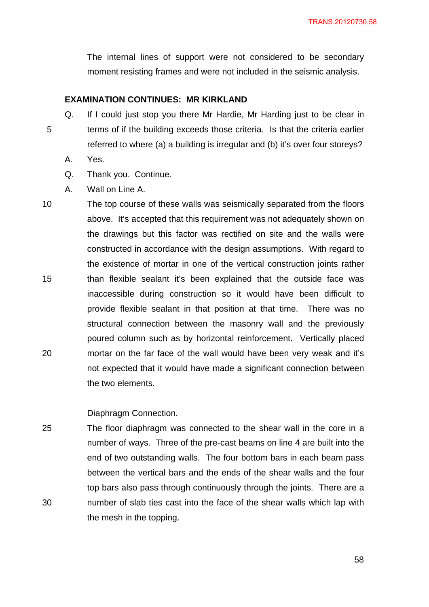The internal lines of support were not considered to be secondary moment resisting frames and were not included in the seismic analysis.

## **EXAMINATION CONTINUES: MR KIRKLAND**

5 Q. If I could just stop you there Mr Hardie, Mr Harding just to be clear in terms of if the building exceeds those criteria. Is that the criteria earlier referred to where (a) a building is irregular and (b) it's over four storeys?

- A. Yes.
- Q. Thank you. Continue.
- A. Wall on Line A.
- 10 15 20 The top course of these walls was seismically separated from the floors above. It's accepted that this requirement was not adequately shown on the drawings but this factor was rectified on site and the walls were constructed in accordance with the design assumptions. With regard to the existence of mortar in one of the vertical construction joints rather than flexible sealant it's been explained that the outside face was inaccessible during construction so it would have been difficult to provide flexible sealant in that position at that time. There was no structural connection between the masonry wall and the previously poured column such as by horizontal reinforcement. Vertically placed mortar on the far face of the wall would have been very weak and it's not expected that it would have made a significant connection between the two elements.

#### Diaphragm Connection.

25 30 The floor diaphragm was connected to the shear wall in the core in a number of ways. Three of the pre-cast beams on line 4 are built into the end of two outstanding walls. The four bottom bars in each beam pass between the vertical bars and the ends of the shear walls and the four top bars also pass through continuously through the joints. There are a number of slab ties cast into the face of the shear walls which lap with the mesh in the topping.

 $58<sup>o</sup>$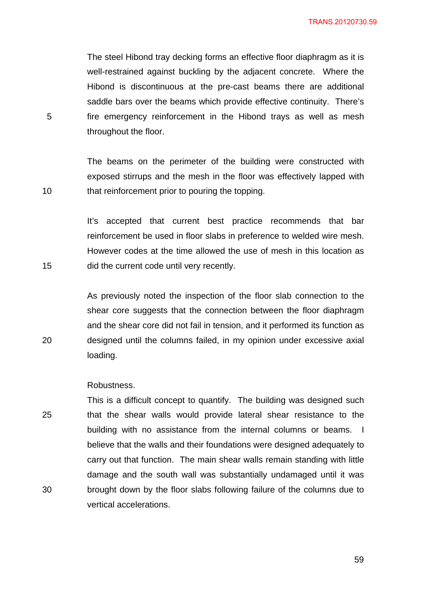TRANS.20120730.59

The steel Hibond tray decking forms an effective floor diaphragm as it is well-restrained against buckling by the adjacent concrete. Where the Hibond is discontinuous at the pre-cast beams there are additional saddle bars over the beams which provide effective continuity. There's fire emergency reinforcement in the Hibond trays as well as mesh throughout the floor.

The beams on the perimeter of the building were constructed with exposed stirrups and the mesh in the floor was effectively lapped with that reinforcement prior to pouring the topping.

It's accepted that current best practice recommends that bar reinforcement be used in floor slabs in preference to welded wire mesh. However codes at the time allowed the use of mesh in this location as did the current code until very recently.

As previously noted the inspection of the floor slab connection to the shear core suggests that the connection between the floor diaphragm and the shear core did not fail in tension, and it performed its function as designed until the columns failed, in my opinion under excessive axial loading.

#### Robustness.

25 30 This is a difficult concept to quantify. The building was designed such that the shear walls would provide lateral shear resistance to the building with no assistance from the internal columns or beams. I believe that the walls and their foundations were designed adequately to carry out that function. The main shear walls remain standing with little damage and the south wall was substantially undamaged until it was brought down by the floor slabs following failure of the columns due to vertical accelerations.

5

15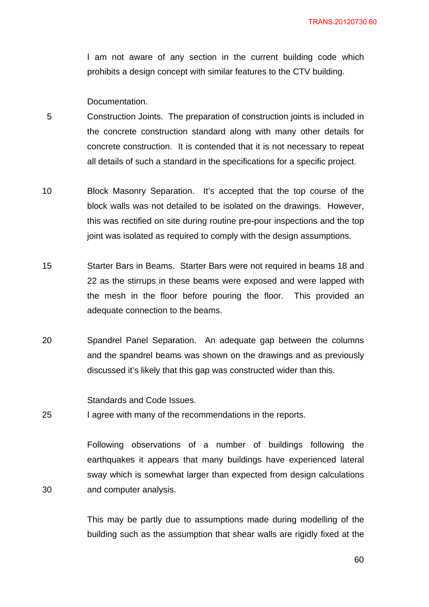I am not aware of any section in the current building code which prohibits a design concept with similar features to the CTV building.

Documentation.

- 5 Construction Joints. The preparation of construction joints is included in the concrete construction standard along with many other details for concrete construction. It is contended that it is not necessary to repeat all details of such a standard in the specifications for a specific project.
- 10 Block Masonry Separation. It's accepted that the top course of the block walls was not detailed to be isolated on the drawings. However, this was rectified on site during routine pre-pour inspections and the top joint was isolated as required to comply with the design assumptions.
- 15 Starter Bars in Beams. Starter Bars were not required in beams 18 and 22 as the stirrups in these beams were exposed and were lapped with the mesh in the floor before pouring the floor. This provided an adequate connection to the beams.
- 20 Spandrel Panel Separation. An adequate gap between the columns and the spandrel beams was shown on the drawings and as previously discussed it's likely that this gap was constructed wider than this.

Standards and Code Issues.

30

25 I agree with many of the recommendations in the reports.

> Following observations of a number of buildings following the earthquakes it appears that many buildings have experienced lateral sway which is somewhat larger than expected from design calculations and computer analysis.

This may be partly due to assumptions made during modelling of the building such as the assumption that shear walls are rigidly fixed at the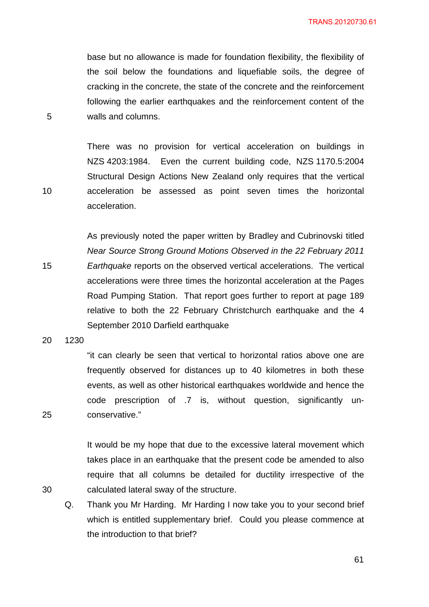base but no allowance is made for foundation flexibility, the flexibility of the soil below the foundations and liquefiable soils, the degree of cracking in the concrete, the state of the concrete and the reinforcement following the earlier earthquakes and the reinforcement content of the walls and columns.

There was no provision for vertical acceleration on buildings in NZS 4203:1984. Even the current building code, NZS 1170.5:2004 Structural Design Actions New Zealand only requires that the vertical acceleration be assessed as point seven times the horizontal acceleration.

As previously noted the paper written by Bradley and Cubrinovski titled *Near Source Strong Ground Motions Observed in the 22 February 2011 Earthquake* reports on the observed vertical accelerations. The vertical accelerations were three times the horizontal acceleration at the Pages Road Pumping Station. That report goes further to report at page 189 relative to both the 22 February Christchurch earthquake and the 4 September 2010 Darfield earthquake

20 1230

25

30

"it can clearly be seen that vertical to horizontal ratios above one are frequently observed for distances up to 40 kilometres in both these events, as well as other historical earthquakes worldwide and hence the code prescription of .7 is, without question, significantly unconservative."

It would be my hope that due to the excessive lateral movement which takes place in an earthquake that the present code be amended to also require that all columns be detailed for ductility irrespective of the calculated lateral sway of the structure.

Q. Thank you Mr Harding. Mr Harding I now take you to your second brief which is entitled supplementary brief. Could you please commence at the introduction to that brief?

5

10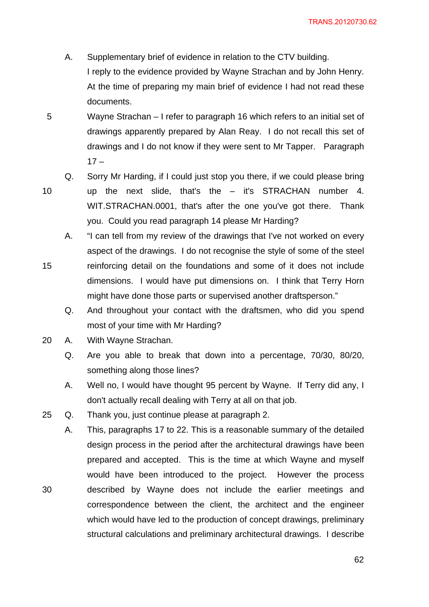- A. Supplementary brief of evidence in relation to the CTV building. I reply to the evidence provided by Wayne Strachan and by John Henry. At the time of preparing my main brief of evidence I had not read these documents.
- 5 Wayne Strachan – I refer to paragraph 16 which refers to an initial set of drawings apparently prepared by Alan Reay. I do not recall this set of drawings and I do not know if they were sent to Mr Tapper. Paragraph  $17 -$
- 10

15

30

Q. Sorry Mr Harding, if I could just stop you there, if we could please bring up the next slide, that's the – it's STRACHAN number 4. WIT.STRACHAN.0001, that's after the one you've got there. Thank you. Could you read paragraph 14 please Mr Harding?

- A. "I can tell from my review of the drawings that I've not worked on every aspect of the drawings. I do not recognise the style of some of the steel reinforcing detail on the foundations and some of it does not include dimensions. I would have put dimensions on. I think that Terry Horn might have done those parts or supervised another draftsperson."
	- Q. And throughout your contact with the draftsmen, who did you spend most of your time with Mr Harding?
- 20 A. With Wayne Strachan.
	- Q. Are you able to break that down into a percentage, 70/30, 80/20, something along those lines?
	- A. Well no, I would have thought 95 percent by Wayne. If Terry did any, I don't actually recall dealing with Terry at all on that job.
- 25 Q. Thank you, just continue please at paragraph 2.
	- A. This, paragraphs 17 to 22. This is a reasonable summary of the detailed design process in the period after the architectural drawings have been prepared and accepted. This is the time at which Wayne and myself would have been introduced to the project. However the process described by Wayne does not include the earlier meetings and correspondence between the client, the architect and the engineer which would have led to the production of concept drawings, preliminary structural calculations and preliminary architectural drawings. I describe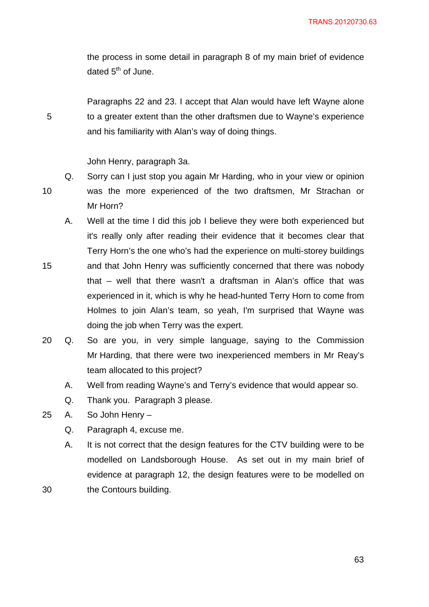the process in some detail in paragraph 8 of my main brief of evidence dated  $5<sup>th</sup>$  of June.

Paragraphs 22 and 23. I accept that Alan would have left Wayne alone to a greater extent than the other draftsmen due to Wayne's experience and his familiarity with Alan's way of doing things.

John Henry, paragraph 3a.

- Q. Sorry can I just stop you again Mr Harding, who in your view or opinion was the more experienced of the two draftsmen, Mr Strachan or Mr Horn?
- A. Well at the time I did this job I believe they were both experienced but it's really only after reading their evidence that it becomes clear that Terry Horn's the one who's had the experience on multi-storey buildings and that John Henry was sufficiently concerned that there was nobody that – well that there wasn't a draftsman in Alan's office that was
- experienced in it, which is why he head-hunted Terry Horn to come from Holmes to join Alan's team, so yeah, I'm surprised that Wayne was doing the job when Terry was the expert.
- 20 Q. So are you, in very simple language, saying to the Commission Mr Harding, that there were two inexperienced members in Mr Reay's team allocated to this project?
	- A. Well from reading Wayne's and Terry's evidence that would appear so.
	- Q. Thank you. Paragraph 3 please.
- 25 A. So John Henry
	- Q. Paragraph 4, excuse me.
	- A. It is not correct that the design features for the CTV building were to be modelled on Landsborough House. As set out in my main brief of evidence at paragraph 12, the design features were to be modelled on the Contours building.

10

15

30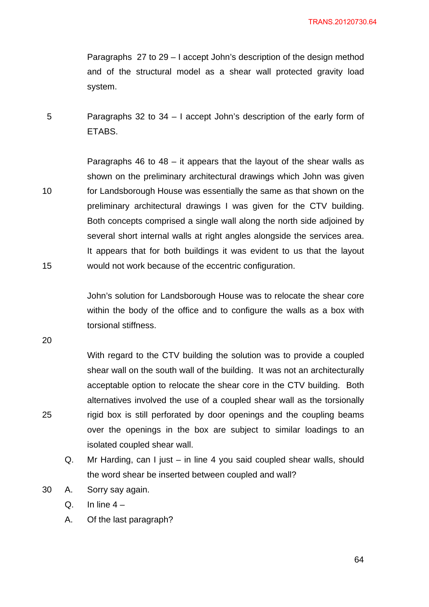Paragraphs 27 to 29 – I accept John's description of the design method and of the structural model as a shear wall protected gravity load system.

5 Paragraphs 32 to 34 – I accept John's description of the early form of ETABS.

10 15 Paragraphs 46 to 48 – it appears that the layout of the shear walls as shown on the preliminary architectural drawings which John was given for Landsborough House was essentially the same as that shown on the preliminary architectural drawings I was given for the CTV building. Both concepts comprised a single wall along the north side adjoined by several short internal walls at right angles alongside the services area. It appears that for both buildings it was evident to us that the layout would not work because of the eccentric configuration.

> John's solution for Landsborough House was to relocate the shear core within the body of the office and to configure the walls as a box with torsional stiffness.

20

25

With regard to the CTV building the solution was to provide a coupled shear wall on the south wall of the building. It was not an architecturally acceptable option to relocate the shear core in the CTV building. Both alternatives involved the use of a coupled shear wall as the torsionally rigid box is still perforated by door openings and the coupling beams over the openings in the box are subject to similar loadings to an isolated coupled shear wall.

Q. Mr Harding, can I just – in line 4 you said coupled shear walls, should the word shear be inserted between coupled and wall?

30 A. Sorry say again.

 $Q.$  In line  $4-$ 

A. Of the last paragraph?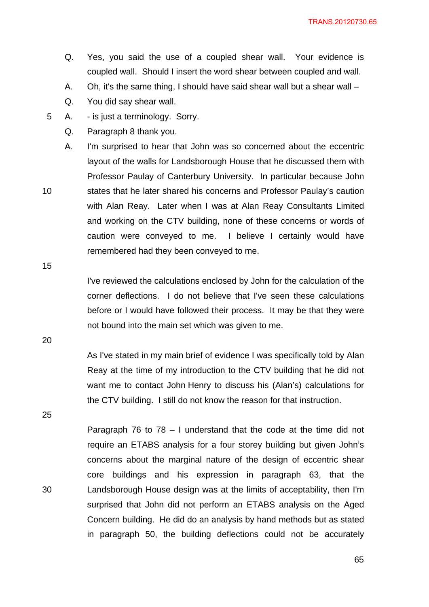- Q. Yes, you said the use of a coupled shear wall. Your evidence is coupled wall. Should I insert the word shear between coupled and wall.
- A. Oh, it's the same thing, I should have said shear wall but a shear wall –
- Q. You did say shear wall.
- 5 A. is just a terminology. Sorry.
	- Q. Paragraph 8 thank you.

A. I'm surprised to hear that John was so concerned about the eccentric layout of the walls for Landsborough House that he discussed them with Professor Paulay of Canterbury University. In particular because John states that he later shared his concerns and Professor Paulay's caution with Alan Reay. Later when I was at Alan Reay Consultants Limited and working on the CTV building, none of these concerns or words of caution were conveyed to me. I believe I certainly would have remembered had they been conveyed to me.

15

10

I've reviewed the calculations enclosed by John for the calculation of the corner deflections. I do not believe that I've seen these calculations before or I would have followed their process. It may be that they were not bound into the main set which was given to me.

20

As I've stated in my main brief of evidence I was specifically told by Alan Reay at the time of my introduction to the CTV building that he did not want me to contact John Henry to discuss his (Alan's) calculations for the CTV building. I still do not know the reason for that instruction.

25

30

Paragraph 76 to 78 – I understand that the code at the time did not require an ETABS analysis for a four storey building but given John's concerns about the marginal nature of the design of eccentric shear core buildings and his expression in paragraph 63, that the Landsborough House design was at the limits of acceptability, then I'm surprised that John did not perform an ETABS analysis on the Aged Concern building. He did do an analysis by hand methods but as stated in paragraph 50, the building deflections could not be accurately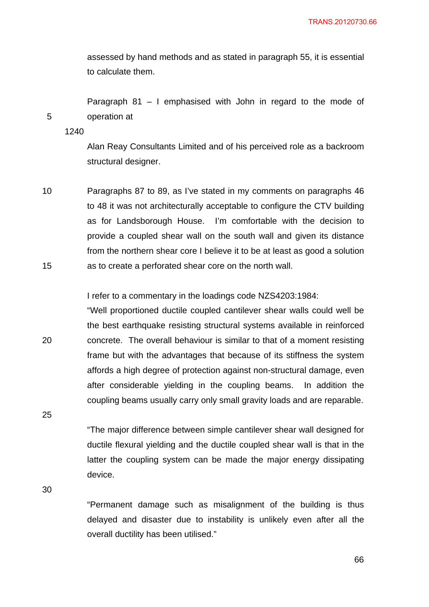assessed by hand methods and as stated in paragraph 55, it is essential to calculate them.

Paragraph 81 – I emphasised with John in regard to the mode of operation at

1240

5

Alan Reay Consultants Limited and of his perceived role as a backroom structural designer.

10 15 Paragraphs 87 to 89, as I've stated in my comments on paragraphs 46 to 48 it was not architecturally acceptable to configure the CTV building as for Landsborough House. I'm comfortable with the decision to provide a coupled shear wall on the south wall and given its distance from the northern shear core I believe it to be at least as good a solution as to create a perforated shear core on the north wall.

I refer to a commentary in the loadings code NZS4203:1984:

20 "Well proportioned ductile coupled cantilever shear walls could well be the best earthquake resisting structural systems available in reinforced concrete. The overall behaviour is similar to that of a moment resisting frame but with the advantages that because of its stiffness the system affords a high degree of protection against non-structural damage, even after considerable yielding in the coupling beams. In addition the coupling beams usually carry only small gravity loads and are reparable.

25

"The major difference between simple cantilever shear wall designed for ductile flexural yielding and the ductile coupled shear wall is that in the latter the coupling system can be made the major energy dissipating device.

30

"Permanent damage such as misalignment of the building is thus delayed and disaster due to instability is unlikely even after all the overall ductility has been utilised."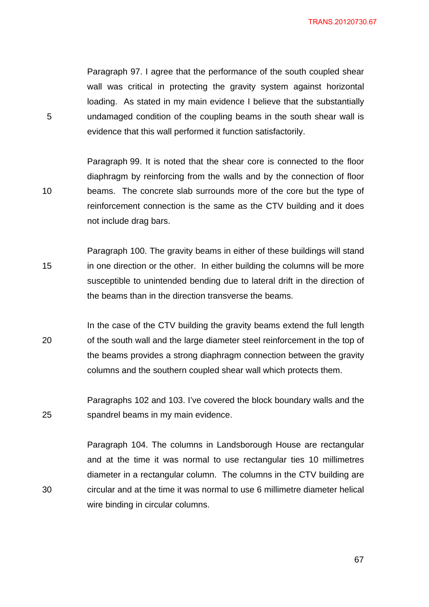TRANS.20120730.67

Paragraph 97. I agree that the performance of the south coupled shear wall was critical in protecting the gravity system against horizontal loading. As stated in my main evidence I believe that the substantially undamaged condition of the coupling beams in the south shear wall is evidence that this wall performed it function satisfactorily.

5

10

30

Paragraph 99. It is noted that the shear core is connected to the floor diaphragm by reinforcing from the walls and by the connection of floor beams. The concrete slab surrounds more of the core but the type of reinforcement connection is the same as the CTV building and it does not include drag bars.

15 Paragraph 100. The gravity beams in either of these buildings will stand in one direction or the other. In either building the columns will be more susceptible to unintended bending due to lateral drift in the direction of the beams than in the direction transverse the beams.

20 In the case of the CTV building the gravity beams extend the full length of the south wall and the large diameter steel reinforcement in the top of the beams provides a strong diaphragm connection between the gravity columns and the southern coupled shear wall which protects them.

25 Paragraphs 102 and 103. I've covered the block boundary walls and the spandrel beams in my main evidence.

Paragraph 104. The columns in Landsborough House are rectangular and at the time it was normal to use rectangular ties 10 millimetres diameter in a rectangular column. The columns in the CTV building are circular and at the time it was normal to use 6 millimetre diameter helical wire binding in circular columns.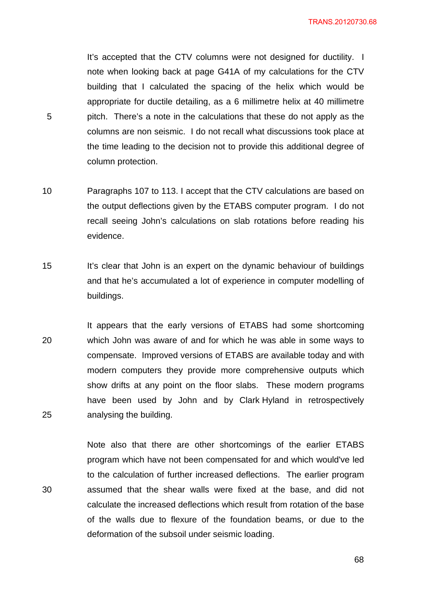TRANS.20120730.68

It's accepted that the CTV columns were not designed for ductility. I note when looking back at page G41A of my calculations for the CTV building that I calculated the spacing of the helix which would be appropriate for ductile detailing, as a 6 millimetre helix at 40 millimetre pitch. There's a note in the calculations that these do not apply as the columns are non seismic. I do not recall what discussions took place at the time leading to the decision not to provide this additional degree of column protection.

10 Paragraphs 107 to 113. I accept that the CTV calculations are based on the output deflections given by the ETABS computer program. I do not recall seeing John's calculations on slab rotations before reading his evidence.

5

30

- 15 It's clear that John is an expert on the dynamic behaviour of buildings and that he's accumulated a lot of experience in computer modelling of buildings.
- 20 25 It appears that the early versions of ETABS had some shortcoming which John was aware of and for which he was able in some ways to compensate. Improved versions of ETABS are available today and with modern computers they provide more comprehensive outputs which show drifts at any point on the floor slabs. These modern programs have been used by John and by Clark Hyland in retrospectively analysing the building.

Note also that there are other shortcomings of the earlier ETABS program which have not been compensated for and which would've led to the calculation of further increased deflections. The earlier program assumed that the shear walls were fixed at the base, and did not calculate the increased deflections which result from rotation of the base of the walls due to flexure of the foundation beams, or due to the deformation of the subsoil under seismic loading.

e a construction de la construction de la construction de la construction de la construction de la constructio<br>En 1968, en 1969, en 1969, en 1969, en 1969, en 1969, en 1969, en 1969, en 1969, en 1969, en 1969, en 1969, e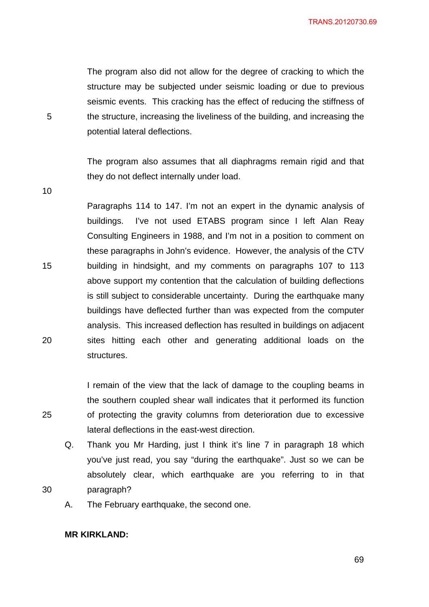The program also did not allow for the degree of cracking to which the structure may be subjected under seismic loading or due to previous seismic events. This cracking has the effect of reducing the stiffness of the structure, increasing the liveliness of the building, and increasing the potential lateral deflections.

The program also assumes that all diaphragms remain rigid and that they do not deflect internally under load.

10

5

15 20 Paragraphs 114 to 147. I'm not an expert in the dynamic analysis of buildings. I've not used ETABS program since I left Alan Reay Consulting Engineers in 1988, and I'm not in a position to comment on these paragraphs in John's evidence. However, the analysis of the CTV building in hindsight, and my comments on paragraphs 107 to 113 above support my contention that the calculation of building deflections is still subject to considerable uncertainty. During the earthquake many buildings have deflected further than was expected from the computer analysis. This increased deflection has resulted in buildings on adjacent sites hitting each other and generating additional loads on the structures.

> I remain of the view that the lack of damage to the coupling beams in the southern coupled shear wall indicates that it performed its function of protecting the gravity columns from deterioration due to excessive lateral deflections in the east-west direction.

Q. Thank you Mr Harding, just I think it's line 7 in paragraph 18 which you've just read, you say "during the earthquake". Just so we can be absolutely clear, which earthquake are you referring to in that paragraph?

A. The February earthquake, the second one.

## **MR KIRKLAND:**

25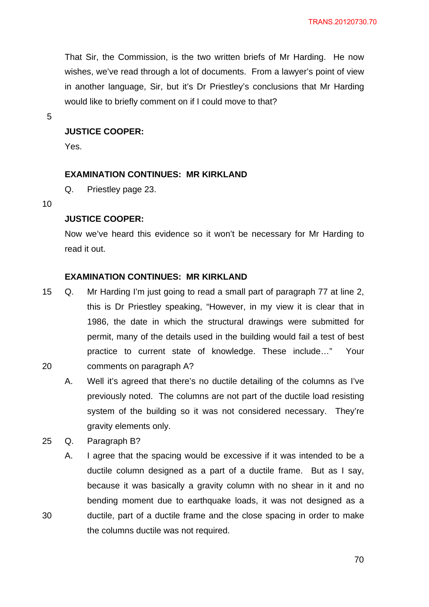That Sir, the Commission, is the two written briefs of Mr Harding. He now wishes, we've read through a lot of documents. From a lawyer's point of view in another language, Sir, but it's Dr Priestley's conclusions that Mr Harding would like to briefly comment on if I could move to that?

5

# **JUSTICE COOPER:**

Yes.

### **EXAMINATION CONTINUES: MR KIRKLAND**

Q. Priestley page 23.

10

## **JUSTICE COOPER:**

Now we've heard this evidence so it won't be necessary for Mr Harding to read it out.

### **EXAMINATION CONTINUES: MR KIRKLAND**

- 20 15 Q. Mr Harding I'm just going to read a small part of paragraph 77 at line 2, this is Dr Priestley speaking, "However, in my view it is clear that in 1986, the date in which the structural drawings were submitted for permit, many of the details used in the building would fail a test of best practice to current state of knowledge. These include…" Your comments on paragraph A?
- 

30

A. Well it's agreed that there's no ductile detailing of the columns as I've previously noted. The columns are not part of the ductile load resisting system of the building so it was not considered necessary. They're gravity elements only.

25 Q. Paragraph B?

A. I agree that the spacing would be excessive if it was intended to be a ductile column designed as a part of a ductile frame. But as I say, because it was basically a gravity column with no shear in it and no bending moment due to earthquake loads, it was not designed as a ductile, part of a ductile frame and the close spacing in order to make the columns ductile was not required.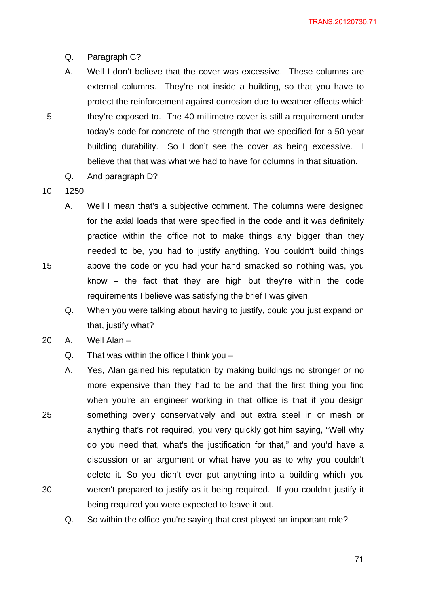- Q. Paragraph C?
- A. Well I don't believe that the cover was excessive. These columns are external columns. They're not inside a building, so that you have to protect the reinforcement against corrosion due to weather effects which they're exposed to. The 40 millimetre cover is still a requirement under today's code for concrete of the strength that we specified for a 50 year building durability. So I don't see the cover as being excessive. I believe that that was what we had to have for columns in that situation.
- Q. And paragraph D?
- 10 1250

15

- A. Well I mean that's a subjective comment. The columns were designed for the axial loads that were specified in the code and it was definitely practice within the office not to make things any bigger than they needed to be, you had to justify anything. You couldn't build things above the code or you had your hand smacked so nothing was, you know – the fact that they are high but they're within the code requirements I believe was satisfying the brief I was given.
	- Q. When you were talking about having to justify, could you just expand on that, justify what?
- 20 A. Well Alan
	- $Q.$  That was within the office I think you –
- 25 30 A. Yes, Alan gained his reputation by making buildings no stronger or no more expensive than they had to be and that the first thing you find when you're an engineer working in that office is that if you design something overly conservatively and put extra steel in or mesh or anything that's not required, you very quickly got him saying, "Well why do you need that, what's the justification for that," and you'd have a discussion or an argument or what have you as to why you couldn't delete it. So you didn't ever put anything into a building which you weren't prepared to justify as it being required. If you couldn't justify it being required you were expected to leave it out.
	- Q. So within the office you're saying that cost played an important role?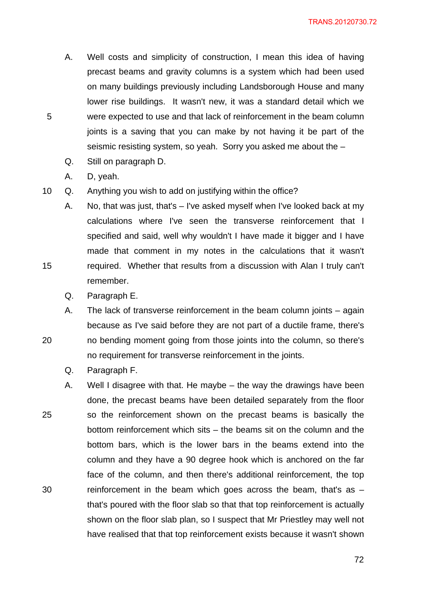- A. Well costs and simplicity of construction, I mean this idea of having precast beams and gravity columns is a system which had been used on many buildings previously including Landsborough House and many lower rise buildings. It wasn't new, it was a standard detail which we were expected to use and that lack of reinforcement in the beam column joints is a saving that you can make by not having it be part of the seismic resisting system, so yeah. Sorry you asked me about the –
- Q. Still on paragraph D.
- A. D, yeah.

5

15

- 10 Q. Anything you wish to add on justifying within the office?
	- A. No, that was just, that's I've asked myself when I've looked back at my calculations where I've seen the transverse reinforcement that I specified and said, well why wouldn't I have made it bigger and I have made that comment in my notes in the calculations that it wasn't required. Whether that results from a discussion with Alan I truly can't remember.
		- Q. Paragraph E.
	- A. The lack of transverse reinforcement in the beam column joints again because as I've said before they are not part of a ductile frame, there's no bending moment going from those joints into the column, so there's no requirement for transverse reinforcement in the joints.
		- Q. Paragraph F.
- 25 30 A. Well I disagree with that. He maybe – the way the drawings have been done, the precast beams have been detailed separately from the floor so the reinforcement shown on the precast beams is basically the bottom reinforcement which sits – the beams sit on the column and the bottom bars, which is the lower bars in the beams extend into the column and they have a 90 degree hook which is anchored on the far face of the column, and then there's additional reinforcement, the top reinforcement in the beam which goes across the beam, that's as – that's poured with the floor slab so that that top reinforcement is actually shown on the floor slab plan, so I suspect that Mr Priestley may well not have realised that that top reinforcement exists because it wasn't shown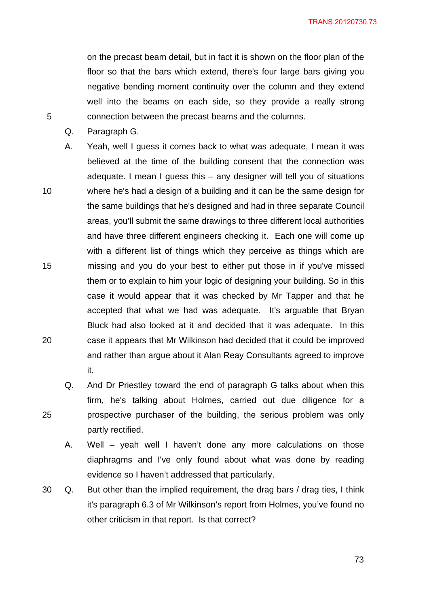TRANS.20120730.73

on the precast beam detail, but in fact it is shown on the floor plan of the floor so that the bars which extend, there's four large bars giving you negative bending moment continuity over the column and they extend well into the beams on each side, so they provide a really strong connection between the precast beams and the columns.

Q. Paragraph G.

5

- 10 15 20 A. Yeah, well I guess it comes back to what was adequate, I mean it was believed at the time of the building consent that the connection was adequate. I mean I guess this – any designer will tell you of situations where he's had a design of a building and it can be the same design for the same buildings that he's designed and had in three separate Council areas, you'll submit the same drawings to three different local authorities and have three different engineers checking it. Each one will come up with a different list of things which they perceive as things which are missing and you do your best to either put those in if you've missed them or to explain to him your logic of designing your building. So in this case it would appear that it was checked by Mr Tapper and that he accepted that what we had was adequate. It's arguable that Bryan Bluck had also looked at it and decided that it was adequate. In this case it appears that Mr Wilkinson had decided that it could be improved and rather than argue about it Alan Reay Consultants agreed to improve it.
	- Q. And Dr Priestley toward the end of paragraph G talks about when this firm, he's talking about Holmes, carried out due diligence for a prospective purchaser of the building, the serious problem was only partly rectified.
	- A. Well yeah well I haven't done any more calculations on those diaphragms and I've only found about what was done by reading evidence so I haven't addressed that particularly.
- 30 Q. But other than the implied requirement, the drag bars / drag ties, I think it's paragraph 6.3 of Mr Wilkinson's report from Holmes, you've found no other criticism in that report. Is that correct?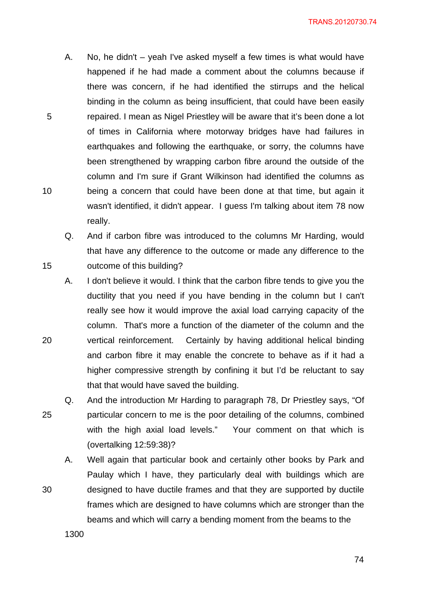A. No, he didn't – yeah I've asked myself a few times is what would have happened if he had made a comment about the columns because if there was concern, if he had identified the stirrups and the helical binding in the column as being insufficient, that could have been easily repaired. I mean as Nigel Priestley will be aware that it's been done a lot of times in California where motorway bridges have had failures in earthquakes and following the earthquake, or sorry, the columns have been strengthened by wrapping carbon fibre around the outside of the column and I'm sure if Grant Wilkinson had identified the columns as being a concern that could have been done at that time, but again it wasn't identified, it didn't appear. I guess I'm talking about item 78 now really.

Q. And if carbon fibre was introduced to the columns Mr Harding, would that have any difference to the outcome or made any difference to the outcome of this building?

A. I don't believe it would. I think that the carbon fibre tends to give you the ductility that you need if you have bending in the column but I can't really see how it would improve the axial load carrying capacity of the column. That's more a function of the diameter of the column and the vertical reinforcement. Certainly by having additional helical binding and carbon fibre it may enable the concrete to behave as if it had a higher compressive strength by confining it but I'd be reluctant to say that that would have saved the building.

25 Q. And the introduction Mr Harding to paragraph 78, Dr Priestley says, "Of particular concern to me is the poor detailing of the columns, combined with the high axial load levels." Your comment on that which is (overtalking 12:59:38)?

A. Well again that particular book and certainly other books by Park and Paulay which I have, they particularly deal with buildings which are designed to have ductile frames and that they are supported by ductile frames which are designed to have columns which are stronger than the beams and which will carry a bending moment from the beams to the

1300

5

10

15

20

30

<u>74 and 2011 and 2012</u>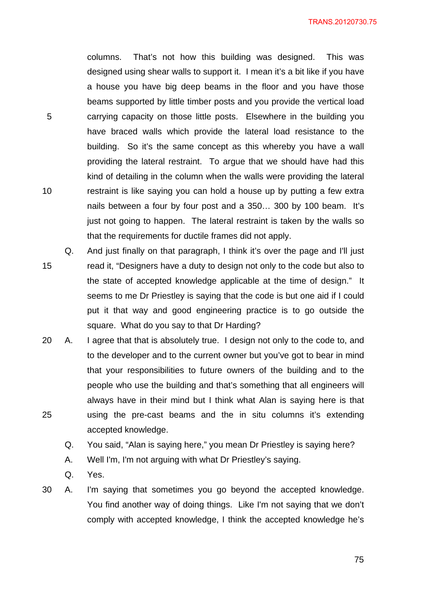TRANS.20120730.75

columns. That's not how this building was designed. This was designed using shear walls to support it. I mean it's a bit like if you have a house you have big deep beams in the floor and you have those beams supported by little timber posts and you provide the vertical load carrying capacity on those little posts. Elsewhere in the building you have braced walls which provide the lateral load resistance to the building. So it's the same concept as this whereby you have a wall providing the lateral restraint. To argue that we should have had this kind of detailing in the column when the walls were providing the lateral restraint is like saying you can hold a house up by putting a few extra nails between a four by four post and a 350… 300 by 100 beam. It's just not going to happen. The lateral restraint is taken by the walls so that the requirements for ductile frames did not apply.

- 15 Q. And just finally on that paragraph, I think it's over the page and I'll just read it, "Designers have a duty to design not only to the code but also to the state of accepted knowledge applicable at the time of design." It seems to me Dr Priestley is saying that the code is but one aid if I could put it that way and good engineering practice is to go outside the square. What do you say to that Dr Harding?
- 25 20 A. I agree that that is absolutely true. I design not only to the code to, and to the developer and to the current owner but you've got to bear in mind that your responsibilities to future owners of the building and to the people who use the building and that's something that all engineers will always have in their mind but I think what Alan is saying here is that using the pre-cast beams and the in situ columns it's extending accepted knowledge.

Q. You said, "Alan is saying here," you mean Dr Priestley is saying here?

- A. Well I'm, I'm not arguing with what Dr Priestley's saying.
- Q. Yes.

5

10

30 A. I'm saying that sometimes you go beyond the accepted knowledge. You find another way of doing things. Like I'm not saying that we don't comply with accepted knowledge, I think the accepted knowledge he's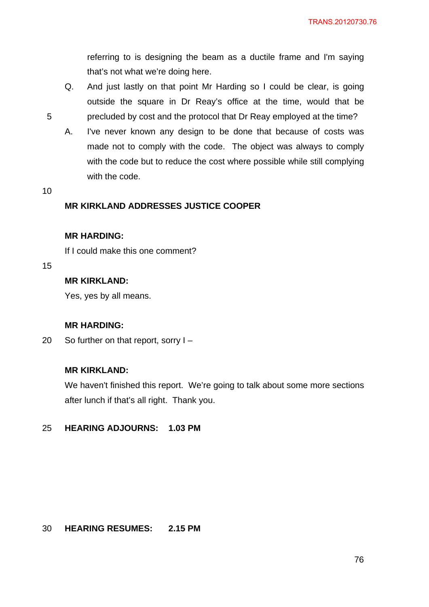referring to is designing the beam as a ductile frame and I'm saying that's not what we're doing here.

- Q. And just lastly on that point Mr Harding so I could be clear, is going outside the square in Dr Reay's office at the time, would that be precluded by cost and the protocol that Dr Reay employed at the time?
- A. I've never known any design to be done that because of costs was made not to comply with the code. The object was always to comply with the code but to reduce the cost where possible while still complying with the code.
- 10

5

# **MR KIRKLAND ADDRESSES JUSTICE COOPER**

### **MR HARDING:**

If I could make this one comment?

15

# **MR KIRKLAND:**

Yes, yes by all means.

## **MR HARDING:**

20 So further on that report, sorry I –

## **MR KIRKLAND:**

We haven't finished this report. We're going to talk about some more sections after lunch if that's all right. Thank you.

#### 25 **HEARING ADJOURNS: 1.03 PM**

#### 30 **HEARING RESUMES: 2.15 PM**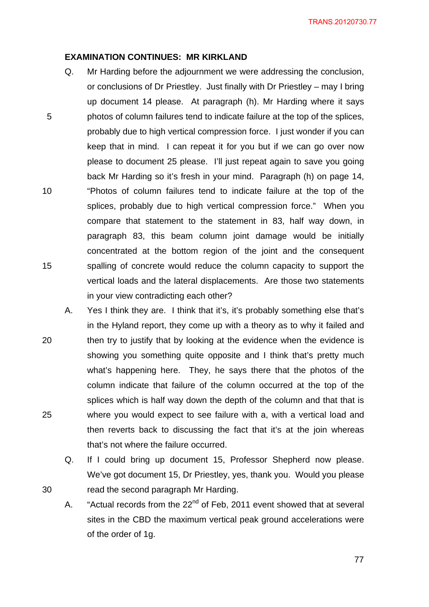### **EXAMINATION CONTINUES: MR KIRKLAND**

- 5 10 15 Q. Mr Harding before the adjournment we were addressing the conclusion, or conclusions of Dr Priestley. Just finally with Dr Priestley – may I bring up document 14 please. At paragraph (h). Mr Harding where it says photos of column failures tend to indicate failure at the top of the splices, probably due to high vertical compression force. I just wonder if you can keep that in mind. I can repeat it for you but if we can go over now please to document 25 please. I'll just repeat again to save you going back Mr Harding so it's fresh in your mind. Paragraph (h) on page 14, "Photos of column failures tend to indicate failure at the top of the splices, probably due to high vertical compression force." When you compare that statement to the statement in 83, half way down, in paragraph 83, this beam column joint damage would be initially concentrated at the bottom region of the joint and the consequent spalling of concrete would reduce the column capacity to support the vertical loads and the lateral displacements. Are those two statements in your view contradicting each other?
- 20 25 A. Yes I think they are. I think that it's, it's probably something else that's in the Hyland report, they come up with a theory as to why it failed and then try to justify that by looking at the evidence when the evidence is showing you something quite opposite and I think that's pretty much what's happening here. They, he says there that the photos of the column indicate that failure of the column occurred at the top of the splices which is half way down the depth of the column and that that is where you would expect to see failure with a, with a vertical load and then reverts back to discussing the fact that it's at the join whereas that's not where the failure occurred.
	- Q. If I could bring up document 15, Professor Shepherd now please. We've got document 15, Dr Priestley, yes, thank you. Would you please read the second paragraph Mr Harding.

30

A. "Actual records from the 22<sup>nd</sup> of Feb, 2011 event showed that at several sites in the CBD the maximum vertical peak ground accelerations were of the order of 1g.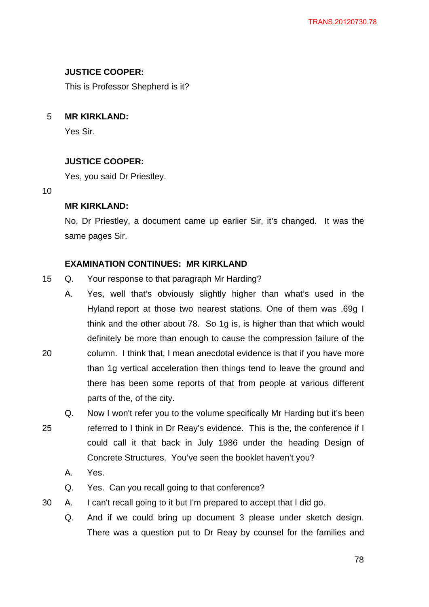# **JUSTICE COOPER:**

This is Professor Shepherd is it?

5 **MR KIRKLAND:** 

Yes Sir.

# **JUSTICE COOPER:**

Yes, you said Dr Priestley.

10

## **MR KIRKLAND:**

No, Dr Priestley, a document came up earlier Sir, it's changed. It was the same pages Sir.

# **EXAMINATION CONTINUES: MR KIRKLAND**

- 15 Q. Your response to that paragraph Mr Harding?
- 20 A. Yes, well that's obviously slightly higher than what's used in the Hyland report at those two nearest stations. One of them was .69g I think and the other about 78. So 1g is, is higher than that which would definitely be more than enough to cause the compression failure of the column. I think that, I mean anecdotal evidence is that if you have more than 1g vertical acceleration then things tend to leave the ground and there has been some reports of that from people at various different parts of the, of the city.
- 25 Q. Now I won't refer you to the volume specifically Mr Harding but it's been referred to I think in Dr Reay's evidence. This is the, the conference if I could call it that back in July 1986 under the heading Design of Concrete Structures. You've seen the booklet haven't you?
	- A. Yes.
	- Q. Yes. Can you recall going to that conference?
- 30 A. I can't recall going to it but I'm prepared to accept that I did go.
	- Q. And if we could bring up document 3 please under sketch design. There was a question put to Dr Reay by counsel for the families and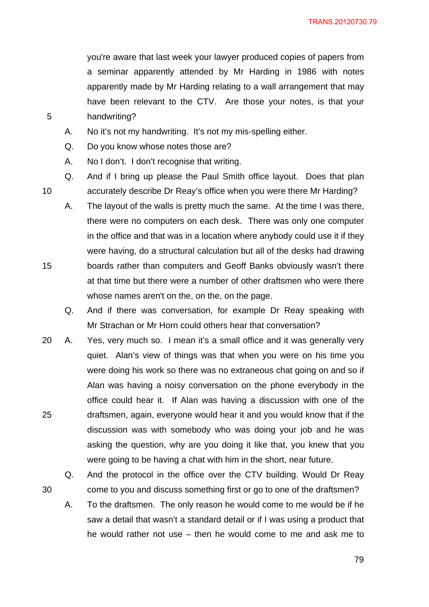you're aware that last week your lawyer produced copies of papers from a seminar apparently attended by Mr Harding in 1986 with notes apparently made by Mr Harding relating to a wall arrangement that may have been relevant to the CTV. Are those your notes, is that your handwriting?

A. No it's not my handwriting. It's not my mis-spelling either.

Q. Do you know whose notes those are?

5

10

15

30

A. No I don't. I don't recognise that writing.

Q. And if I bring up please the Paul Smith office layout. Does that plan accurately describe Dr Reay's office when you were there Mr Harding?

- A. The layout of the walls is pretty much the same. At the time I was there, there were no computers on each desk. There was only one computer in the office and that was in a location where anybody could use it if they were having, do a structural calculation but all of the desks had drawing boards rather than computers and Geoff Banks obviously wasn't there at that time but there were a number of other draftsmen who were there whose names aren't on the, on the, on the page.
	- Q. And if there was conversation, for example Dr Reay speaking with Mr Strachan or Mr Horn could others hear that conversation?
- 25 20 A. Yes, very much so. I mean it's a small office and it was generally very quiet. Alan's view of things was that when you were on his time you were doing his work so there was no extraneous chat going on and so if Alan was having a noisy conversation on the phone everybody in the office could hear it. If Alan was having a discussion with one of the draftsmen, again, everyone would hear it and you would know that if the discussion was with somebody who was doing your job and he was asking the question, why are you doing it like that, you knew that you were going to be having a chat with him in the short, near future.
	- Q. And the protocol in the office over the CTV building. Would Dr Reay come to you and discuss something first or go to one of the draftsmen?
	- A. To the draftsmen. The only reason he would come to me would be if he saw a detail that wasn't a standard detail or if I was using a product that he would rather not use – then he would come to me and ask me to

ли последници производство в 1990 године в 1990 године в 1990 године в 1990 године в 1990 године в 1990 године<br>В 1990 године в 1990 године в 1990 године в 1990 године в 1990 године в 1990 године в 1990 године в 1990 годин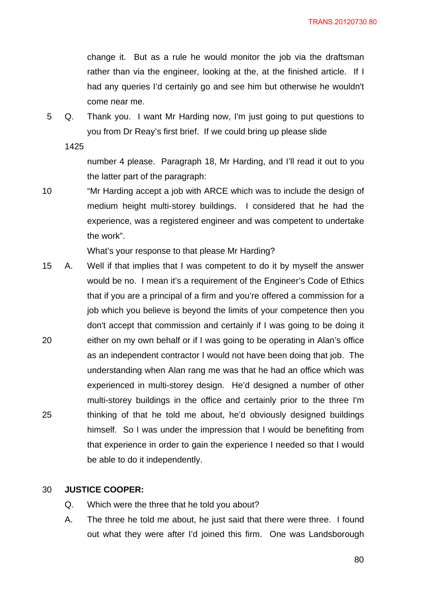TRANS.20120730.80

change it. But as a rule he would monitor the job via the draftsman rather than via the engineer, looking at the, at the finished article. If I had any queries I'd certainly go and see him but otherwise he wouldn't come near me.

5 Q. Thank you. I want Mr Harding now, I'm just going to put questions to you from Dr Reay's first brief. If we could bring up please slide

1425

number 4 please. Paragraph 18, Mr Harding, and I'll read it out to you the latter part of the paragraph:

10 "Mr Harding accept a job with ARCE which was to include the design of medium height multi-storey buildings. I considered that he had the experience, was a registered engineer and was competent to undertake the work".

What's your response to that please Mr Harding?

20 25 15 A. Well if that implies that I was competent to do it by myself the answer would be no. I mean it's a requirement of the Engineer's Code of Ethics that if you are a principal of a firm and you're offered a commission for a job which you believe is beyond the limits of your competence then you don't accept that commission and certainly if I was going to be doing it either on my own behalf or if I was going to be operating in Alan's office as an independent contractor I would not have been doing that job. The understanding when Alan rang me was that he had an office which was experienced in multi-storey design. He'd designed a number of other multi-storey buildings in the office and certainly prior to the three I'm thinking of that he told me about, he'd obviously designed buildings himself. So I was under the impression that I would be benefiting from that experience in order to gain the experience I needed so that I would be able to do it independently.

#### 30 **JUSTICE COOPER:**

- Q. Which were the three that he told you about?
- A. The three he told me about, he just said that there were three. I found out what they were after I'd joined this firm. One was Landsborough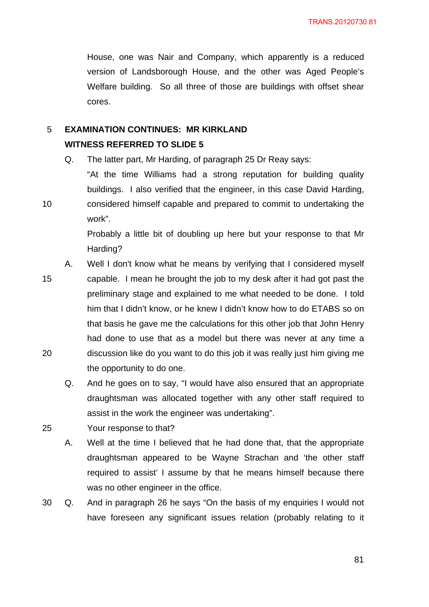House, one was Nair and Company, which apparently is a reduced version of Landsborough House, and the other was Aged People's Welfare building. So all three of those are buildings with offset shear cores.

### 5 **EXAMINATION CONTINUES: MR KIRKLAND WITNESS REFERRED TO SLIDE 5**

Q. The latter part, Mr Harding, of paragraph 25 Dr Reay says:

"At the time Williams had a strong reputation for building quality buildings. I also verified that the engineer, in this case David Harding, considered himself capable and prepared to commit to undertaking the work".

Probably a little bit of doubling up here but your response to that Mr Harding?

capable. I mean he brought the job to my desk after it had got past the

preliminary stage and explained to me what needed to be done. I told

A. Well I don't know what he means by verifying that I considered myself

15

10

- 
- 20

him that I didn't know, or he knew I didn't know how to do ETABS so on that basis he gave me the calculations for this other job that John Henry had done to use that as a model but there was never at any time a discussion like do you want to do this job it was really just him giving me the opportunity to do one.

Q. And he goes on to say, "I would have also ensured that an appropriate draughtsman was allocated together with any other staff required to assist in the work the engineer was undertaking".

25 Your response to that?

> A. Well at the time I believed that he had done that, that the appropriate draughtsman appeared to be Wayne Strachan and 'the other staff required to assist' I assume by that he means himself because there was no other engineer in the office.

30 Q. And in paragraph 26 he says "On the basis of my enquiries I would not have foreseen any significant issues relation (probably relating to it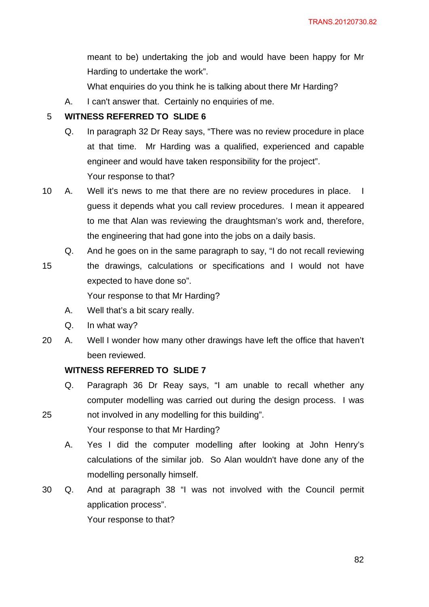meant to be) undertaking the job and would have been happy for Mr Harding to undertake the work".

What enquiries do you think he is talking about there Mr Harding?

A. I can't answer that. Certainly no enquiries of me.

#### 5 **WITNESS REFERRED TO SLIDE 6**

- Q. In paragraph 32 Dr Reay says, "There was no review procedure in place at that time. Mr Harding was a qualified, experienced and capable engineer and would have taken responsibility for the project". Your response to that?
- 10 A. Well it's news to me that there are no review procedures in place. I guess it depends what you call review procedures. I mean it appeared to me that Alan was reviewing the draughtsman's work and, therefore, the engineering that had gone into the jobs on a daily basis.
	- Q. And he goes on in the same paragraph to say, "I do not recall reviewing
- 15 the drawings, calculations or specifications and I would not have expected to have done so".

Your response to that Mr Harding?

- A. Well that's a bit scary really.
- Q. In what way?

25

20 A. Well I wonder how many other drawings have left the office that haven't been reviewed.

# **WITNESS REFERRED TO SLIDE 7**

- Q. Paragraph 36 Dr Reay says, "I am unable to recall whether any computer modelling was carried out during the design process. I was not involved in any modelling for this building".
- Your response to that Mr Harding?
	- A. Yes I did the computer modelling after looking at John Henry's calculations of the similar job. So Alan wouldn't have done any of the modelling personally himself.
- 30 Q. And at paragraph 38 "I was not involved with the Council permit application process".

Your response to that?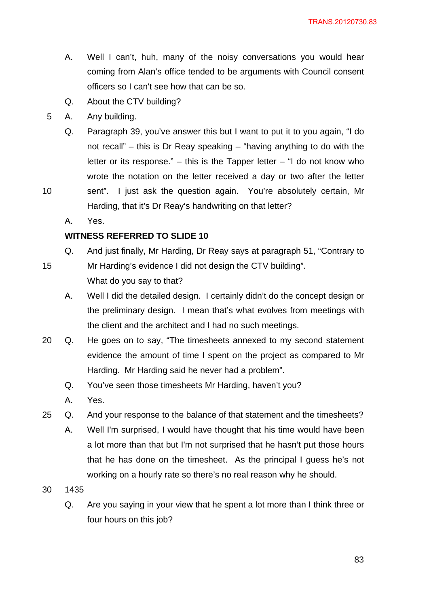- A. Well I can't, huh, many of the noisy conversations you would hear coming from Alan's office tended to be arguments with Council consent officers so I can't see how that can be so.
- Q. About the CTV building?
- 5 A. Any building.
	- Q. Paragraph 39, you've answer this but I want to put it to you again, "I do not recall" – this is Dr Reay speaking – "having anything to do with the letter or its response."  $-$  this is the Tapper letter  $-$  "I do not know who wrote the notation on the letter received a day or two after the letter
- 10 sent". I just ask the question again. You're absolutely certain, Mr Harding, that it's Dr Reay's handwriting on that letter?
	- A. Yes.

# **WITNESS REFERRED TO SLIDE 10**

- 15 Q. And just finally, Mr Harding, Dr Reay says at paragraph 51, "Contrary to Mr Harding's evidence I did not design the CTV building". What do you say to that?
	- A. Well I did the detailed design. I certainly didn't do the concept design or the preliminary design. I mean that's what evolves from meetings with the client and the architect and I had no such meetings.
- 20 Q. He goes on to say, "The timesheets annexed to my second statement evidence the amount of time I spent on the project as compared to Mr Harding. Mr Harding said he never had a problem".
	- Q. You've seen those timesheets Mr Harding, haven't you?
	- A. Yes.
- 25 Q. And your response to the balance of that statement and the timesheets?
	- A. Well I'm surprised, I would have thought that his time would have been a lot more than that but I'm not surprised that he hasn't put those hours that he has done on the timesheet. As the principal I guess he's not working on a hourly rate so there's no real reason why he should.
- 30 1435
	- Q. Are you saying in your view that he spent a lot more than I think three or four hours on this job?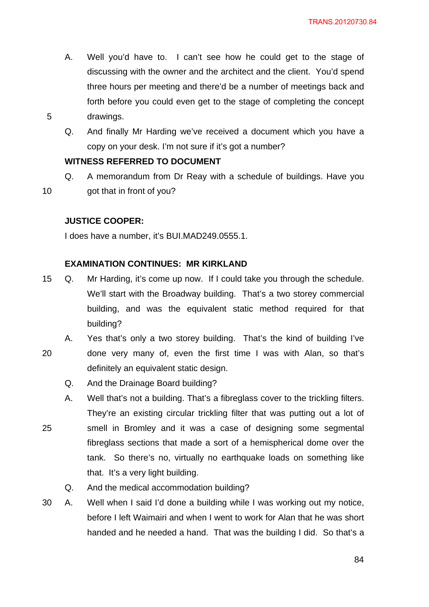- A. Well you'd have to. I can't see how he could get to the stage of discussing with the owner and the architect and the client. You'd spend three hours per meeting and there'd be a number of meetings back and forth before you could even get to the stage of completing the concept drawings.
- Q. And finally Mr Harding we've received a document which you have a copy on your desk. I'm not sure if it's got a number?

# **WITNESS REFERRED TO DOCUMENT**

Q. A memorandum from Dr Reay with a schedule of buildings. Have you got that in front of you?

# **JUSTICE COOPER:**

5

10

I does have a number, it's BUI.MAD249.0555.1.

# **EXAMINATION CONTINUES: MR KIRKLAND**

- 15 Q. Mr Harding, it's come up now. If I could take you through the schedule. We'll start with the Broadway building. That's a two storey commercial building, and was the equivalent static method required for that building?
- 20 A. Yes that's only a two storey building. That's the kind of building I've done very many of, even the first time I was with Alan, so that's definitely an equivalent static design.
	- Q. And the Drainage Board building?
- 25 A. Well that's not a building. That's a fibreglass cover to the trickling filters. They're an existing circular trickling filter that was putting out a lot of smell in Bromley and it was a case of designing some segmental fibreglass sections that made a sort of a hemispherical dome over the tank. So there's no, virtually no earthquake loads on something like that. It's a very light building.
	- Q. And the medical accommodation building?
- 30 A. Well when I said I'd done a building while I was working out my notice, before I left Waimairi and when I went to work for Alan that he was short handed and he needed a hand. That was the building I did. So that's a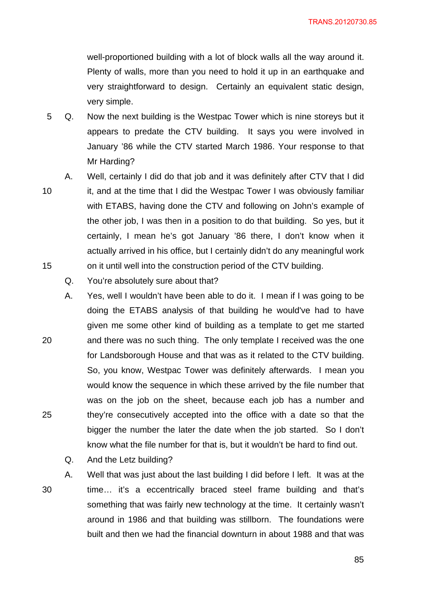well-proportioned building with a lot of block walls all the way around it. Plenty of walls, more than you need to hold it up in an earthquake and very straightforward to design. Certainly an equivalent static design, very simple.

- 5 Q. Now the next building is the Westpac Tower which is nine storeys but it appears to predate the CTV building. It says you were involved in January '86 while the CTV started March 1986. Your response to that Mr Harding?
- 10 15 A. Well, certainly I did do that job and it was definitely after CTV that I did it, and at the time that I did the Westpac Tower I was obviously familiar with ETABS, having done the CTV and following on John's example of the other job, I was then in a position to do that building. So yes, but it certainly, I mean he's got January '86 there, I don't know when it actually arrived in his office, but I certainly didn't do any meaningful work on it until well into the construction period of the CTV building.
	- Q. You're absolutely sure about that?
- 20 25 A. Yes, well I wouldn't have been able to do it. I mean if I was going to be doing the ETABS analysis of that building he would've had to have given me some other kind of building as a template to get me started and there was no such thing. The only template I received was the one for Landsborough House and that was as it related to the CTV building. So, you know, Westpac Tower was definitely afterwards. I mean you would know the sequence in which these arrived by the file number that was on the job on the sheet, because each job has a number and they're consecutively accepted into the office with a date so that the bigger the number the later the date when the job started. So I don't know what the file number for that is, but it wouldn't be hard to find out.
	- Q. And the Letz building?

30

A. Well that was just about the last building I did before I left. It was at the time… it's a eccentrically braced steel frame building and that's something that was fairly new technology at the time. It certainly wasn't around in 1986 and that building was stillborn. The foundations were built and then we had the financial downturn in about 1988 and that was

<u>and the contract of the state and state and state and state and state and state and state and state and state</u>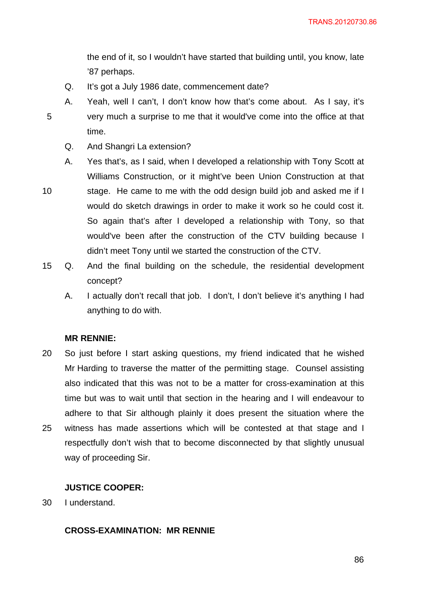the end of it, so I wouldn't have started that building until, you know, late '87 perhaps.

Q. It's got a July 1986 date, commencement date?

A. Yeah, well I can't, I don't know how that's come about. As I say, it's very much a surprise to me that it would've come into the office at that time.

- Q. And Shangri La extension?
- A. Yes that's, as I said, when I developed a relationship with Tony Scott at Williams Construction, or it might've been Union Construction at that

10

5

- stage. He came to me with the odd design build job and asked me if I would do sketch drawings in order to make it work so he could cost it. So again that's after I developed a relationship with Tony, so that would've been after the construction of the CTV building because I didn't meet Tony until we started the construction of the CTV.
- 15 Q. And the final building on the schedule, the residential development concept?
	- A. I actually don't recall that job. I don't, I don't believe it's anything I had anything to do with.

### **MR RENNIE:**

20 25 So just before I start asking questions, my friend indicated that he wished Mr Harding to traverse the matter of the permitting stage. Counsel assisting also indicated that this was not to be a matter for cross-examination at this time but was to wait until that section in the hearing and I will endeavour to adhere to that Sir although plainly it does present the situation where the witness has made assertions which will be contested at that stage and I respectfully don't wish that to become disconnected by that slightly unusual way of proceeding Sir.

### **JUSTICE COOPER:**

30 I understand.

# **CROSS-EXAMINATION: MR RENNIE**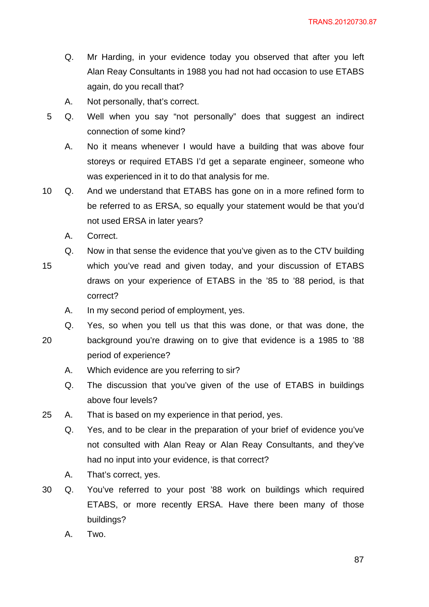- Q. Mr Harding, in your evidence today you observed that after you left Alan Reay Consultants in 1988 you had not had occasion to use ETABS again, do you recall that?
- A. Not personally, that's correct.
- 5 Q. Well when you say "not personally" does that suggest an indirect connection of some kind?
	- A. No it means whenever I would have a building that was above four storeys or required ETABS I'd get a separate engineer, someone who was experienced in it to do that analysis for me.
- 10 Q. And we understand that ETABS has gone on in a more refined form to be referred to as ERSA, so equally your statement would be that you'd not used ERSA in later years?
	- A. Correct.
	- Q. Now in that sense the evidence that you've given as to the CTV building
- 15 which you've read and given today, and your discussion of ETABS draws on your experience of ETABS in the '85 to '88 period, is that correct?
	- A. In my second period of employment, yes.
	- Q. Yes, so when you tell us that this was done, or that was done, the
- 20
- background you're drawing on to give that evidence is a 1985 to '88

period of experience?

- A. Which evidence are you referring to sir?
- Q. The discussion that you've given of the use of ETABS in buildings above four levels?
- 25 A. That is based on my experience in that period, yes.
	- Q. Yes, and to be clear in the preparation of your brief of evidence you've not consulted with Alan Reay or Alan Reay Consultants, and they've had no input into your evidence, is that correct?
	- A. That's correct, yes.
- 30 Q. You've referred to your post '88 work on buildings which required ETABS, or more recently ERSA. Have there been many of those buildings?
	- A. Two.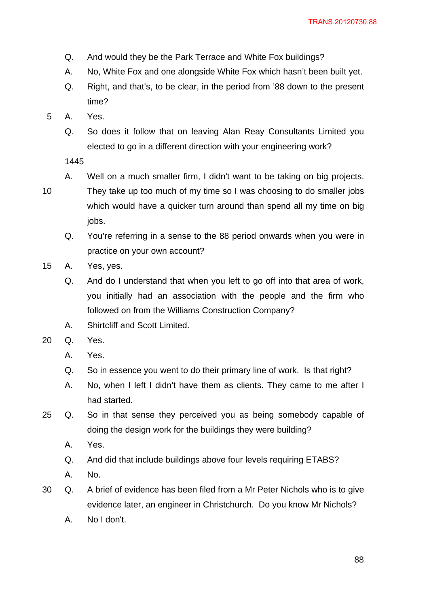- Q. And would they be the Park Terrace and White Fox buildings?
- A. No, White Fox and one alongside White Fox which hasn't been built yet.
- Q. Right, and that's, to be clear, in the period from '88 down to the present time?
- 5 A. Yes.
	- Q. So does it follow that on leaving Alan Reay Consultants Limited you elected to go in a different direction with your engineering work?

A. Well on a much smaller firm, I didn't want to be taking on big projects.

- They take up too much of my time so I was choosing to do smaller jobs which would have a quicker turn around than spend all my time on big jobs.
- Q. You're referring in a sense to the 88 period onwards when you were in practice on your own account?
- 15 A. Yes, yes.
	- Q. And do I understand that when you left to go off into that area of work, you initially had an association with the people and the firm who followed on from the Williams Construction Company?
	- A. Shirtcliff and Scott Limited.
- 20 Q. Yes.
	- A. Yes.
	- Q. So in essence you went to do their primary line of work. Is that right?
	- A. No, when I left I didn't have them as clients. They came to me after I had started.
- 25 Q. So in that sense they perceived you as being somebody capable of doing the design work for the buildings they were building?
	- A. Yes.
	- Q. And did that include buildings above four levels requiring ETABS?
	- A. No.
- 30 Q. A brief of evidence has been filed from a Mr Peter Nichols who is to give evidence later, an engineer in Christchurch. Do you know Mr Nichols?
	- A. No I don't.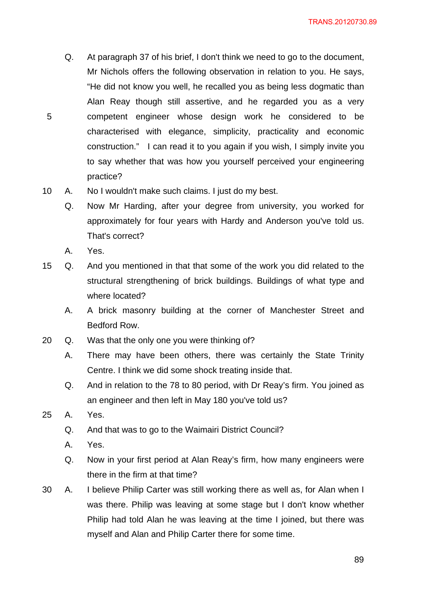- Q. At paragraph 37 of his brief, I don't think we need to go to the document, Mr Nichols offers the following observation in relation to you. He says, "He did not know you well, he recalled you as being less dogmatic than Alan Reay though still assertive, and he regarded you as a very competent engineer whose design work he considered to be characterised with elegance, simplicity, practicality and economic construction." I can read it to you again if you wish, I simply invite you to say whether that was how you yourself perceived your engineering practice?
- 10 A. No I wouldn't make such claims. I just do my best.
	- Q. Now Mr Harding, after your degree from university, you worked for approximately for four years with Hardy and Anderson you've told us. That's correct?
	- A. Yes.

- 15 Q. And you mentioned in that that some of the work you did related to the structural strengthening of brick buildings. Buildings of what type and where located?
	- A. A brick masonry building at the corner of Manchester Street and Bedford Row.
- 20 Q. Was that the only one you were thinking of?
	- A. There may have been others, there was certainly the State Trinity Centre. I think we did some shock treating inside that.
	- Q. And in relation to the 78 to 80 period, with Dr Reay's firm. You joined as an engineer and then left in May 180 you've told us?
- 25 A. Yes.
	- Q. And that was to go to the Waimairi District Council?
	- A. Yes.
	- Q. Now in your first period at Alan Reay's firm, how many engineers were there in the firm at that time?
- 30 A. I believe Philip Carter was still working there as well as, for Alan when I was there. Philip was leaving at some stage but I don't know whether Philip had told Alan he was leaving at the time I joined, but there was myself and Alan and Philip Carter there for some time.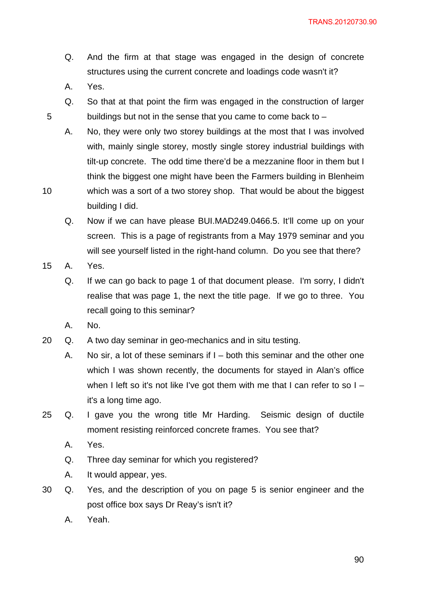TRANS.20120730.90

- Q. And the firm at that stage was engaged in the design of concrete structures using the current concrete and loadings code wasn't it?
- A. Yes.

- Q. So that at that point the firm was engaged in the construction of larger buildings but not in the sense that you came to come back to –
- A. No, they were only two storey buildings at the most that I was involved with, mainly single storey, mostly single storey industrial buildings with tilt-up concrete. The odd time there'd be a mezzanine floor in them but I think the biggest one might have been the Farmers building in Blenheim which was a sort of a two storey shop. That would be about the biggest
- 10 building I did.
	- Q. Now if we can have please BUI.MAD249.0466.5. It'll come up on your screen. This is a page of registrants from a May 1979 seminar and you will see yourself listed in the right-hand column. Do you see that there?
- 15 A. Yes.
	- Q. If we can go back to page 1 of that document please. I'm sorry, I didn't realise that was page 1, the next the title page. If we go to three. You recall going to this seminar?
	- A. No.
- 20 Q. A two day seminar in geo-mechanics and in situ testing.
	- A. No sir, a lot of these seminars if I both this seminar and the other one which I was shown recently, the documents for stayed in Alan's office when I left so it's not like I've got them with me that I can refer to so I – it's a long time ago.
- 25 Q. I gave you the wrong title Mr Harding. Seismic design of ductile moment resisting reinforced concrete frames. You see that?
	- A. Yes.
	- Q. Three day seminar for which you registered?
	- A. It would appear, yes.
- 30 Q. Yes, and the description of you on page 5 is senior engineer and the post office box says Dr Reay's isn't it?
	- A. Yeah.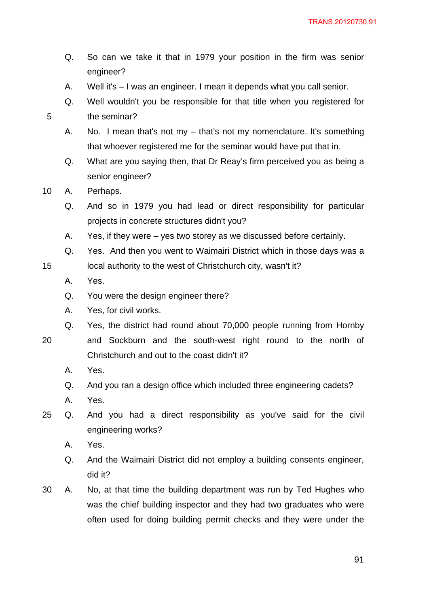- Q. So can we take it that in 1979 your position in the firm was senior engineer?
- A. Well it's I was an engineer. I mean it depends what you call senior.
- Q. Well wouldn't you be responsible for that title when you registered for the seminar?
- A. No. I mean that's not my that's not my nomenclature. It's something that whoever registered me for the seminar would have put that in.
- Q. What are you saying then, that Dr Reay's firm perceived you as being a senior engineer?
- 10 A. Perhaps.
	- Q. And so in 1979 you had lead or direct responsibility for particular projects in concrete structures didn't you?
	- A. Yes, if they were yes two storey as we discussed before certainly.
	- Q. Yes. And then you went to Waimairi District which in those days was a local authority to the west of Christchurch city, wasn't it?
	- A. Yes.
	- Q. You were the design engineer there?
	- A. Yes, for civil works.
	- Q. Yes, the district had round about 70,000 people running from Hornby

and Sockburn and the south-west right round to the north of

20

15

- Christchurch and out to the coast didn't it?
- A. Yes.
- Q. And you ran a design office which included three engineering cadets?
- A. Yes.
- 25 Q. And you had a direct responsibility as you've said for the civil engineering works?
	- A. Yes.
	- Q. And the Waimairi District did not employ a building consents engineer, did it?
- 30 A. No, at that time the building department was run by Ted Hughes who was the chief building inspector and they had two graduates who were often used for doing building permit checks and they were under the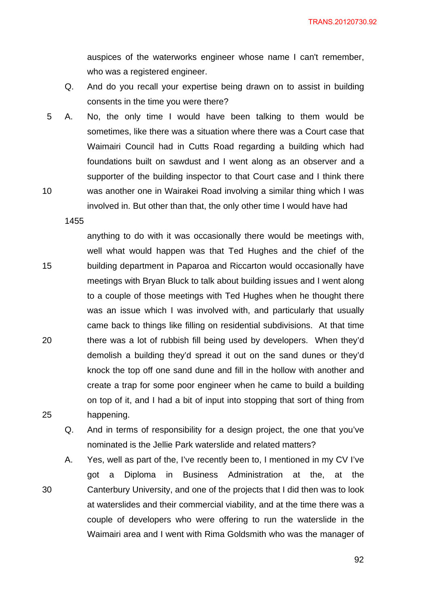TRANS.20120730.92

auspices of the waterworks engineer whose name I can't remember, who was a registered engineer.

- Q. And do you recall your expertise being drawn on to assist in building consents in the time you were there?
- 10 5 A. No, the only time I would have been talking to them would be sometimes, like there was a situation where there was a Court case that Waimairi Council had in Cutts Road regarding a building which had foundations built on sawdust and I went along as an observer and a supporter of the building inspector to that Court case and I think there was another one in Wairakei Road involving a similar thing which I was involved in. But other than that, the only other time I would have had

1455

25

30

15 20 anything to do with it was occasionally there would be meetings with, well what would happen was that Ted Hughes and the chief of the building department in Paparoa and Riccarton would occasionally have meetings with Bryan Bluck to talk about building issues and I went along to a couple of those meetings with Ted Hughes when he thought there was an issue which I was involved with, and particularly that usually came back to things like filling on residential subdivisions. At that time there was a lot of rubbish fill being used by developers. When they'd demolish a building they'd spread it out on the sand dunes or they'd knock the top off one sand dune and fill in the hollow with another and create a trap for some poor engineer when he came to build a building on top of it, and I had a bit of input into stopping that sort of thing from happening.

Q. And in terms of responsibility for a design project, the one that you've nominated is the Jellie Park waterslide and related matters?

A. Yes, well as part of the, I've recently been to, I mentioned in my CV I've got a Diploma in Business Administration at the, at the Canterbury University, and one of the projects that I did then was to look at waterslides and their commercial viability, and at the time there was a couple of developers who were offering to run the waterslide in the Waimairi area and I went with Rima Goldsmith who was the manager of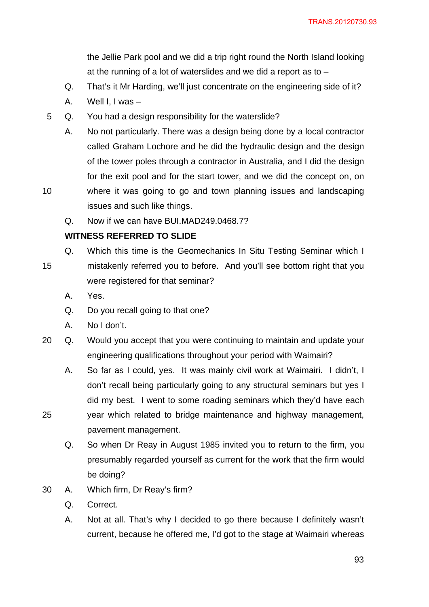the Jellie Park pool and we did a trip right round the North Island looking at the running of a lot of waterslides and we did a report as to –

- Q. That's it Mr Harding, we'll just concentrate on the engineering side of it?
- A. Well I, I was –
- 5 Q. You had a design responsibility for the waterslide?
	- A. No not particularly. There was a design being done by a local contractor called Graham Lochore and he did the hydraulic design and the design of the tower poles through a contractor in Australia, and I did the design for the exit pool and for the start tower, and we did the concept on, on
- 10 where it was going to go and town planning issues and landscaping issues and such like things.
	- Q. Now if we can have BUI.MAD249.0468.7?

were registered for that seminar?

# **WITNESS REFERRED TO SLIDE**

- 15 Q. Which this time is the Geomechanics In Situ Testing Seminar which I mistakenly referred you to before. And you'll see bottom right that you
	- A. Yes.

- Q. Do you recall going to that one?
- A. No I don't.
- 20 Q. Would you accept that you were continuing to maintain and update your engineering qualifications throughout your period with Waimairi?
	- A. So far as I could, yes. It was mainly civil work at Waimairi. I didn't, I don't recall being particularly going to any structural seminars but yes I did my best. I went to some roading seminars which they'd have each year which related to bridge maintenance and highway management,
	- pavement management. Q. So when Dr Reay in August 1985 invited you to return to the firm, you
		- presumably regarded yourself as current for the work that the firm would be doing?
- 30 A. Which firm, Dr Reay's firm?
	- Q. Correct.
	- A. Not at all. That's why I decided to go there because I definitely wasn't current, because he offered me, I'd got to the stage at Waimairi whereas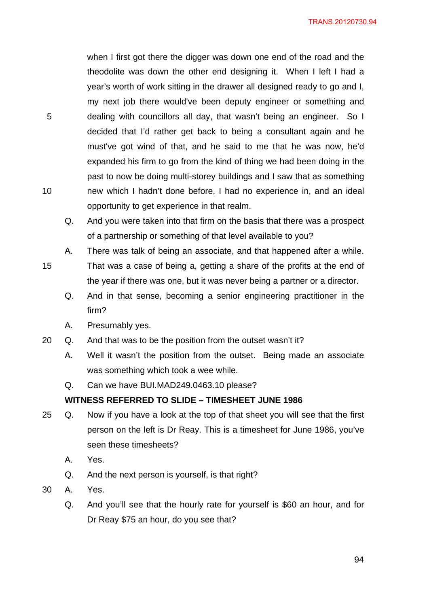when I first got there the digger was down one end of the road and the theodolite was down the other end designing it. When I left I had a year's worth of work sitting in the drawer all designed ready to go and I, my next job there would've been deputy engineer or something and dealing with councillors all day, that wasn't being an engineer. So I decided that I'd rather get back to being a consultant again and he must've got wind of that, and he said to me that he was now, he'd expanded his firm to go from the kind of thing we had been doing in the past to now be doing multi-storey buildings and I saw that as something new which I hadn't done before, I had no experience in, and an ideal opportunity to get experience in that realm.

- Q. And you were taken into that firm on the basis that there was a prospect of a partnership or something of that level available to you?
- A. There was talk of being an associate, and that happened after a while.
- 15 That was a case of being a, getting a share of the profits at the end of the year if there was one, but it was never being a partner or a director.
	- Q. And in that sense, becoming a senior engineering practitioner in the firm?
	- A. Presumably yes.
- 20 Q. And that was to be the position from the outset wasn't it?
	- A. Well it wasn't the position from the outset. Being made an associate was something which took a wee while.
	- Q. Can we have BUI.MAD249.0463.10 please?

## **WITNESS REFERRED TO SLIDE – TIMESHEET JUNE 1986**

- 25 Q. Now if you have a look at the top of that sheet you will see that the first person on the left is Dr Reay. This is a timesheet for June 1986, you've seen these timesheets?
	- A. Yes.
	- Q. And the next person is yourself, is that right?
- 30 A. Yes.

5

10

Q. And you'll see that the hourly rate for yourself is \$60 an hour, and for Dr Reay \$75 an hour, do you see that?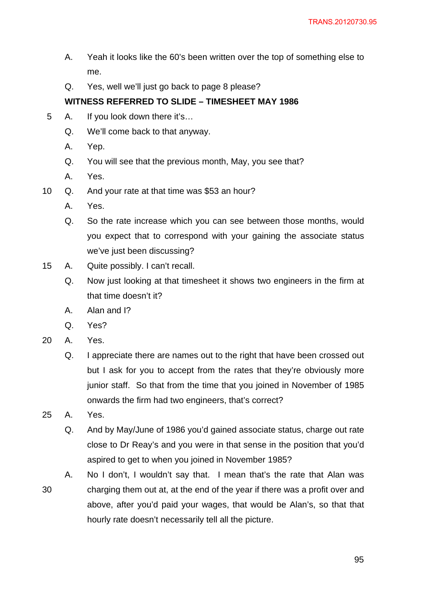- A. Yeah it looks like the 60's been written over the top of something else to me.
- Q. Yes, well we'll just go back to page 8 please?

# **WITNESS REFERRED TO SLIDE – TIMESHEET MAY 1986**

- 5 A. If you look down there it's…
	- Q. We'll come back to that anyway.
	- A. Yep.
	- Q. You will see that the previous month, May, you see that?
	- A. Yes.
- 10 Q. And your rate at that time was \$53 an hour?
	- A. Yes.
	- Q. So the rate increase which you can see between those months, would you expect that to correspond with your gaining the associate status we've just been discussing?
- 15 A. Quite possibly. I can't recall.
	- Q. Now just looking at that timesheet it shows two engineers in the firm at that time doesn't it?
	- A. Alan and I?
	- Q. Yes?
- 20 A. Yes.
	- Q. I appreciate there are names out to the right that have been crossed out but I ask for you to accept from the rates that they're obviously more junior staff. So that from the time that you joined in November of 1985 onwards the firm had two engineers, that's correct?
- 25 A. Yes.
	- Q. And by May/June of 1986 you'd gained associate status, charge out rate close to Dr Reay's and you were in that sense in the position that you'd aspired to get to when you joined in November 1985?
- 30 A. No I don't, I wouldn't say that. I mean that's the rate that Alan was charging them out at, at the end of the year if there was a profit over and above, after you'd paid your wages, that would be Alan's, so that that hourly rate doesn't necessarily tell all the picture.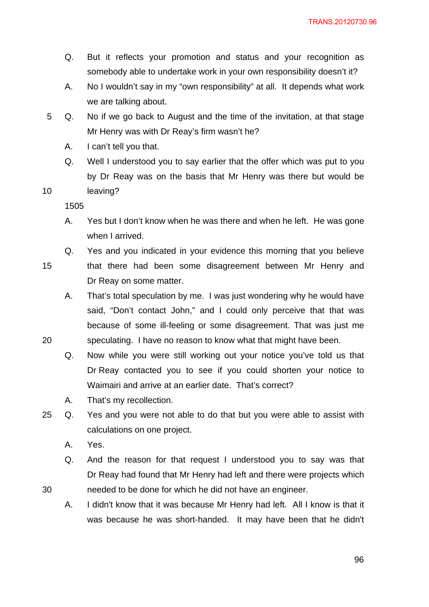- Q. But it reflects your promotion and status and your recognition as somebody able to undertake work in your own responsibility doesn't it?
- A. No I wouldn't say in my "own responsibility" at all. It depends what work we are talking about.
- 5 Q. No if we go back to August and the time of the invitation, at that stage Mr Henry was with Dr Reay's firm wasn't he?
	- A. I can't tell you that.
	- Q. Well I understood you to say earlier that the offer which was put to you by Dr Reay was on the basis that Mr Henry was there but would be leaving?

10

15

20

- A. Yes but I don't know when he was there and when he left. He was gone when I arrived.
- Q. Yes and you indicated in your evidence this morning that you believe that there had been some disagreement between Mr Henry and Dr Reay on some matter.
	- A. That's total speculation by me. I was just wondering why he would have said, "Don't contact John," and I could only perceive that that was because of some ill-feeling or some disagreement. That was just me speculating. I have no reason to know what that might have been.
	- Q. Now while you were still working out your notice you've told us that Dr Reay contacted you to see if you could shorten your notice to Waimairi and arrive at an earlier date. That's correct?
	- A. That's my recollection.
- 25 Q. Yes and you were not able to do that but you were able to assist with calculations on one project.
	- A. Yes.
	- Q. And the reason for that request I understood you to say was that Dr Reay had found that Mr Henry had left and there were projects which needed to be done for which he did not have an engineer.
	- A. I didn't know that it was because Mr Henry had left. All I know is that it was because he was short-handed. It may have been that he didn't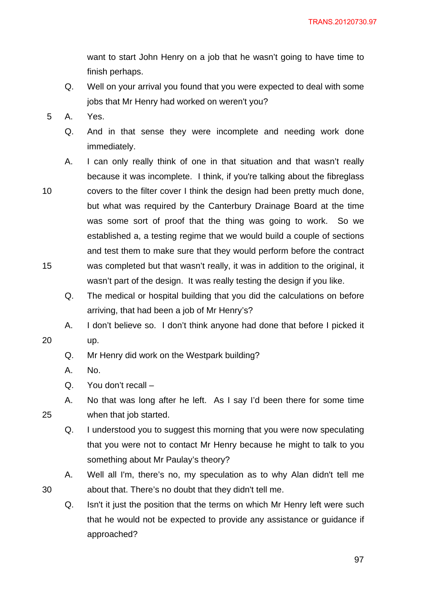want to start John Henry on a job that he wasn't going to have time to finish perhaps.

- Q. Well on your arrival you found that you were expected to deal with some jobs that Mr Henry had worked on weren't you?
- 5 A. Yes.
	- Q. And in that sense they were incomplete and needing work done immediately.
- 10 15 A. I can only really think of one in that situation and that wasn't really because it was incomplete. I think, if you're talking about the fibreglass covers to the filter cover I think the design had been pretty much done, but what was required by the Canterbury Drainage Board at the time was some sort of proof that the thing was going to work. So we established a, a testing regime that we would build a couple of sections and test them to make sure that they would perform before the contract was completed but that wasn't really, it was in addition to the original, it wasn't part of the design. It was really testing the design if you like.
	- Q. The medical or hospital building that you did the calculations on before arriving, that had been a job of Mr Henry's?

A. I don't believe so. I don't think anyone had done that before I picked it

- 20
	- Q. Mr Henry did work on the Westpark building?
	- A. No.

up.

- Q. You don't recall –
- A. No that was long after he left. As I say I'd been there for some time when that job started.
- Q. I understood you to suggest this morning that you were now speculating that you were not to contact Mr Henry because he might to talk to you something about Mr Paulay's theory?
- A. Well all I'm, there's no, my speculation as to why Alan didn't tell me about that. There's no doubt that they didn't tell me.
- Q. Isn't it just the position that the terms on which Mr Henry left were such that he would not be expected to provide any assistance or guidance if approached?

25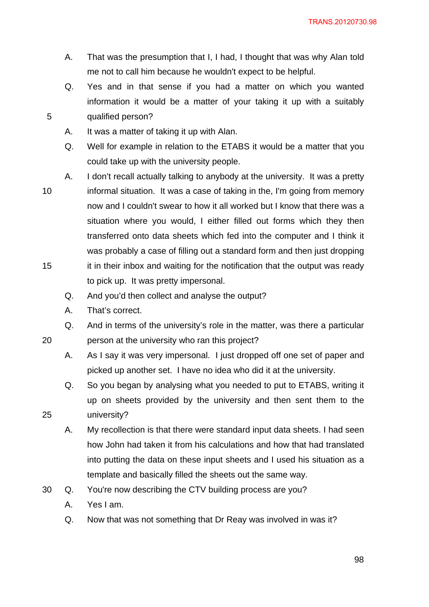TRANS.20120730.98

- A. That was the presumption that I, I had, I thought that was why Alan told me not to call him because he wouldn't expect to be helpful.
- Q. Yes and in that sense if you had a matter on which you wanted information it would be a matter of your taking it up with a suitably qualified person?
- A. It was a matter of taking it up with Alan.

Q. Well for example in relation to the ETABS it would be a matter that you could take up with the university people.

- 10 15 A. I don't recall actually talking to anybody at the university. It was a pretty informal situation. It was a case of taking in the, I'm going from memory now and I couldn't swear to how it all worked but I know that there was a situation where you would, I either filled out forms which they then transferred onto data sheets which fed into the computer and I think it was probably a case of filling out a standard form and then just dropping it in their inbox and waiting for the notification that the output was ready to pick up. It was pretty impersonal.
	- Q. And you'd then collect and analyse the output?
	- A. That's correct.

5

20

25

Q. And in terms of the university's role in the matter, was there a particular person at the university who ran this project?

- A. As I say it was very impersonal. I just dropped off one set of paper and picked up another set. I have no idea who did it at the university.
- Q. So you began by analysing what you needed to put to ETABS, writing it up on sheets provided by the university and then sent them to the university?
- A. My recollection is that there were standard input data sheets. I had seen how John had taken it from his calculations and how that had translated into putting the data on these input sheets and I used his situation as a template and basically filled the sheets out the same way.
- 30 Q. You're now describing the CTV building process are you?
	- A. Yes I am.
	- Q. Now that was not something that Dr Reay was involved in was it?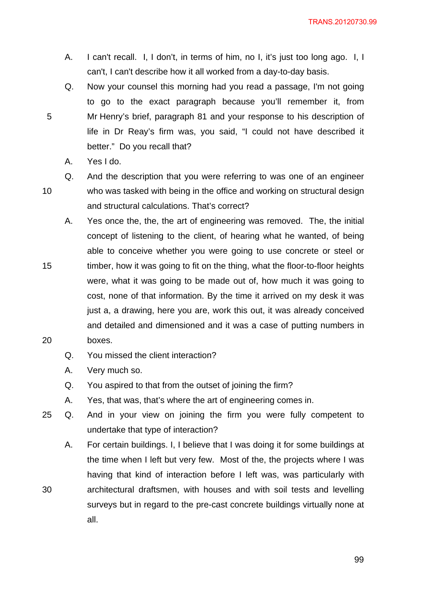- A. I can't recall. I, I don't, in terms of him, no I, it's just too long ago. I, I can't, I can't describe how it all worked from a day-to-day basis.
- Q. Now your counsel this morning had you read a passage, I'm not going to go to the exact paragraph because you'll remember it, from Mr Henry's brief, paragraph 81 and your response to his description of life in Dr Reay's firm was, you said, "I could not have described it better." Do you recall that?
	- A. Yes I do.

10

30

- Q. And the description that you were referring to was one of an engineer who was tasked with being in the office and working on structural design and structural calculations. That's correct?
- 15 20 A. Yes once the, the, the art of engineering was removed. The, the initial concept of listening to the client, of hearing what he wanted, of being able to conceive whether you were going to use concrete or steel or timber, how it was going to fit on the thing, what the floor-to-floor heights were, what it was going to be made out of, how much it was going to cost, none of that information. By the time it arrived on my desk it was just a, a drawing, here you are, work this out, it was already conceived and detailed and dimensioned and it was a case of putting numbers in boxes.
	- Q. You missed the client interaction?
	- A. Very much so.
	- Q. You aspired to that from the outset of joining the firm?
	- A. Yes, that was, that's where the art of engineering comes in.
- 25 Q. And in your view on joining the firm you were fully competent to undertake that type of interaction?

A. For certain buildings. I, I believe that I was doing it for some buildings at the time when I left but very few. Most of the, the projects where I was having that kind of interaction before I left was, was particularly with architectural draftsmen, with houses and with soil tests and levelling surveys but in regard to the pre-cast concrete buildings virtually none at all.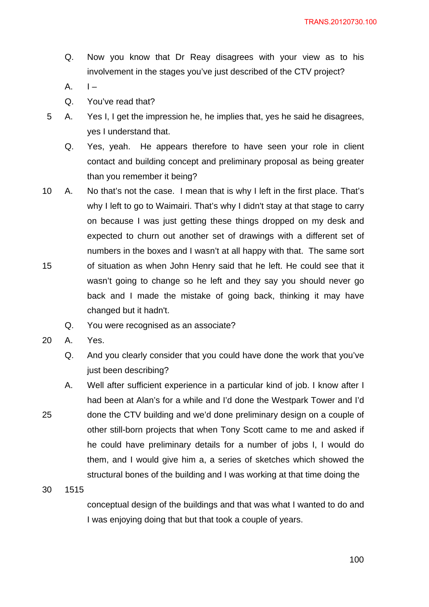- Q. Now you know that Dr Reay disagrees with your view as to his involvement in the stages you've just described of the CTV project?
- $A.$   $I -$
- Q. You've read that?
- 5 A. Yes I, I get the impression he, he implies that, yes he said he disagrees, yes I understand that.
	- Q. Yes, yeah. He appears therefore to have seen your role in client contact and building concept and preliminary proposal as being greater than you remember it being?
- 15 10 A. No that's not the case. I mean that is why I left in the first place. That's why I left to go to Waimairi. That's why I didn't stay at that stage to carry on because I was just getting these things dropped on my desk and expected to churn out another set of drawings with a different set of numbers in the boxes and I wasn't at all happy with that. The same sort of situation as when John Henry said that he left. He could see that it wasn't going to change so he left and they say you should never go back and I made the mistake of going back, thinking it may have changed but it hadn't.
	- Q. You were recognised as an associate?
- 20 A. Yes.
	- Q. And you clearly consider that you could have done the work that you've just been describing?
- 25 A. Well after sufficient experience in a particular kind of job. I know after I had been at Alan's for a while and I'd done the Westpark Tower and I'd done the CTV building and we'd done preliminary design on a couple of other still-born projects that when Tony Scott came to me and asked if he could have preliminary details for a number of jobs I, I would do them, and I would give him a, a series of sketches which showed the structural bones of the building and I was working at that time doing the

> conceptual design of the buildings and that was what I wanted to do and I was enjoying doing that but that took a couple of years.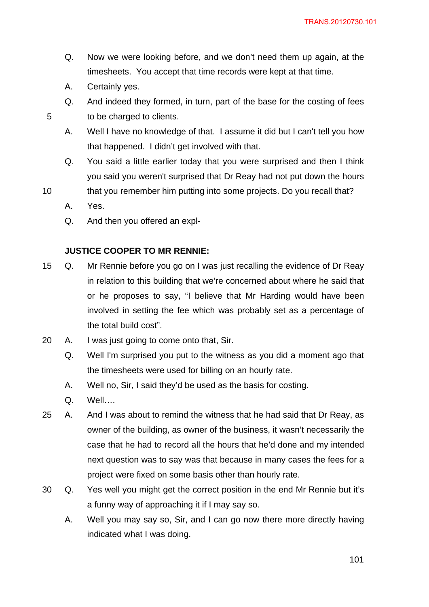- Q. Now we were looking before, and we don't need them up again, at the timesheets. You accept that time records were kept at that time.
- A. Certainly yes.
- Q. And indeed they formed, in turn, part of the base for the costing of fees to be charged to clients.
- A. Well I have no knowledge of that. I assume it did but I can't tell you how that happened. I didn't get involved with that.
- Q. You said a little earlier today that you were surprised and then I think you said you weren't surprised that Dr Reay had not put down the hours
- 10 that you remember him putting into some projects. Do you recall that?
	- A. Yes.
	- Q. And then you offered an expl-

## **JUSTICE COOPER TO MR RENNIE:**

- 15 Q. Mr Rennie before you go on I was just recalling the evidence of Dr Reay in relation to this building that we're concerned about where he said that or he proposes to say, "I believe that Mr Harding would have been involved in setting the fee which was probably set as a percentage of the total build cost".
- 20 A. I was just going to come onto that, Sir.
	- Q. Well I'm surprised you put to the witness as you did a moment ago that the timesheets were used for billing on an hourly rate.
	- A. Well no, Sir, I said they'd be used as the basis for costing.
	- Q. Well….
- 25 A. And I was about to remind the witness that he had said that Dr Reay, as owner of the building, as owner of the business, it wasn't necessarily the case that he had to record all the hours that he'd done and my intended next question was to say was that because in many cases the fees for a project were fixed on some basis other than hourly rate.
- 30 Q. Yes well you might get the correct position in the end Mr Rennie but it's a funny way of approaching it if I may say so.
	- A. Well you may say so, Sir, and I can go now there more directly having indicated what I was doing.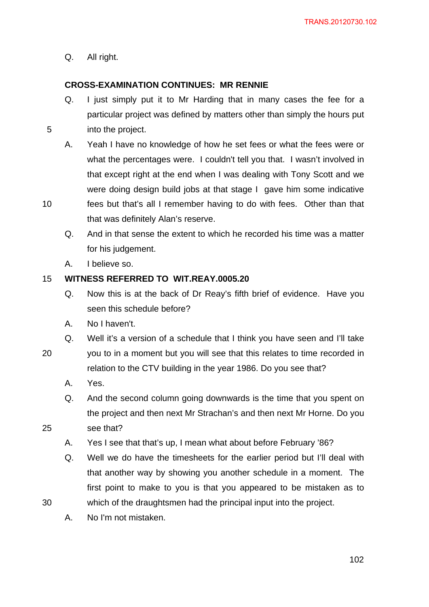Q. All right.

5

# **CROSS-EXAMINATION CONTINUES: MR RENNIE**

- Q. I just simply put it to Mr Harding that in many cases the fee for a particular project was defined by matters other than simply the hours put into the project.
- A. Yeah I have no knowledge of how he set fees or what the fees were or what the percentages were. I couldn't tell you that. I wasn't involved in that except right at the end when I was dealing with Tony Scott and we were doing design build jobs at that stage I gave him some indicative
- 10 fees but that's all I remember having to do with fees. Other than that that was definitely Alan's reserve.
	- Q. And in that sense the extent to which he recorded his time was a matter for his judgement.
	- A. I believe so.

#### 15 **WITNESS REFERRED TO WIT.REAY.0005.20**

- Q. Now this is at the back of Dr Reay's fifth brief of evidence. Have you seen this schedule before?
- A. No I haven't.
- Q. Well it's a version of a schedule that I think you have seen and I'll take
- 20 you to in a moment but you will see that this relates to time recorded in relation to the CTV building in the year 1986. Do you see that?
	- A. Yes.

25

- Q. And the second column going downwards is the time that you spent on the project and then next Mr Strachan's and then next Mr Horne. Do you see that?
- A. Yes I see that that's up, I mean what about before February '86?
- Q. Well we do have the timesheets for the earlier period but I'll deal with that another way by showing you another schedule in a moment. The first point to make to you is that you appeared to be mistaken as to which of the draughtsmen had the principal input into the project.
- A. No I'm not mistaken.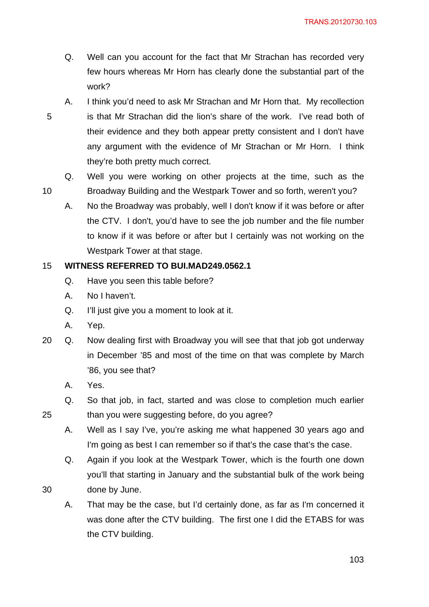- Q. Well can you account for the fact that Mr Strachan has recorded very few hours whereas Mr Horn has clearly done the substantial part of the work?
- 5 A. I think you'd need to ask Mr Strachan and Mr Horn that. My recollection is that Mr Strachan did the lion's share of the work. I've read both of their evidence and they both appear pretty consistent and I don't have any argument with the evidence of Mr Strachan or Mr Horn. I think they're both pretty much correct.
	- Q. Well you were working on other projects at the time, such as the Broadway Building and the Westpark Tower and so forth, weren't you?
	- A. No the Broadway was probably, well I don't know if it was before or after the CTV. I don't, you'd have to see the job number and the file number to know if it was before or after but I certainly was not working on the Westpark Tower at that stage.

#### 15 **WITNESS REFERRED TO BUI.MAD249.0562.1**

- Q. Have you seen this table before?
- A. No I haven't.
- Q. I'll just give you a moment to look at it.
- A. Yep.

10

- 20 Q. Now dealing first with Broadway you will see that that job got underway in December '85 and most of the time on that was complete by March '86, you see that?
	- A. Yes.

25

- Q. So that job, in fact, started and was close to completion much earlier than you were suggesting before, do you agree?
- A. Well as I say I've, you're asking me what happened 30 years ago and I'm going as best I can remember so if that's the case that's the case.
- Q. Again if you look at the Westpark Tower, which is the fourth one down you'll that starting in January and the substantial bulk of the work being done by June.
- A. That may be the case, but I'd certainly done, as far as I'm concerned it was done after the CTV building. The first one I did the ETABS for was the CTV building.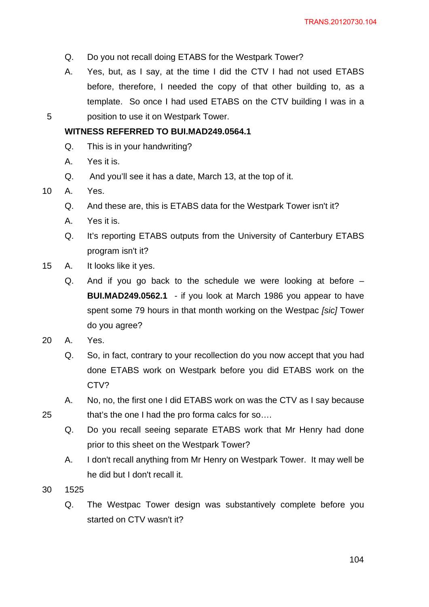- Q. Do you not recall doing ETABS for the Westpark Tower?
- A. Yes, but, as I say, at the time I did the CTV I had not used ETABS before, therefore, I needed the copy of that other building to, as a template. So once I had used ETABS on the CTV building I was in a position to use it on Westpark Tower.

### **WITNESS REFERRED TO BUI.MAD249.0564.1**

- Q. This is in your handwriting?
- A. Yes it is.
- Q. And you'll see it has a date, March 13, at the top of it.
- 10 A. Yes.

5

- Q. And these are, this is ETABS data for the Westpark Tower isn't it?
- A. Yes it is.
- Q. It's reporting ETABS outputs from the University of Canterbury ETABS program isn't it?
- 15 A. It looks like it yes.
	- Q. And if you go back to the schedule we were looking at before **BUI.MAD249.0562.1** - if you look at March 1986 you appear to have spent some 79 hours in that month working on the Westpac *[sic]* Tower do you agree?
- 20 A. Yes.
	- Q. So, in fact, contrary to your recollection do you now accept that you had done ETABS work on Westpark before you did ETABS work on the CTV?
	- A. No, no, the first one I did ETABS work on was the CTV as I say because that's the one I had the pro forma calcs for so….
	- Q. Do you recall seeing separate ETABS work that Mr Henry had done prior to this sheet on the Westpark Tower?
	- A. I don't recall anything from Mr Henry on Westpark Tower. It may well be he did but I don't recall it.
- 30 1525

25

Q. The Westpac Tower design was substantively complete before you started on CTV wasn't it?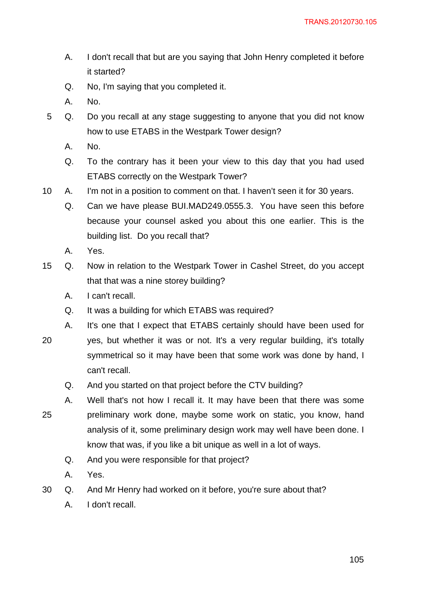- A. I don't recall that but are you saying that John Henry completed it before it started?
- Q. No, I'm saying that you completed it.
- A. No.
- 5 Q. Do you recall at any stage suggesting to anyone that you did not know how to use ETABS in the Westpark Tower design?
	- A. No.
	- Q. To the contrary has it been your view to this day that you had used ETABS correctly on the Westpark Tower?
- 10 A. I'm not in a position to comment on that. I haven't seen it for 30 years.
	- Q. Can we have please BUI.MAD249.0555.3. You have seen this before because your counsel asked you about this one earlier. This is the building list. Do you recall that?
	- A. Yes.
- 15 Q. Now in relation to the Westpark Tower in Cashel Street, do you accept that that was a nine storey building?
	- A. I can't recall.
	- Q. It was a building for which ETABS was required?
	- A. It's one that I expect that ETABS certainly should have been used for
- 20 yes, but whether it was or not. It's a very regular building, it's totally symmetrical so it may have been that some work was done by hand, I can't recall.
	- Q. And you started on that project before the CTV building?
- 25 A. Well that's not how I recall it. It may have been that there was some preliminary work done, maybe some work on static, you know, hand analysis of it, some preliminary design work may well have been done. I know that was, if you like a bit unique as well in a lot of ways.
	- Q. And you were responsible for that project?
	- A. Yes.
- 30 Q. And Mr Henry had worked on it before, you're sure about that?
	- A. I don't recall.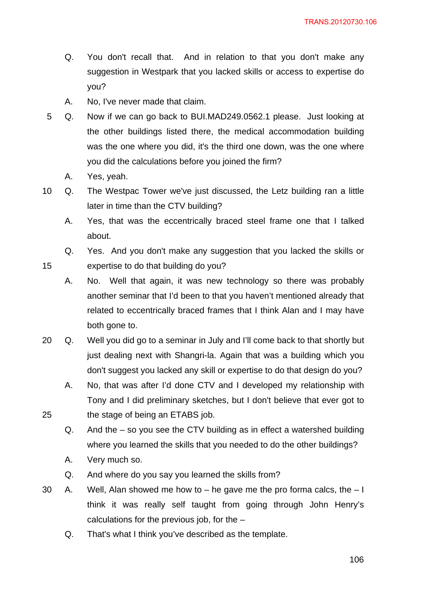- Q. You don't recall that. And in relation to that you don't make any suggestion in Westpark that you lacked skills or access to expertise do you?
- A. No, I've never made that claim.
- 5 Q. Now if we can go back to BUI.MAD249.0562.1 please. Just looking at the other buildings listed there, the medical accommodation building was the one where you did, it's the third one down, was the one where you did the calculations before you joined the firm?
	- A. Yes, yeah.

- 10 Q. The Westpac Tower we've just discussed, the Letz building ran a little later in time than the CTV building?
	- A. Yes, that was the eccentrically braced steel frame one that I talked about.
	- Q. Yes. And you don't make any suggestion that you lacked the skills or expertise to do that building do you?
	- A. No. Well that again, it was new technology so there was probably another seminar that I'd been to that you haven't mentioned already that related to eccentrically braced frames that I think Alan and I may have both gone to.
- 20 Q. Well you did go to a seminar in July and I'll come back to that shortly but just dealing next with Shangri-la. Again that was a building which you don't suggest you lacked any skill or expertise to do that design do you?
	- A. No, that was after I'd done CTV and I developed my relationship with Tony and I did preliminary sketches, but I don't believe that ever got to the stage of being an ETABS job.
	- Q. And the so you see the CTV building as in effect a watershed building where you learned the skills that you needed to do the other buildings?
	- A. Very much so.
	- Q. And where do you say you learned the skills from?
- 30 A. Well, Alan showed me how to  $-$  he gave me the pro forma calcs, the  $-1$ think it was really self taught from going through John Henry's calculations for the previous job, for the –
	- Q. That's what I think you've described as the template.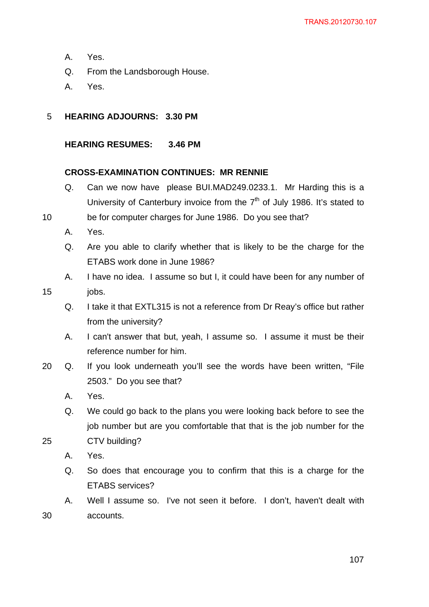- A. Yes.
- Q. From the Landsborough House.
- A. Yes.
- 5 **HEARING ADJOURNS: 3.30 PM**

# **HEARING RESUMES: 3.46 PM**

## **CROSS-EXAMINATION CONTINUES: MR RENNIE**

- Q. Can we now have please BUI.MAD249.0233.1. Mr Harding this is a University of Canterbury invoice from the  $7<sup>th</sup>$  of July 1986. It's stated to
- 10 be for computer charges for June 1986. Do you see that?
	- A. Yes.

jobs.

- Q. Are you able to clarify whether that is likely to be the charge for the ETABS work done in June 1986?
- A. I have no idea. I assume so but I, it could have been for any number of

15

- Q. I take it that EXTL315 is not a reference from Dr Reay's office but rather from the university?
- A. I can't answer that but, yeah, I assume so. I assume it must be their reference number for him.
- 20 Q. If you look underneath you'll see the words have been written, "File 2503." Do you see that?
	- A. Yes.
	- Q. We could go back to the plans you were looking back before to see the job number but are you comfortable that that is the job number for the CTV building?
- 25

- A. Yes.
- Q. So does that encourage you to confirm that this is a charge for the ETABS services?
- A. Well I assume so. I've not seen it before. I don't, haven't dealt with accounts.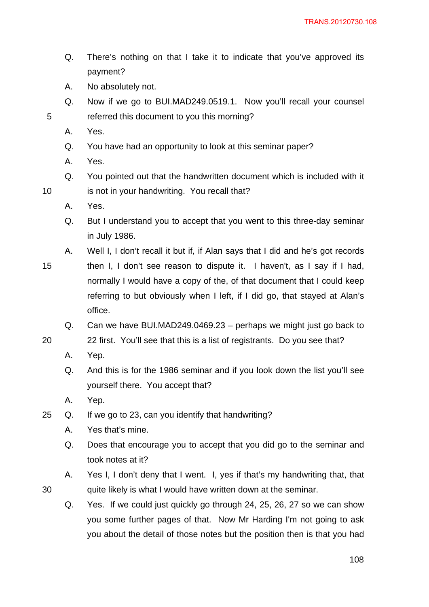- Q. There's nothing on that I take it to indicate that you've approved its payment?
- A. No absolutely not.
- Q. Now if we go to BUI.MAD249.0519.1. Now you'll recall your counsel referred this document to you this morning?
- A. Yes.

10

20

- Q. You have had an opportunity to look at this seminar paper?
- A. Yes.
- Q. You pointed out that the handwritten document which is included with it is not in your handwriting. You recall that?
- A. Yes.
- Q. But I understand you to accept that you went to this three-day seminar in July 1986.
- A. Well I, I don't recall it but if, if Alan says that I did and he's got records
- 15 then I, I don't see reason to dispute it. I haven't, as I say if I had, normally I would have a copy of the, of that document that I could keep referring to but obviously when I left, if I did go, that stayed at Alan's office.
	- Q. Can we have BUI.MAD249.0469.23 perhaps we might just go back to
	- 22 first. You'll see that this is a list of registrants. Do you see that?
	- A. Yep.
	- Q. And this is for the 1986 seminar and if you look down the list you'll see yourself there. You accept that?
	- A. Yep.
- 25 Q. If we go to 23, can you identify that handwriting?
	- A. Yes that's mine.
	- Q. Does that encourage you to accept that you did go to the seminar and took notes at it?
	- A. Yes I, I don't deny that I went. I, yes if that's my handwriting that, that quite likely is what I would have written down at the seminar.
	- Q. Yes. If we could just quickly go through 24, 25, 26, 27 so we can show you some further pages of that. Now Mr Harding I'm not going to ask you about the detail of those notes but the position then is that you had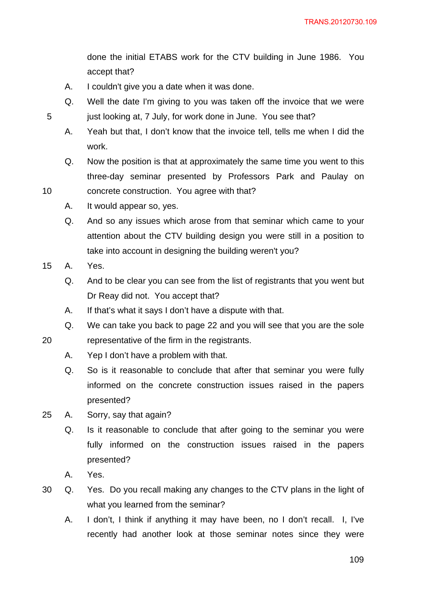done the initial ETABS work for the CTV building in June 1986. You accept that?

- A. I couldn't give you a date when it was done.
- Q. Well the date I'm giving to you was taken off the invoice that we were just looking at, 7 July, for work done in June. You see that?
- A. Yeah but that, I don't know that the invoice tell, tells me when I did the work.
- Q. Now the position is that at approximately the same time you went to this three-day seminar presented by Professors Park and Paulay on concrete construction. You agree with that?
- A. It would appear so, yes.
	- Q. And so any issues which arose from that seminar which came to your attention about the CTV building design you were still in a position to take into account in designing the building weren't you?
- 15 A. Yes.
	- Q. And to be clear you can see from the list of registrants that you went but Dr Reay did not. You accept that?
	- A. If that's what it says I don't have a dispute with that.
	- Q. We can take you back to page 22 and you will see that you are the sole
	- representative of the firm in the registrants.
		- A. Yep I don't have a problem with that.
		- Q. So is it reasonable to conclude that after that seminar you were fully informed on the concrete construction issues raised in the papers presented?
- 25 A. Sorry, say that again?
	- Q. Is it reasonable to conclude that after going to the seminar you were fully informed on the construction issues raised in the papers presented?
	- A. Yes.
- 30 Q. Yes. Do you recall making any changes to the CTV plans in the light of what you learned from the seminar?
	- A. I don't, I think if anything it may have been, no I don't recall. I, I've recently had another look at those seminar notes since they were

10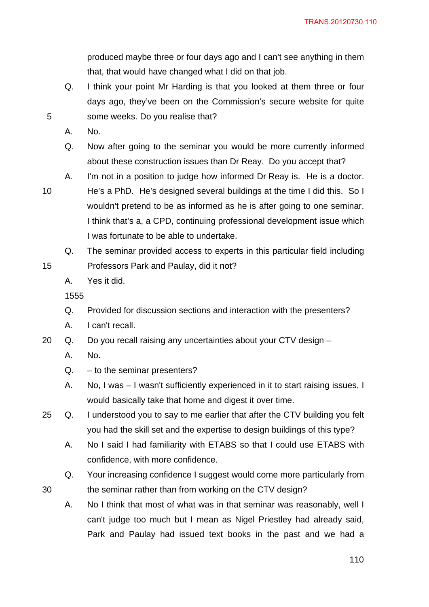produced maybe three or four days ago and I can't see anything in them that, that would have changed what I did on that job.

- Q. I think your point Mr Harding is that you looked at them three or four days ago, they've been on the Commission's secure website for quite some weeks. Do you realise that?
- A. No.
- Q. Now after going to the seminar you would be more currently informed about these construction issues than Dr Reay. Do you accept that?
- A. I'm not in a position to judge how informed Dr Reay is. He is a doctor.
- 10

15

30

5

- He's a PhD. He's designed several buildings at the time I did this. So I wouldn't pretend to be as informed as he is after going to one seminar. I think that's a, a CPD, continuing professional development issue which I was fortunate to be able to undertake.
- Q. The seminar provided access to experts in this particular field including Professors Park and Paulay, did it not?
- A. Yes it did.

1555

- Q. Provided for discussion sections and interaction with the presenters?
- A. I can't recall.

20 Q. Do you recall raising any uncertainties about your CTV design –

- A. No.
- Q. to the seminar presenters?
- A. No, I was I wasn't sufficiently experienced in it to start raising issues, I would basically take that home and digest it over time.
- 25 Q. I understood you to say to me earlier that after the CTV building you felt you had the skill set and the expertise to design buildings of this type?
	- A. No I said I had familiarity with ETABS so that I could use ETABS with confidence, with more confidence.
	- Q. Your increasing confidence I suggest would come more particularly from the seminar rather than from working on the CTV design?
	- A. No I think that most of what was in that seminar was reasonably, well I can't judge too much but I mean as Nigel Priestley had already said, Park and Paulay had issued text books in the past and we had a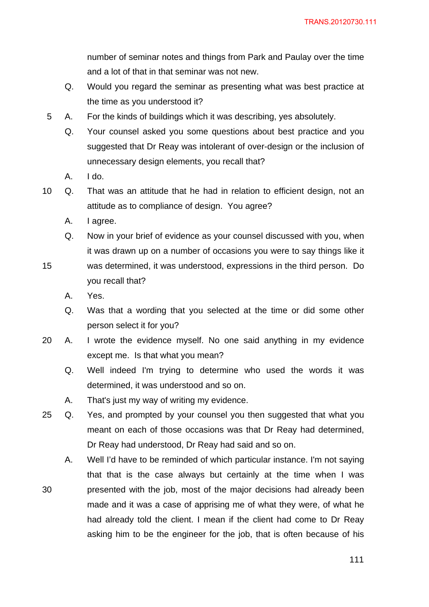number of seminar notes and things from Park and Paulay over the time and a lot of that in that seminar was not new.

- Q. Would you regard the seminar as presenting what was best practice at the time as you understood it?
- 5 A. For the kinds of buildings which it was describing, yes absolutely.
	- Q. Your counsel asked you some questions about best practice and you suggested that Dr Reay was intolerant of over-design or the inclusion of unnecessary design elements, you recall that?
	- A. I do.
- 10 Q. That was an attitude that he had in relation to efficient design, not an attitude as to compliance of design. You agree?
	- A. I agree.
	- Q. Now in your brief of evidence as your counsel discussed with you, when it was drawn up on a number of occasions you were to say things like it
- 15 was determined, it was understood, expressions in the third person. Do you recall that?
	- A. Yes.
	- Q. Was that a wording that you selected at the time or did some other person select it for you?
- 20 A. I wrote the evidence myself. No one said anything in my evidence except me. Is that what you mean?
	- Q. Well indeed I'm trying to determine who used the words it was determined, it was understood and so on.
	- A. That's just my way of writing my evidence.
- 25 Q. Yes, and prompted by your counsel you then suggested that what you meant on each of those occasions was that Dr Reay had determined, Dr Reay had understood, Dr Reay had said and so on.
- 30 A. Well I'd have to be reminded of which particular instance. I'm not saying that that is the case always but certainly at the time when I was presented with the job, most of the major decisions had already been made and it was a case of apprising me of what they were, of what he had already told the client. I mean if the client had come to Dr Reay asking him to be the engineer for the job, that is often because of his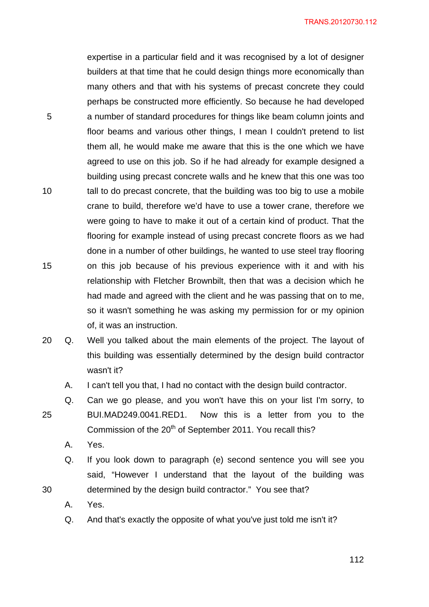expertise in a particular field and it was recognised by a lot of designer builders at that time that he could design things more economically than many others and that with his systems of precast concrete they could perhaps be constructed more efficiently. So because he had developed a number of standard procedures for things like beam column joints and floor beams and various other things, I mean I couldn't pretend to list them all, he would make me aware that this is the one which we have agreed to use on this job. So if he had already for example designed a building using precast concrete walls and he knew that this one was too tall to do precast concrete, that the building was too big to use a mobile crane to build, therefore we'd have to use a tower crane, therefore we were going to have to make it out of a certain kind of product. That the flooring for example instead of using precast concrete floors as we had done in a number of other buildings, he wanted to use steel tray flooring on this job because of his previous experience with it and with his relationship with Fletcher Brownbilt, then that was a decision which he had made and agreed with the client and he was passing that on to me, so it wasn't something he was asking my permission for or my opinion of, it was an instruction.

- 20 Q. Well you talked about the main elements of the project. The layout of this building was essentially determined by the design build contractor wasn't it?
	- A. I can't tell you that, I had no contact with the design build contractor.
	- Q. Can we go please, and you won't have this on your list I'm sorry, to BUI.MAD249.0041.RED1. Now this is a letter from you to the Commission of the  $20<sup>th</sup>$  of September 2011. You recall this?
		- A. Yes.

5

10

15

25

- Q. If you look down to paragraph (e) second sentence you will see you said, "However I understand that the layout of the building was determined by the design build contractor." You see that?
- A. Yes.
- Q. And that's exactly the opposite of what you've just told me isn't it?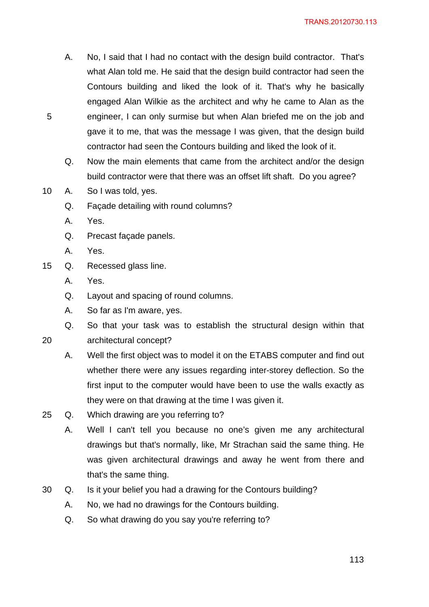- A. No, I said that I had no contact with the design build contractor. That's what Alan told me. He said that the design build contractor had seen the Contours building and liked the look of it. That's why he basically engaged Alan Wilkie as the architect and why he came to Alan as the engineer, I can only surmise but when Alan briefed me on the job and gave it to me, that was the message I was given, that the design build contractor had seen the Contours building and liked the look of it.
- Q. Now the main elements that came from the architect and/or the design build contractor were that there was an offset lift shaft. Do you agree?
- 10 A. So I was told, yes.
	- Q. Façade detailing with round columns?
	- A. Yes.

- Q. Precast façade panels.
- A. Yes.
- 15 Q. Recessed glass line.
	- A. Yes.
	- Q. Layout and spacing of round columns.
	- A. So far as I'm aware, yes.
	- Q. So that your task was to establish the structural design within that

20 architectural concept?

- A. Well the first object was to model it on the ETABS computer and find out whether there were any issues regarding inter-storey deflection. So the first input to the computer would have been to use the walls exactly as they were on that drawing at the time I was given it.
- 25 Q. Which drawing are you referring to?
	- A. Well I can't tell you because no one's given me any architectural drawings but that's normally, like, Mr Strachan said the same thing. He was given architectural drawings and away he went from there and that's the same thing.
- 30 Q. Is it your belief you had a drawing for the Contours building?
	- A. No, we had no drawings for the Contours building.
	- Q. So what drawing do you say you're referring to?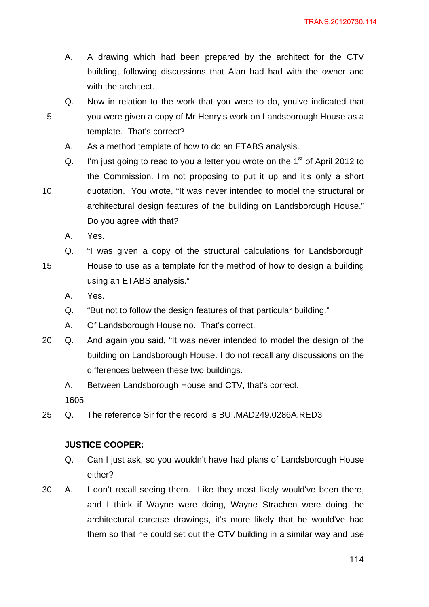- A. A drawing which had been prepared by the architect for the CTV building, following discussions that Alan had had with the owner and with the architect.
- Q. Now in relation to the work that you were to do, you've indicated that you were given a copy of Mr Henry's work on Landsborough House as a template. That's correct?
	- A. As a method template of how to do an ETABS analysis.
- Q. I'm just going to read to you a letter you wrote on the  $1<sup>st</sup>$  of April 2012 to the Commission. I'm not proposing to put it up and it's only a short quotation. You wrote, "It was never intended to model the structural or architectural design features of the building on Landsborough House." Do you agree with that?
- A. Yes.

10

- 15 Q. "I was given a copy of the structural calculations for Landsborough House to use as a template for the method of how to design a building using an ETABS analysis."
	- A. Yes.
	- Q. "But not to follow the design features of that particular building."
	- A. Of Landsborough House no. That's correct.
- 20 Q. And again you said, "It was never intended to model the design of the building on Landsborough House. I do not recall any discussions on the differences between these two buildings.
	- A. Between Landsborough House and CTV, that's correct.

1605

25 Q. The reference Sir for the record is BUI.MAD249.0286A.RED3

#### **JUSTICE COOPER:**

- Q. Can I just ask, so you wouldn't have had plans of Landsborough House either?
- 30 A. I don't recall seeing them. Like they most likely would've been there, and I think if Wayne were doing, Wayne Strachen were doing the architectural carcase drawings, it's more likely that he would've had them so that he could set out the CTV building in a similar way and use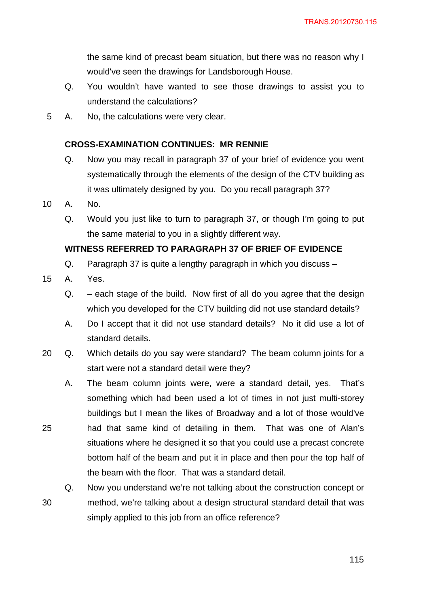the same kind of precast beam situation, but there was no reason why I would've seen the drawings for Landsborough House.

- Q. You wouldn't have wanted to see those drawings to assist you to understand the calculations?
- 5 A. No, the calculations were very clear.

# **CROSS-EXAMINATION CONTINUES: MR RENNIE**

- Q. Now you may recall in paragraph 37 of your brief of evidence you went systematically through the elements of the design of the CTV building as it was ultimately designed by you. Do you recall paragraph 37?
- 10 A. No.
	- Q. Would you just like to turn to paragraph 37, or though I'm going to put the same material to you in a slightly different way.

# **WITNESS REFERRED TO PARAGRAPH 37 OF BRIEF OF EVIDENCE**

- Q. Paragraph 37 is quite a lengthy paragraph in which you discuss –
- 15 A. Yes.

25

- Q. each stage of the build. Now first of all do you agree that the design which you developed for the CTV building did not use standard details?
- A. Do I accept that it did not use standard details? No it did use a lot of standard details.
- 20 Q. Which details do you say were standard? The beam column joints for a start were not a standard detail were they?
	- A. The beam column joints were, were a standard detail, yes. That's something which had been used a lot of times in not just multi-storey buildings but I mean the likes of Broadway and a lot of those would've had that same kind of detailing in them. That was one of Alan's situations where he designed it so that you could use a precast concrete bottom half of the beam and put it in place and then pour the top half of the beam with the floor. That was a standard detail.

30 Q. Now you understand we're not talking about the construction concept or method, we're talking about a design structural standard detail that was simply applied to this job from an office reference?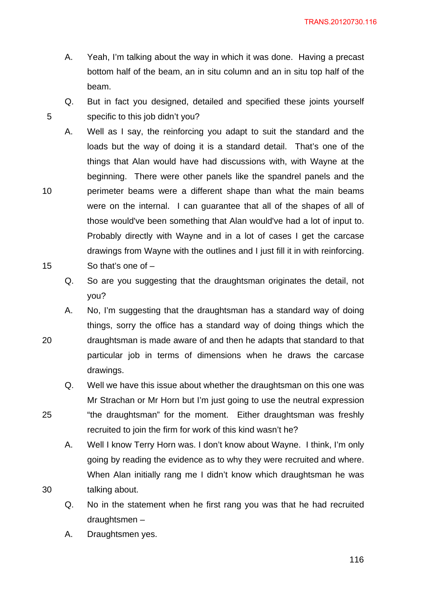TRANS.20120730.116

- A. Yeah, I'm talking about the way in which it was done. Having a precast bottom half of the beam, an in situ column and an in situ top half of the beam.
- Q. But in fact you designed, detailed and specified these joints yourself specific to this job didn't you?
- A. Well as I say, the reinforcing you adapt to suit the standard and the loads but the way of doing it is a standard detail. That's one of the things that Alan would have had discussions with, with Wayne at the beginning. There were other panels like the spandrel panels and the perimeter beams were a different shape than what the main beams were on the internal. I can guarantee that all of the shapes of all of those would've been something that Alan would've had a lot of input to. Probably directly with Wayne and in a lot of cases I get the carcase drawings from Wayne with the outlines and I just fill it in with reinforcing. So that's one of –
	- Q. So are you suggesting that the draughtsman originates the detail, not you?
- A. No, I'm suggesting that the draughtsman has a standard way of doing things, sorry the office has a standard way of doing things which the draughtsman is made aware of and then he adapts that standard to that particular job in terms of dimensions when he draws the carcase drawings.
- Q. Well we have this issue about whether the draughtsman on this one was Mr Strachan or Mr Horn but I'm just going to use the neutral expression "the draughtsman" for the moment. Either draughtsman was freshly recruited to join the firm for work of this kind wasn't he?
- A. Well I know Terry Horn was. I don't know about Wayne. I think, I'm only going by reading the evidence as to why they were recruited and where. When Alan initially rang me I didn't know which draughtsman he was talking about.
- Q. No in the statement when he first rang you was that he had recruited draughtsmen –
- A. Draughtsmen yes.

5

10

15

20

25

30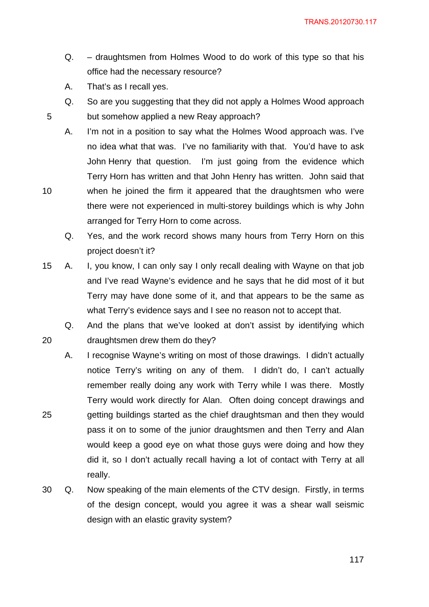- Q. draughtsmen from Holmes Wood to do work of this type so that his office had the necessary resource?
- A. That's as I recall yes.

10

20

25

- Q. So are you suggesting that they did not apply a Holmes Wood approach but somehow applied a new Reay approach?
- A. I'm not in a position to say what the Holmes Wood approach was. I've no idea what that was. I've no familiarity with that. You'd have to ask John Henry that question. I'm just going from the evidence which Terry Horn has written and that John Henry has written. John said that when he joined the firm it appeared that the draughtsmen who were there were not experienced in multi-storey buildings which is why John

arranged for Terry Horn to come across.

- Q. Yes, and the work record shows many hours from Terry Horn on this project doesn't it?
- 15 A. I, you know, I can only say I only recall dealing with Wayne on that job and I've read Wayne's evidence and he says that he did most of it but Terry may have done some of it, and that appears to be the same as what Terry's evidence says and I see no reason not to accept that.

Q. And the plans that we've looked at don't assist by identifying which draughtsmen drew them do they?

- A. I recognise Wayne's writing on most of those drawings. I didn't actually notice Terry's writing on any of them. I didn't do, I can't actually remember really doing any work with Terry while I was there. Mostly Terry would work directly for Alan. Often doing concept drawings and getting buildings started as the chief draughtsman and then they would pass it on to some of the junior draughtsmen and then Terry and Alan would keep a good eye on what those guys were doing and how they did it, so I don't actually recall having a lot of contact with Terry at all really.
- 30 Q. Now speaking of the main elements of the CTV design. Firstly, in terms of the design concept, would you agree it was a shear wall seismic design with an elastic gravity system?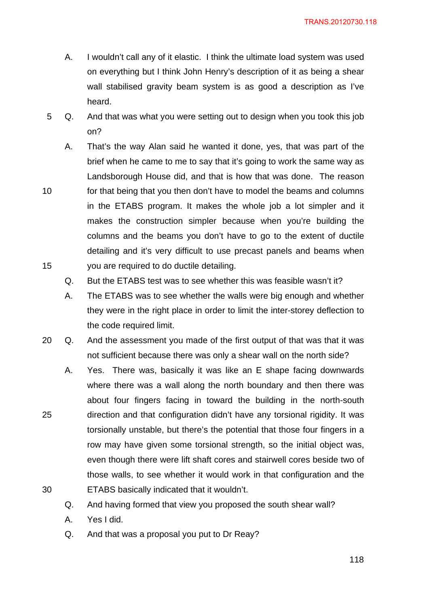- A. I wouldn't call any of it elastic. I think the ultimate load system was used on everything but I think John Henry's description of it as being a shear wall stabilised gravity beam system is as good a description as I've heard.
- 5 Q. And that was what you were setting out to design when you took this job on?
	- A. That's the way Alan said he wanted it done, yes, that was part of the brief when he came to me to say that it's going to work the same way as Landsborough House did, and that is how that was done. The reason for that being that you then don't have to model the beams and columns in the ETABS program. It makes the whole job a lot simpler and it makes the construction simpler because when you're building the columns and the beams you don't have to go to the extent of ductile detailing and it's very difficult to use precast panels and beams when you are required to do ductile detailing.
		- Q. But the ETABS test was to see whether this was feasible wasn't it?
		- A. The ETABS was to see whether the walls were big enough and whether they were in the right place in order to limit the inter-storey deflection to the code required limit.
- 20 Q. And the assessment you made of the first output of that was that it was not sufficient because there was only a shear wall on the north side?
	- A. Yes. There was, basically it was like an E shape facing downwards where there was a wall along the north boundary and then there was about four fingers facing in toward the building in the north-south direction and that configuration didn't have any torsional rigidity. It was torsionally unstable, but there's the potential that those four fingers in a row may have given some torsional strength, so the initial object was, even though there were lift shaft cores and stairwell cores beside two of those walls, to see whether it would work in that configuration and the ETABS basically indicated that it wouldn't.
	- Q. And having formed that view you proposed the south shear wall?
	- A. Yes I did.

15

25

30

Q. And that was a proposal you put to Dr Reay?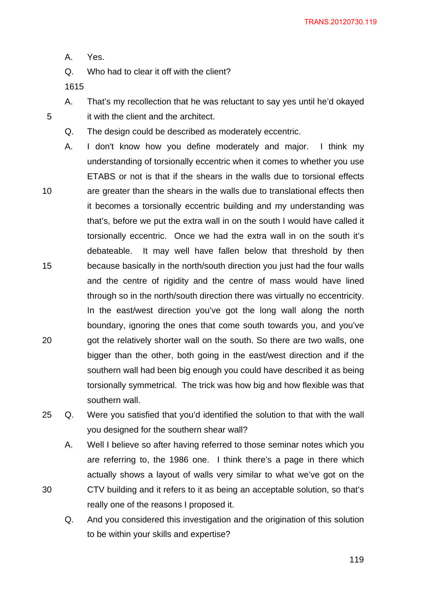A. Yes.

Q. Who had to clear it off with the client?

1615

5

30

A. That's my recollection that he was reluctant to say yes until he'd okayed it with the client and the architect.

Q. The design could be described as moderately eccentric.

10 15 20 A. I don't know how you define moderately and major. I think my understanding of torsionally eccentric when it comes to whether you use ETABS or not is that if the shears in the walls due to torsional effects are greater than the shears in the walls due to translational effects then it becomes a torsionally eccentric building and my understanding was that's, before we put the extra wall in on the south I would have called it torsionally eccentric. Once we had the extra wall in on the south it's debateable. It may well have fallen below that threshold by then because basically in the north/south direction you just had the four walls and the centre of rigidity and the centre of mass would have lined through so in the north/south direction there was virtually no eccentricity. In the east/west direction you've got the long wall along the north boundary, ignoring the ones that come south towards you, and you've got the relatively shorter wall on the south. So there are two walls, one bigger than the other, both going in the east/west direction and if the southern wall had been big enough you could have described it as being torsionally symmetrical. The trick was how big and how flexible was that southern wall.

25 Q. Were you satisfied that you'd identified the solution to that with the wall you designed for the southern shear wall?

A. Well I believe so after having referred to those seminar notes which you are referring to, the 1986 one. I think there's a page in there which actually shows a layout of walls very similar to what we've got on the CTV building and it refers to it as being an acceptable solution, so that's really one of the reasons I proposed it.

Q. And you considered this investigation and the origination of this solution to be within your skills and expertise?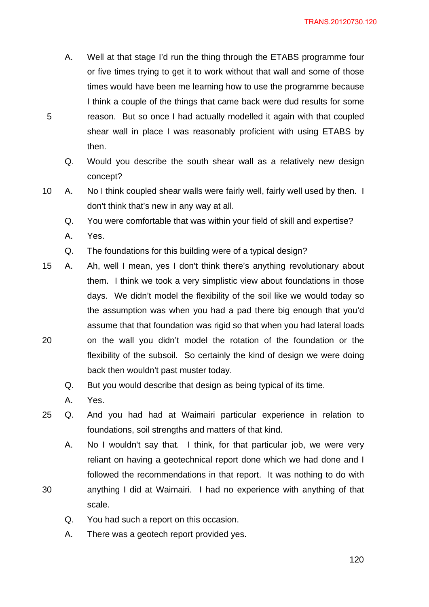- A. Well at that stage I'd run the thing through the ETABS programme four or five times trying to get it to work without that wall and some of those times would have been me learning how to use the programme because I think a couple of the things that came back were dud results for some reason. But so once I had actually modelled it again with that coupled shear wall in place I was reasonably proficient with using ETABS by then.
- Q. Would you describe the south shear wall as a relatively new design concept?
- 10 A. No I think coupled shear walls were fairly well, fairly well used by then. I don't think that's new in any way at all.
	- Q. You were comfortable that was within your field of skill and expertise?
	- A. Yes.

- Q. The foundations for this building were of a typical design?
- 20 15 A. Ah, well I mean, yes I don't think there's anything revolutionary about them. I think we took a very simplistic view about foundations in those days. We didn't model the flexibility of the soil like we would today so the assumption was when you had a pad there big enough that you'd assume that that foundation was rigid so that when you had lateral loads on the wall you didn't model the rotation of the foundation or the flexibility of the subsoil. So certainly the kind of design we were doing back then wouldn't past muster today.
	- Q. But you would describe that design as being typical of its time.
	- A. Yes.

- 25 Q. And you had had at Waimairi particular experience in relation to foundations, soil strengths and matters of that kind.
	- A. No I wouldn't say that. I think, for that particular job, we were very reliant on having a geotechnical report done which we had done and I followed the recommendations in that report. It was nothing to do with anything I did at Waimairi. I had no experience with anything of that scale.
		- Q. You had such a report on this occasion.
		- A. There was a geotech report provided yes.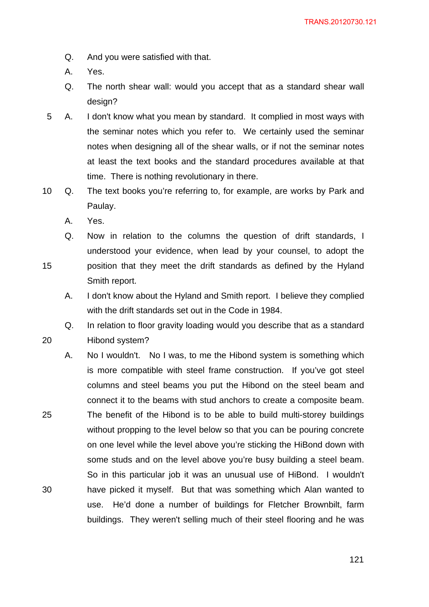- Q. And you were satisfied with that.
- A. Yes.
- Q. The north shear wall: would you accept that as a standard shear wall design?
- 5 A. I don't know what you mean by standard. It complied in most ways with the seminar notes which you refer to. We certainly used the seminar notes when designing all of the shear walls, or if not the seminar notes at least the text books and the standard procedures available at that time. There is nothing revolutionary in there.
- 10 Q. The text books you're referring to, for example, are works by Park and Paulay.
	- A. Yes.

- Q. Now in relation to the columns the question of drift standards, I understood your evidence, when lead by your counsel, to adopt the position that they meet the drift standards as defined by the Hyland Smith report.
	- A. I don't know about the Hyland and Smith report. I believe they complied with the drift standards set out in the Code in 1984.
- Q. In relation to floor gravity loading would you describe that as a standard Hibond system?
- 25 30 A. No I wouldn't. No I was, to me the Hibond system is something which is more compatible with steel frame construction. If you've got steel columns and steel beams you put the Hibond on the steel beam and connect it to the beams with stud anchors to create a composite beam. The benefit of the Hibond is to be able to build multi-storey buildings without propping to the level below so that you can be pouring concrete on one level while the level above you're sticking the HiBond down with some studs and on the level above you're busy building a steel beam. So in this particular job it was an unusual use of HiBond. I wouldn't have picked it myself. But that was something which Alan wanted to use. He'd done a number of buildings for Fletcher Brownbilt, farm buildings. They weren't selling much of their steel flooring and he was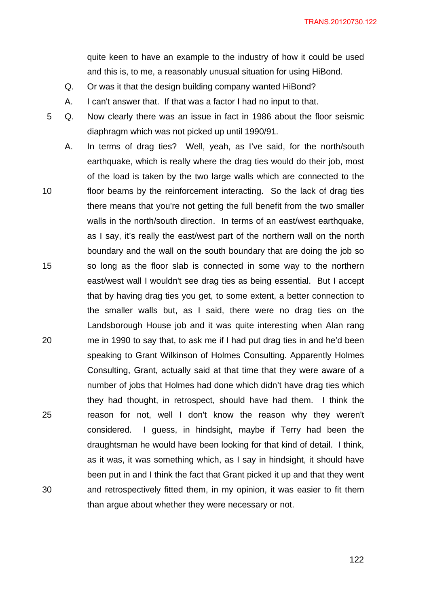quite keen to have an example to the industry of how it could be used and this is, to me, a reasonably unusual situation for using HiBond.

- Q. Or was it that the design building company wanted HiBond?
- A. I can't answer that. If that was a factor I had no input to that.
- 5 Q. Now clearly there was an issue in fact in 1986 about the floor seismic diaphragm which was not picked up until 1990/91.
- 10 15 20 25 30 A. In terms of drag ties? Well, yeah, as I've said, for the north/south earthquake, which is really where the drag ties would do their job, most of the load is taken by the two large walls which are connected to the floor beams by the reinforcement interacting. So the lack of drag ties there means that you're not getting the full benefit from the two smaller walls in the north/south direction. In terms of an east/west earthquake, as I say, it's really the east/west part of the northern wall on the north boundary and the wall on the south boundary that are doing the job so so long as the floor slab is connected in some way to the northern east/west wall I wouldn't see drag ties as being essential. But I accept that by having drag ties you get, to some extent, a better connection to the smaller walls but, as I said, there were no drag ties on the Landsborough House job and it was quite interesting when Alan rang me in 1990 to say that, to ask me if I had put drag ties in and he'd been speaking to Grant Wilkinson of Holmes Consulting. Apparently Holmes Consulting, Grant, actually said at that time that they were aware of a number of jobs that Holmes had done which didn't have drag ties which they had thought, in retrospect, should have had them. I think the reason for not, well I don't know the reason why they weren't considered. I guess, in hindsight, maybe if Terry had been the draughtsman he would have been looking for that kind of detail. I think, as it was, it was something which, as I say in hindsight, it should have been put in and I think the fact that Grant picked it up and that they went and retrospectively fitted them, in my opinion, it was easier to fit them than argue about whether they were necessary or not.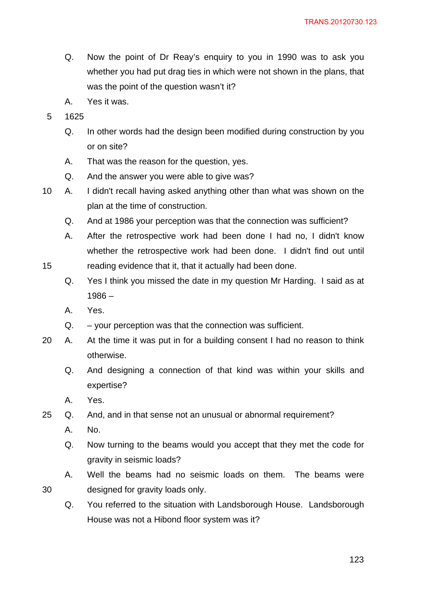- Q. Now the point of Dr Reay's enquiry to you in 1990 was to ask you whether you had put drag ties in which were not shown in the plans, that was the point of the question wasn't it?
- A. Yes it was.
- 5 1625
	- Q. In other words had the design been modified during construction by you or on site?
	- A. That was the reason for the question, yes.
	- Q. And the answer you were able to give was?
- 10 A. I didn't recall having asked anything other than what was shown on the plan at the time of construction.
	- Q. And at 1986 your perception was that the connection was sufficient?
	- A. After the retrospective work had been done I had no, I didn't know whether the retrospective work had been done. I didn't find out until reading evidence that it, that it actually had been done.
	- Q. Yes I think you missed the date in my question Mr Harding. I said as at 1986 –
	- A. Yes.

- $Q.$  your perception was that the connection was sufficient.
- 20 A. At the time it was put in for a building consent I had no reason to think otherwise.
	- Q. And designing a connection of that kind was within your skills and expertise?
	- A. Yes.
- 25 Q. And, and in that sense not an unusual or abnormal requirement?
	- A. No.
	- Q. Now turning to the beams would you accept that they met the code for gravity in seismic loads?
	- A. Well the beams had no seismic loads on them. The beams were designed for gravity loads only.
	- Q. You referred to the situation with Landsborough House. Landsborough House was not a Hibond floor system was it?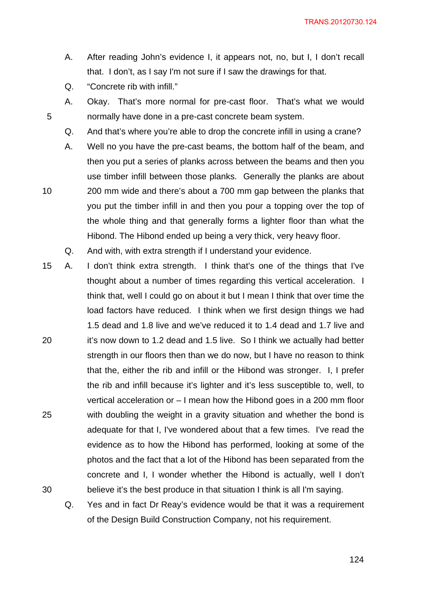- A. After reading John's evidence I, it appears not, no, but I, I don't recall that. I don't, as I say I'm not sure if I saw the drawings for that.
- Q. "Concrete rib with infill."

- A. Okay. That's more normal for pre-cast floor. That's what we would normally have done in a pre-cast concrete beam system.
- Q. And that's where you're able to drop the concrete infill in using a crane?
- A. Well no you have the pre-cast beams, the bottom half of the beam, and then you put a series of planks across between the beams and then you use timber infill between those planks. Generally the planks are about 200 mm wide and there's about a 700 mm gap between the planks that you put the timber infill in and then you pour a topping over the top of the whole thing and that generally forms a lighter floor than what the Hibond. The Hibond ended up being a very thick, very heavy floor.
- Q. And with, with extra strength if I understand your evidence.
- 20 25 30 15 A. I don't think extra strength. I think that's one of the things that I've thought about a number of times regarding this vertical acceleration. I think that, well I could go on about it but I mean I think that over time the load factors have reduced. I think when we first design things we had 1.5 dead and 1.8 live and we've reduced it to 1.4 dead and 1.7 live and it's now down to 1.2 dead and 1.5 live. So I think we actually had better strength in our floors then than we do now, but I have no reason to think that the, either the rib and infill or the Hibond was stronger. I, I prefer the rib and infill because it's lighter and it's less susceptible to, well, to vertical acceleration or – I mean how the Hibond goes in a 200 mm floor with doubling the weight in a gravity situation and whether the bond is adequate for that I, I've wondered about that a few times. I've read the evidence as to how the Hibond has performed, looking at some of the photos and the fact that a lot of the Hibond has been separated from the concrete and I, I wonder whether the Hibond is actually, well I don't believe it's the best produce in that situation I think is all I'm saying.
	- Q. Yes and in fact Dr Reay's evidence would be that it was a requirement of the Design Build Construction Company, not his requirement.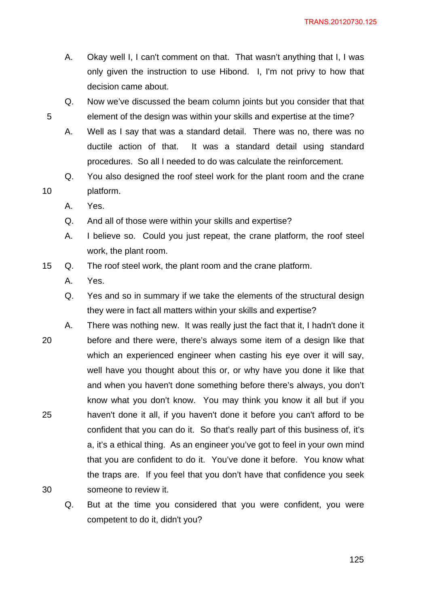- A. Okay well I, I can't comment on that. That wasn't anything that I, I was only given the instruction to use Hibond. I, I'm not privy to how that decision came about.
- Q. Now we've discussed the beam column joints but you consider that that element of the design was within your skills and expertise at the time?
- A. Well as I say that was a standard detail. There was no, there was no ductile action of that. It was a standard detail using standard procedures. So all I needed to do was calculate the reinforcement.
- Q. You also designed the roof steel work for the plant room and the crane platform.
	- A. Yes.

- Q. And all of those were within your skills and expertise?
- A. I believe so. Could you just repeat, the crane platform, the roof steel work, the plant room.
- 15 Q. The roof steel work, the plant room and the crane platform.
	- A. Yes.
	- Q. Yes and so in summary if we take the elements of the structural design they were in fact all matters within your skills and expertise?
- 20 25 30 A. There was nothing new. It was really just the fact that it, I hadn't done it before and there were, there's always some item of a design like that which an experienced engineer when casting his eye over it will say, well have you thought about this or, or why have you done it like that and when you haven't done something before there's always, you don't know what you don't know. You may think you know it all but if you haven't done it all, if you haven't done it before you can't afford to be confident that you can do it. So that's really part of this business of, it's a, it's a ethical thing. As an engineer you've got to feel in your own mind that you are confident to do it. You've done it before. You know what the traps are. If you feel that you don't have that confidence you seek someone to review it.
	- Q. But at the time you considered that you were confident, you were competent to do it, didn't you?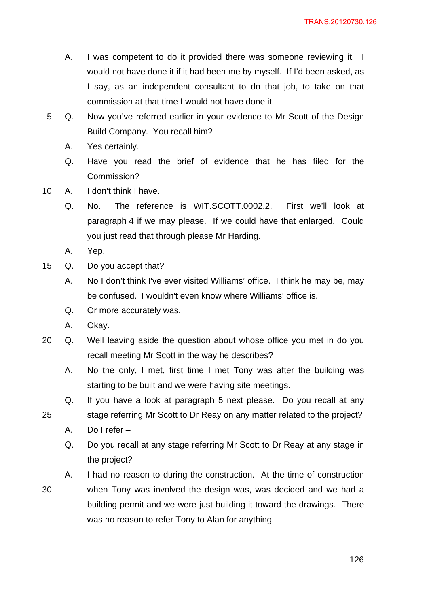- A. I was competent to do it provided there was someone reviewing it. I would not have done it if it had been me by myself. If I'd been asked, as I say, as an independent consultant to do that job, to take on that commission at that time I would not have done it.
- 5 Q. Now you've referred earlier in your evidence to Mr Scott of the Design Build Company. You recall him?
	- A. Yes certainly.
	- Q. Have you read the brief of evidence that he has filed for the Commission?
- 10 A. I don't think I have.
	- Q. No. The reference is WIT.SCOTT.0002.2. First we'll look at paragraph 4 if we may please. If we could have that enlarged. Could you just read that through please Mr Harding.
	- A. Yep.
- 15 Q. Do you accept that?
	- A. No I don't think I've ever visited Williams' office. I think he may be, may be confused. I wouldn't even know where Williams' office is.
	- Q. Or more accurately was.
	- A. Okay.
- 20 Q. Well leaving aside the question about whose office you met in do you recall meeting Mr Scott in the way he describes?
	- A. No the only, I met, first time I met Tony was after the building was starting to be built and we were having site meetings.
	- Q. If you have a look at paragraph 5 next please. Do you recall at any stage referring Mr Scott to Dr Reay on any matter related to the project?
	- A. Do I refer –

- Q. Do you recall at any stage referring Mr Scott to Dr Reay at any stage in the project?
- A. I had no reason to during the construction. At the time of construction when Tony was involved the design was, was decided and we had a building permit and we were just building it toward the drawings. There was no reason to refer Tony to Alan for anything.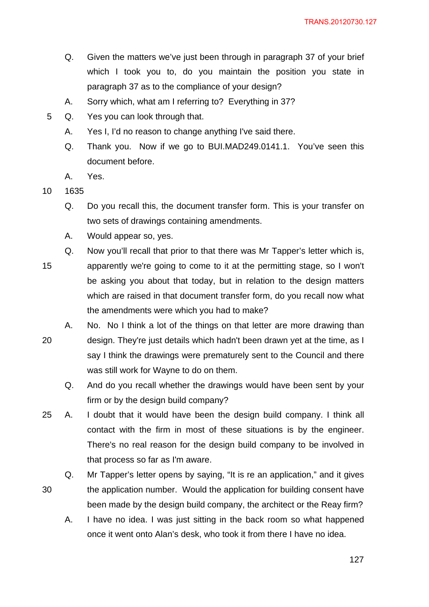- Q. Given the matters we've just been through in paragraph 37 of your brief which I took you to, do you maintain the position you state in paragraph 37 as to the compliance of your design?
- A. Sorry which, what am I referring to? Everything in 37?
- 5 Q. Yes you can look through that.
	- A. Yes I, I'd no reason to change anything I've said there.
	- Q. Thank you. Now if we go to BUI.MAD249.0141.1. You've seen this document before.
	- A. Yes.
- 10 1635

- Q. Do you recall this, the document transfer form. This is your transfer on two sets of drawings containing amendments.
- A. Would appear so, yes.
- 15 Q. Now you'll recall that prior to that there was Mr Tapper's letter which is, apparently we're going to come to it at the permitting stage, so I won't be asking you about that today, but in relation to the design matters which are raised in that document transfer form, do you recall now what the amendments were which you had to make?
- 20 A. No. No I think a lot of the things on that letter are more drawing than design. They're just details which hadn't been drawn yet at the time, as I say I think the drawings were prematurely sent to the Council and there was still work for Wayne to do on them.
	- Q. And do you recall whether the drawings would have been sent by your firm or by the design build company?
- 25 A. I doubt that it would have been the design build company. I think all contact with the firm in most of these situations is by the engineer. There's no real reason for the design build company to be involved in that process so far as I'm aware.
	- Q. Mr Tapper's letter opens by saying, "It is re an application," and it gives the application number. Would the application for building consent have been made by the design build company, the architect or the Reay firm?
		- A. I have no idea. I was just sitting in the back room so what happened once it went onto Alan's desk, who took it from there I have no idea.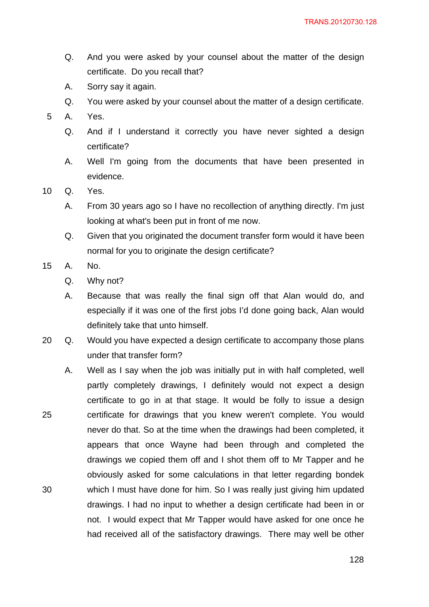- Q. And you were asked by your counsel about the matter of the design certificate. Do you recall that?
- A. Sorry say it again.
- Q. You were asked by your counsel about the matter of a design certificate.
- 5 A. Yes.
	- Q. And if I understand it correctly you have never sighted a design certificate?
	- A. Well I'm going from the documents that have been presented in evidence.
- 10 Q. Yes.
	- A. From 30 years ago so I have no recollection of anything directly. I'm just looking at what's been put in front of me now.
	- Q. Given that you originated the document transfer form would it have been normal for you to originate the design certificate?
- 15 A. No.
	- Q. Why not?
	- A. Because that was really the final sign off that Alan would do, and especially if it was one of the first jobs I'd done going back, Alan would definitely take that unto himself.
- 20 Q. Would you have expected a design certificate to accompany those plans under that transfer form?
- 25 30 A. Well as I say when the job was initially put in with half completed, well partly completely drawings, I definitely would not expect a design certificate to go in at that stage. It would be folly to issue a design certificate for drawings that you knew weren't complete. You would never do that. So at the time when the drawings had been completed, it appears that once Wayne had been through and completed the drawings we copied them off and I shot them off to Mr Tapper and he obviously asked for some calculations in that letter regarding bondek which I must have done for him. So I was really just giving him updated drawings. I had no input to whether a design certificate had been in or not. I would expect that Mr Tapper would have asked for one once he had received all of the satisfactory drawings. There may well be other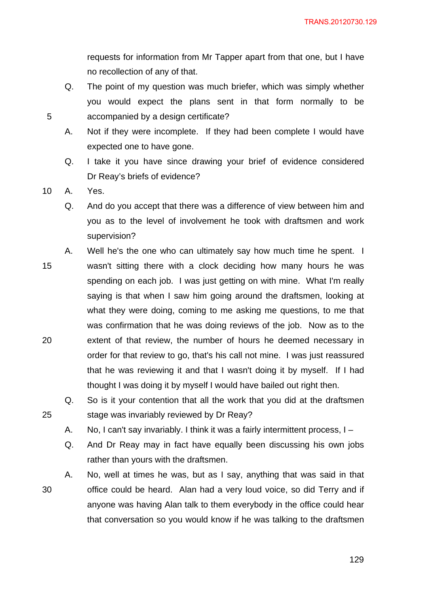requests for information from Mr Tapper apart from that one, but I have no recollection of any of that.

- Q. The point of my question was much briefer, which was simply whether you would expect the plans sent in that form normally to be accompanied by a design certificate?
- A. Not if they were incomplete. If they had been complete I would have expected one to have gone.
- Q. I take it you have since drawing your brief of evidence considered Dr Reay's briefs of evidence?

10 A. Yes.

5

25

- Q. And do you accept that there was a difference of view between him and you as to the level of involvement he took with draftsmen and work supervision?
- 15 20 A. Well he's the one who can ultimately say how much time he spent. I wasn't sitting there with a clock deciding how many hours he was spending on each job. I was just getting on with mine. What I'm really saying is that when I saw him going around the draftsmen, looking at what they were doing, coming to me asking me questions, to me that was confirmation that he was doing reviews of the job. Now as to the extent of that review, the number of hours he deemed necessary in order for that review to go, that's his call not mine. I was just reassured that he was reviewing it and that I wasn't doing it by myself. If I had
	- Q. So is it your contention that all the work that you did at the draftsmen stage was invariably reviewed by Dr Reay?

thought I was doing it by myself I would have bailed out right then.

- A. No, I can't say invariably. I think it was a fairly intermittent process, I –
- Q. And Dr Reay may in fact have equally been discussing his own jobs rather than yours with the draftsmen.
- 30 A. No, well at times he was, but as I say, anything that was said in that office could be heard. Alan had a very loud voice, so did Terry and if anyone was having Alan talk to them everybody in the office could hear that conversation so you would know if he was talking to the draftsmen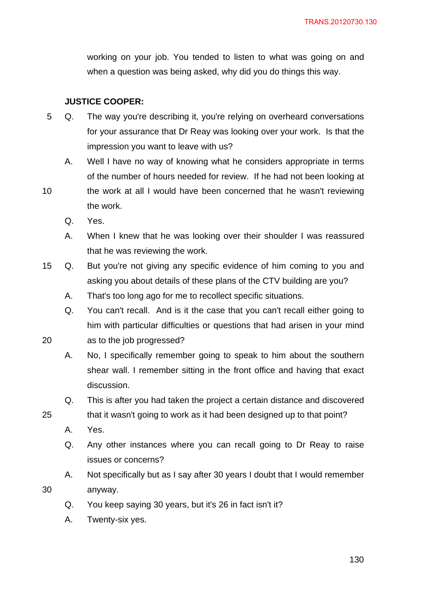working on your job. You tended to listen to what was going on and when a question was being asked, why did you do things this way.

# **JUSTICE COOPER:**

- 5 Q. The way you're describing it, you're relying on overheard conversations for your assurance that Dr Reay was looking over your work. Is that the impression you want to leave with us?
	- A. Well I have no way of knowing what he considers appropriate in terms of the number of hours needed for review. If he had not been looking at
- 10 the work at all I would have been concerned that he wasn't reviewing the work.
	- Q. Yes.
	- A. When I knew that he was looking over their shoulder I was reassured that he was reviewing the work.
- 15 Q. But you're not giving any specific evidence of him coming to you and asking you about details of these plans of the CTV building are you?
	- A. That's too long ago for me to recollect specific situations.
	- Q. You can't recall. And is it the case that you can't recall either going to him with particular difficulties or questions that had arisen in your mind as to the job progressed?
	- A. No, I specifically remember going to speak to him about the southern shear wall. I remember sitting in the front office and having that exact
	- Q. This is after you had taken the project a certain distance and discovered

```
that it wasn't going to work as it had been designed up to that point?
```
A. Yes.

20

25

30

- Q. Any other instances where you can recall going to Dr Reay to raise issues or concerns?
- A. Not specifically but as I say after 30 years I doubt that I would remember anyway.
- Q. You keep saying 30 years, but it's 26 in fact isn't it?
- A. Twenty-six yes.

discussion.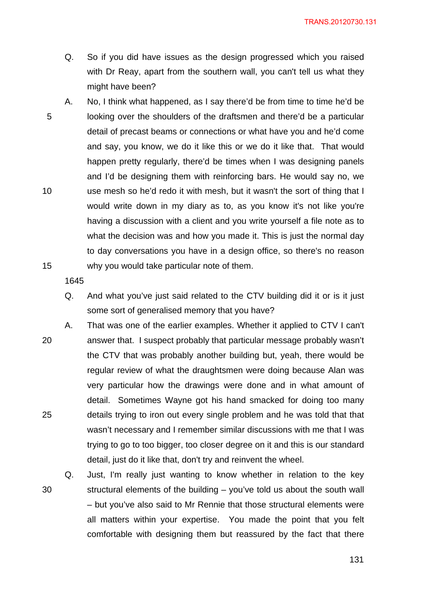TRANS.20120730.131

- Q. So if you did have issues as the design progressed which you raised with Dr Reay, apart from the southern wall, you can't tell us what they might have been?
- 5 10 15 A. No, I think what happened, as I say there'd be from time to time he'd be looking over the shoulders of the draftsmen and there'd be a particular detail of precast beams or connections or what have you and he'd come and say, you know, we do it like this or we do it like that. That would happen pretty regularly, there'd be times when I was designing panels and I'd be designing them with reinforcing bars. He would say no, we use mesh so he'd redo it with mesh, but it wasn't the sort of thing that I would write down in my diary as to, as you know it's not like you're having a discussion with a client and you write yourself a file note as to what the decision was and how you made it. This is just the normal day to day conversations you have in a design office, so there's no reason why you would take particular note of them.

- Q. And what you've just said related to the CTV building did it or is it just some sort of generalised memory that you have?
- 20 25 A. That was one of the earlier examples. Whether it applied to CTV I can't answer that. I suspect probably that particular message probably wasn't the CTV that was probably another building but, yeah, there would be regular review of what the draughtsmen were doing because Alan was very particular how the drawings were done and in what amount of detail. Sometimes Wayne got his hand smacked for doing too many details trying to iron out every single problem and he was told that that wasn't necessary and I remember similar discussions with me that I was trying to go to too bigger, too closer degree on it and this is our standard detail, just do it like that, don't try and reinvent the wheel.
- 30 Q. Just, I'm really just wanting to know whether in relation to the key structural elements of the building – you've told us about the south wall – but you've also said to Mr Rennie that those structural elements were all matters within your expertise. You made the point that you felt comfortable with designing them but reassured by the fact that there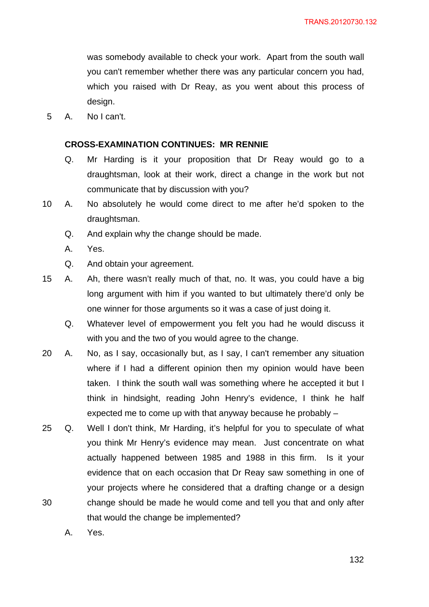was somebody available to check your work. Apart from the south wall you can't remember whether there was any particular concern you had, which you raised with Dr Reay, as you went about this process of design.

5 A. No I can't.

#### **CROSS-EXAMINATION CONTINUES: MR RENNIE**

- Q. Mr Harding is it your proposition that Dr Reay would go to a draughtsman, look at their work, direct a change in the work but not communicate that by discussion with you?
- 10 A. No absolutely he would come direct to me after he'd spoken to the draughtsman.
	- Q. And explain why the change should be made.
	- A. Yes.
	- Q. And obtain your agreement.
- 15 A. Ah, there wasn't really much of that, no. It was, you could have a big long argument with him if you wanted to but ultimately there'd only be one winner for those arguments so it was a case of just doing it.
	- Q. Whatever level of empowerment you felt you had he would discuss it with you and the two of you would agree to the change.
- 20 A. No, as I say, occasionally but, as I say, I can't remember any situation where if I had a different opinion then my opinion would have been taken. I think the south wall was something where he accepted it but I think in hindsight, reading John Henry's evidence, I think he half expected me to come up with that anyway because he probably –
- 30 25 Q. Well I don't think, Mr Harding, it's helpful for you to speculate of what you think Mr Henry's evidence may mean. Just concentrate on what actually happened between 1985 and 1988 in this firm. Is it your evidence that on each occasion that Dr Reay saw something in one of your projects where he considered that a drafting change or a design change should be made he would come and tell you that and only after that would the change be implemented?
	- A. Yes.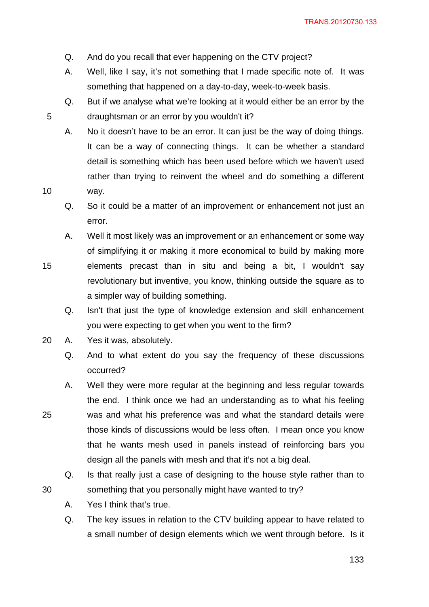- Q. And do you recall that ever happening on the CTV project?
- A. Well, like I say, it's not something that I made specific note of. It was something that happened on a day-to-day, week-to-week basis.
- Q. But if we analyse what we're looking at it would either be an error by the draughtsman or an error by you wouldn't it?
- A. No it doesn't have to be an error. It can just be the way of doing things. It can be a way of connecting things. It can be whether a standard detail is something which has been used before which we haven't used rather than trying to reinvent the wheel and do something a different way.
- Q. So it could be a matter of an improvement or enhancement not just an error.
- A. Well it most likely was an improvement or an enhancement or some way of simplifying it or making it more economical to build by making more
- 15 elements precast than in situ and being a bit, I wouldn't say revolutionary but inventive, you know, thinking outside the square as to a simpler way of building something.
	- Q. Isn't that just the type of knowledge extension and skill enhancement you were expecting to get when you went to the firm?
- 20 A. Yes it was, absolutely.

10

25

- Q. And to what extent do you say the frequency of these discussions occurred?
- A. Well they were more regular at the beginning and less regular towards the end. I think once we had an understanding as to what his feeling was and what his preference was and what the standard details were those kinds of discussions would be less often. I mean once you know that he wants mesh used in panels instead of reinforcing bars you design all the panels with mesh and that it's not a big deal.
- Q. Is that really just a case of designing to the house style rather than to something that you personally might have wanted to try?
- A. Yes I think that's true.
- Q. The key issues in relation to the CTV building appear to have related to a small number of design elements which we went through before. Is it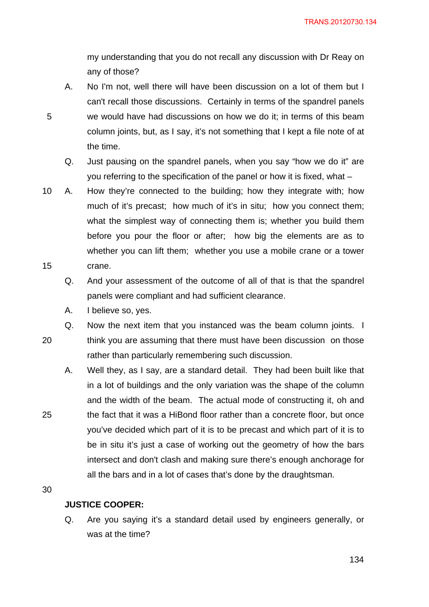my understanding that you do not recall any discussion with Dr Reay on any of those?

- A. No I'm not, well there will have been discussion on a lot of them but I can't recall those discussions. Certainly in terms of the spandrel panels we would have had discussions on how we do it; in terms of this beam column joints, but, as I say, it's not something that I kept a file note of at the time.
	- Q. Just pausing on the spandrel panels, when you say "how we do it" are you referring to the specification of the panel or how it is fixed, what –
- 15 10 A. How they're connected to the building; how they integrate with; how much of it's precast; how much of it's in situ; how you connect them; what the simplest way of connecting them is; whether you build them before you pour the floor or after; how big the elements are as to whether you can lift them; whether you use a mobile crane or a tower crane.
	- Q. And your assessment of the outcome of all of that is that the spandrel panels were compliant and had sufficient clearance.
	- A. I believe so, yes.

20 Q. Now the next item that you instanced was the beam column joints. I think you are assuming that there must have been discussion on those rather than particularly remembering such discussion.

A. Well they, as I say, are a standard detail. They had been built like that in a lot of buildings and the only variation was the shape of the column and the width of the beam. The actual mode of constructing it, oh and the fact that it was a HiBond floor rather than a concrete floor, but once you've decided which part of it is to be precast and which part of it is to be in situ it's just a case of working out the geometry of how the bars intersect and don't clash and making sure there's enough anchorage for all the bars and in a lot of cases that's done by the draughtsman.

30

25

5

# **JUSTICE COOPER:**

Q. Are you saying it's a standard detail used by engineers generally, or was at the time?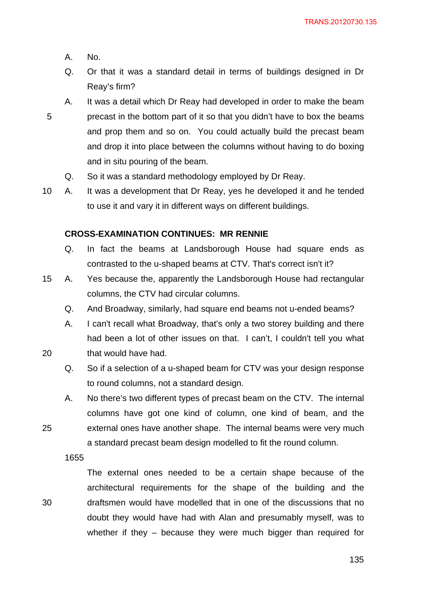- A. No.
- Q. Or that it was a standard detail in terms of buildings designed in Dr Reay's firm?
- 5 A. It was a detail which Dr Reay had developed in order to make the beam precast in the bottom part of it so that you didn't have to box the beams and prop them and so on. You could actually build the precast beam and drop it into place between the columns without having to do boxing and in situ pouring of the beam.
	- Q. So it was a standard methodology employed by Dr Reay.
- 10 A. It was a development that Dr Reay, yes he developed it and he tended to use it and vary it in different ways on different buildings.

### **CROSS-EXAMINATION CONTINUES: MR RENNIE**

- Q. In fact the beams at Landsborough House had square ends as contrasted to the u-shaped beams at CTV. That's correct isn't it?
- 15 A. Yes because the, apparently the Landsborough House had rectangular columns, the CTV had circular columns.
	- Q. And Broadway, similarly, had square end beams not u-ended beams?
	- A. I can't recall what Broadway, that's only a two storey building and there had been a lot of other issues on that. I can't, I couldn't tell you what that would have had.
	- Q. So if a selection of a u-shaped beam for CTV was your design response to round columns, not a standard design.
	- A. No there's two different types of precast beam on the CTV. The internal columns have got one kind of column, one kind of beam, and the external ones have another shape. The internal beams were very much a standard precast beam design modelled to fit the round column.
	- 1655

20

25

30

The external ones needed to be a certain shape because of the architectural requirements for the shape of the building and the draftsmen would have modelled that in one of the discussions that no doubt they would have had with Alan and presumably myself, was to whether if they – because they were much bigger than required for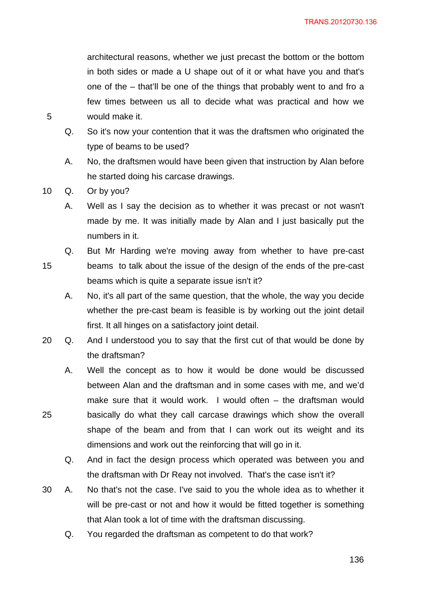architectural reasons, whether we just precast the bottom or the bottom in both sides or made a U shape out of it or what have you and that's one of the – that'll be one of the things that probably went to and fro a few times between us all to decide what was practical and how we would make it.

- Q. So it's now your contention that it was the draftsmen who originated the type of beams to be used?
- A. No, the draftsmen would have been given that instruction by Alan before he started doing his carcase drawings.
- 10 Q. Or by you?

5

25

- A. Well as I say the decision as to whether it was precast or not wasn't made by me. It was initially made by Alan and I just basically put the numbers in it.
- 15 Q. But Mr Harding we're moving away from whether to have pre-cast beams to talk about the issue of the design of the ends of the pre-cast beams which is quite a separate issue isn't it?
	- A. No, it's all part of the same question, that the whole, the way you decide whether the pre-cast beam is feasible is by working out the joint detail first. It all hinges on a satisfactory joint detail.
- 20 Q. And I understood you to say that the first cut of that would be done by the draftsman?
	- A. Well the concept as to how it would be done would be discussed between Alan and the draftsman and in some cases with me, and we'd make sure that it would work. I would often – the draftsman would basically do what they call carcase drawings which show the overall shape of the beam and from that I can work out its weight and its dimensions and work out the reinforcing that will go in it.
		- Q. And in fact the design process which operated was between you and the draftsman with Dr Reay not involved. That's the case isn't it?
- 30 A. No that's not the case. I've said to you the whole idea as to whether it will be pre-cast or not and how it would be fitted together is something that Alan took a lot of time with the draftsman discussing.
	- Q. You regarded the draftsman as competent to do that work?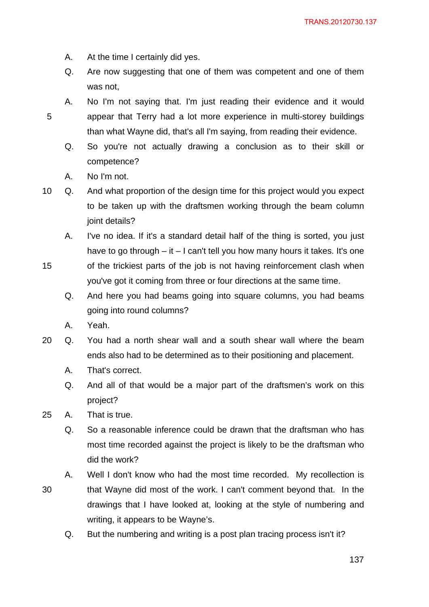- A. At the time I certainly did yes.
- Q. Are now suggesting that one of them was competent and one of them was not,
- A. No I'm not saying that. I'm just reading their evidence and it would appear that Terry had a lot more experience in multi-storey buildings than what Wayne did, that's all I'm saying, from reading their evidence.
	- Q. So you're not actually drawing a conclusion as to their skill or competence?
	- A. No I'm not.

15

10 Q. And what proportion of the design time for this project would you expect to be taken up with the draftsmen working through the beam column joint details?

A. I've no idea. If it's a standard detail half of the thing is sorted, you just have to go through – it – I can't tell you how many hours it takes. It's one of the trickiest parts of the job is not having reinforcement clash when

you've got it coming from three or four directions at the same time.

- Q. And here you had beams going into square columns, you had beams going into round columns?
- A. Yeah.
- 20 Q. You had a north shear wall and a south shear wall where the beam ends also had to be determined as to their positioning and placement.
	- A. That's correct.
	- Q. And all of that would be a major part of the draftsmen's work on this project?
- 25 A. That is true.
	- Q. So a reasonable inference could be drawn that the draftsman who has most time recorded against the project is likely to be the draftsman who did the work?
- 30 A. Well I don't know who had the most time recorded. My recollection is that Wayne did most of the work. I can't comment beyond that. In the drawings that I have looked at, looking at the style of numbering and writing, it appears to be Wayne's.
	- Q. But the numbering and writing is a post plan tracing process isn't it?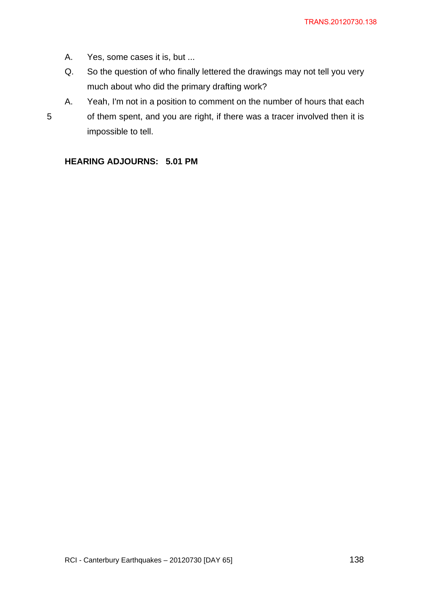- A. Yes, some cases it is, but ...
- Q. So the question of who finally lettered the drawings may not tell you very much about who did the primary drafting work?
- A. Yeah, I'm not in a position to comment on the number of hours that each of them spent, and you are right, if there was a tracer involved then it is impossible to tell.

# **HEARING ADJOURNS: 5.01 PM**